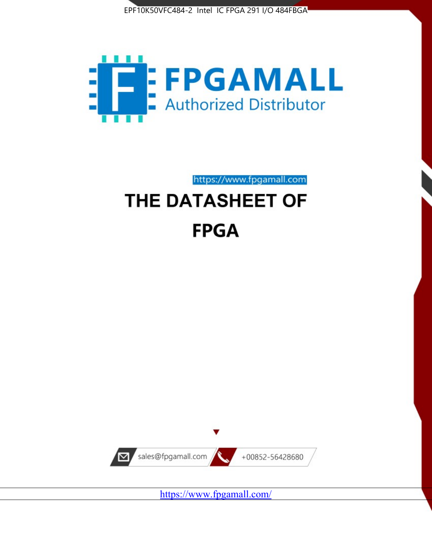



https://www.fpgamall.com

# THE DATASHEET OF **FPGA**



<https://www.fpgamall.com/>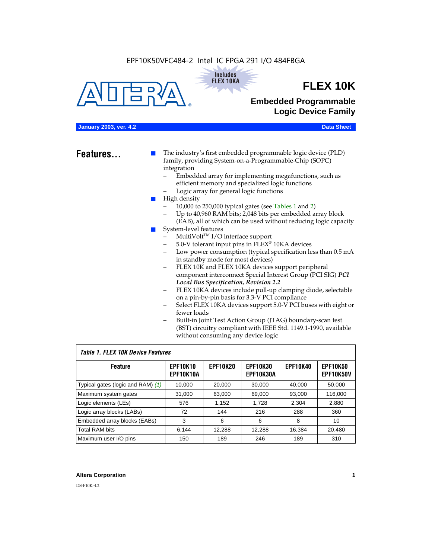#### EPF10K50VFC484-2 Intel IC FPGA 291 I/O 484FBGA





## **FLEX 10K**

### **Embedded Programmable Logic Device Family**

#### **January 2003, ver. 4.2 Data Sheet**

**Features...** ■ The industry's first embedded programmable logic device (PLD) family, providing System-on-a-Programmable-Chip (SOPC) integration

- Embedded array for implementing megafunctions, such as efficient memory and specialized logic functions
- Logic array for general logic functions
- High density
	- 10,000 to 250,000 typical gates (see Tables 1 and 2)
	- Up to 40,960 RAM bits; 2,048 bits per embedded array block (EAB), all of which can be used without reducing logic capacity
- System-level features
	- $MultiVolt<sup>TM</sup> I/O interface support$
	- 5.0-V tolerant input pins in FLEX® 10KA devices
	- Low power consumption (typical specification less than 0.5 mA in standby mode for most devices)
	- FLEX 10K and FLEX 10KA devices support peripheral component interconnect Special Interest Group (PCI SIG) *PCI Local Bus Specification, Revision 2.2*
	- FLEX 10KA devices include pull-up clamping diode, selectable on a pin-by-pin basis for 3.3-V PCI compliance
	- Select FLEX 10KA devices support 5.0-V PCI buses with eight or fewer loads
	- Built-in Joint Test Action Group (JTAG) boundary-scan test (BST) circuitry compliant with IEEE Std. 1149.1-1990, available without consuming any device logic

#### *Table 1. FLEX 10K Device Features*

| <b>Feature</b>                    | <b>EPF10K10</b><br>EPF10K10A | <b>EPF10K20</b> | <b>EPF10K30</b><br><b>EPF10K30A</b> | <b>EPF10K40</b> | <b>EPF10K50</b><br><b>EPF10K50V</b> |
|-----------------------------------|------------------------------|-----------------|-------------------------------------|-----------------|-------------------------------------|
| Typical gates (logic and RAM) (1) | 10,000                       | 20,000          | 30,000                              | 40,000          | 50,000                              |
| Maximum system gates              | 31,000                       | 63,000          | 69,000                              | 93,000          | 116,000                             |
| Logic elements (LEs)              | 576                          | 1,152           | 1,728                               | 2,304           | 2,880                               |
| Logic array blocks (LABs)         | 72                           | 144             | 216                                 | 288             | 360                                 |
| Embedded array blocks (EABs)      | 3                            | 6               | 6                                   | 8               | 10                                  |
| <b>Total RAM bits</b>             | 6.144                        | 12,288          | 12,288                              | 16,384          | 20,480                              |
| Maximum user I/O pins             | 150                          | 189             | 246                                 | 189             | 310                                 |

#### **Altera Corporation 1**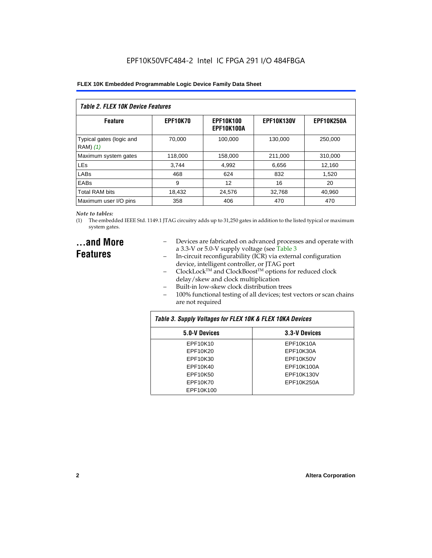| Table 2. FLEX 10K Device Features    |                 |                                |                   |                   |  |
|--------------------------------------|-----------------|--------------------------------|-------------------|-------------------|--|
| <b>Feature</b>                       | <b>EPF10K70</b> | <b>EPF10K100</b><br>EPF10K100A | <b>EPF10K130V</b> | <b>EPF10K250A</b> |  |
| Typical gates (logic and<br>RAM) (1) | 70.000          | 100.000                        | 130,000           | 250,000           |  |
| Maximum system gates                 | 118,000         | 158,000                        | 211,000           | 310,000           |  |
| <b>LEs</b>                           | 3.744           | 4,992                          | 6,656             | 12,160            |  |
| LABs                                 | 468             | 624                            | 832               | 1,520             |  |
| EABs                                 | 9               | 12                             | 16                | 20                |  |
| <b>Total RAM bits</b>                | 18,432          | 24.576                         | 32.768            | 40,960            |  |
| Maximum user I/O pins                | 358             | 406                            | 470               | 470               |  |

#### *Note to tables:*

(1) The embedded IEEE Std. 1149.1 JTAG circuitry adds up to 31,250 gates in addition to the listed typical or maximum system gates.

### **...and More Features**

- Devices are fabricated on advanced processes and operate with a 3.3-V or 5.0-V supply voltage (see Table 3
- In-circuit reconfigurability (ICR) via external configuration device, intelligent controller, or JTAG port
- $ClockLock^{TM}$  and  $ClockBoost^{TM}$  options for reduced clock delay/skew and clock multiplication
- Built-in low-skew clock distribution trees
- 100% functional testing of all devices; test vectors or scan chains are not required

| Table 3. Supply Voltages for FLEX 10K & FLEX 10KA Devices |               |  |  |  |
|-----------------------------------------------------------|---------------|--|--|--|
| 5.0-V Devices                                             | 3.3-V Devices |  |  |  |
| EPF10K10                                                  | EPF10K10A     |  |  |  |
| EPF10K20                                                  | EPF10K30A     |  |  |  |
| EPF10K30                                                  | EPF10K50V     |  |  |  |
| EPF10K40                                                  | EPF10K100A    |  |  |  |
| EPF10K50                                                  | EPF10K130V    |  |  |  |
| EPF10K70                                                  | EPF10K250A    |  |  |  |
| EPF10K100                                                 |               |  |  |  |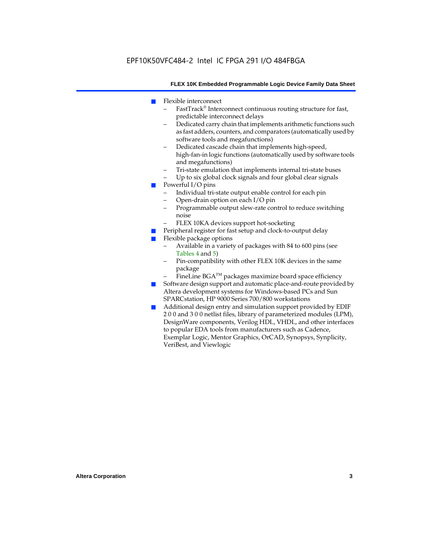- Flexible interconnect
	- FastTrack<sup>®</sup> Interconnect continuous routing structure for fast, predictable interconnect delays
	- Dedicated carry chain that implements arithmetic functions such as fast adders, counters, and comparators (automatically used by software tools and megafunctions)
	- Dedicated cascade chain that implements high-speed, high-fan-in logic functions (automatically used by software tools and megafunctions)
	- Tri-state emulation that implements internal tri-state buses
	- Up to six global clock signals and four global clear signals
- Powerful I/O pins
	- Individual tri-state output enable control for each pin
	- Open-drain option on each I/O pin
	- Programmable output slew-rate control to reduce switching noise
	- FLEX 10KA devices support hot-socketing
- Peripheral register for fast setup and clock-to-output delay
- Flexible package options
	- Available in a variety of packages with 84 to 600 pins (see Tables 4 and 5)
	- Pin-compatibility with other FLEX 10K devices in the same package
	- FineLine BGA<sup>TM</sup> packages maximize board space efficiency
- Software design support and automatic place-and-route provided by Altera development systems for Windows-based PCs and Sun SPARCstation, HP 9000 Series 700/800 workstations
- Additional design entry and simulation support provided by EDIF 2 0 0 and 3 0 0 netlist files, library of parameterized modules (LPM), DesignWare components, Verilog HDL, VHDL, and other interfaces to popular EDA tools from manufacturers such as Cadence, Exemplar Logic, Mentor Graphics, OrCAD, Synopsys, Synplicity, VeriBest, and Viewlogic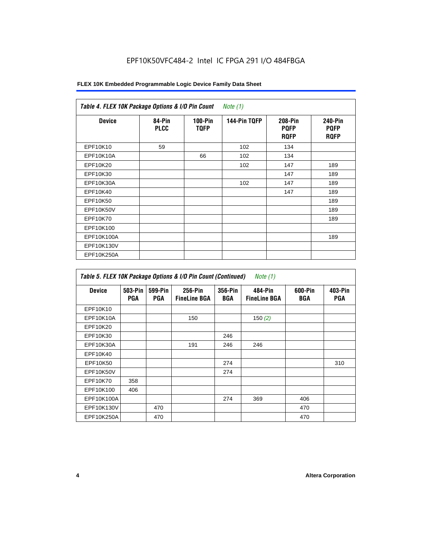| FLEX 10K Embedded Programmable Logic Device Family Data Sheet |  |
|---------------------------------------------------------------|--|
|---------------------------------------------------------------|--|

| <b>Device</b> | 84-Pin<br><b>PLCC</b> | $100-Pin$<br><b>TQFP</b> | 144-Pin TQFP | 208-Pin<br><b>PQFP</b><br><b>ROFP</b> | 240-Pin<br><b>PQFP</b><br><b>ROFP</b> |
|---------------|-----------------------|--------------------------|--------------|---------------------------------------|---------------------------------------|
| EPF10K10      | 59                    |                          | 102          | 134                                   |                                       |
| EPF10K10A     |                       | 66                       | 102          | 134                                   |                                       |
| EPF10K20      |                       |                          | 102          | 147                                   | 189                                   |
| EPF10K30      |                       |                          |              | 147                                   | 189                                   |
| EPF10K30A     |                       |                          | 102          | 147                                   | 189                                   |
| EPF10K40      |                       |                          |              | 147                                   | 189                                   |
| EPF10K50      |                       |                          |              |                                       | 189                                   |
| EPF10K50V     |                       |                          |              |                                       | 189                                   |
| EPF10K70      |                       |                          |              |                                       | 189                                   |
| EPF10K100     |                       |                          |              |                                       |                                       |
| EPF10K100A    |                       |                          |              |                                       | 189                                   |
| EPF10K130V    |                       |                          |              |                                       |                                       |
| EPF10K250A    |                       |                          |              |                                       |                                       |

| Table 5. FLEX 10K Package Options & I/O Pin Count (Continued)<br>Note $(1)$ |                |                       |                                |                |                                |                |                |
|-----------------------------------------------------------------------------|----------------|-----------------------|--------------------------------|----------------|--------------------------------|----------------|----------------|
| <b>Device</b>                                                               | 503-Pin<br>PGA | 599-Pin<br><b>PGA</b> | 256-Pin<br><b>FineLine BGA</b> | 356-Pin<br>BGA | 484-Pin<br><b>FineLine BGA</b> | 600-Pin<br>BGA | 403-Pin<br>PGA |
| EPF10K10                                                                    |                |                       |                                |                |                                |                |                |
| EPF10K10A                                                                   |                |                       | 150                            |                | 150 $(2)$                      |                |                |
| EPF10K20                                                                    |                |                       |                                |                |                                |                |                |
| EPF10K30                                                                    |                |                       |                                | 246            |                                |                |                |
| EPF10K30A                                                                   |                |                       | 191                            | 246            | 246                            |                |                |
| EPF10K40                                                                    |                |                       |                                |                |                                |                |                |
| EPF10K50                                                                    |                |                       |                                | 274            |                                |                | 310            |
| EPF10K50V                                                                   |                |                       |                                | 274            |                                |                |                |
| EPF10K70                                                                    | 358            |                       |                                |                |                                |                |                |
| EPF10K100                                                                   | 406            |                       |                                |                |                                |                |                |
| EPF10K100A                                                                  |                |                       |                                | 274            | 369                            | 406            |                |
| EPF10K130V                                                                  |                | 470                   |                                |                |                                | 470            |                |
| EPF10K250A                                                                  |                | 470                   |                                |                |                                | 470            |                |

 $\mathbf{r}$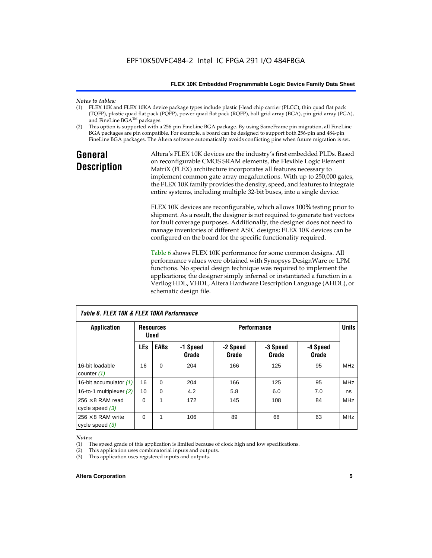### *Notes to tables:*

- FLEX 10K and FLEX 10KA device package types include plastic J-lead chip carrier (PLCC), thin quad flat pack (TQFP), plastic quad flat pack (PQFP), power quad flat pack (RQFP), ball-grid array (BGA), pin-grid array (PGA), and FineLine BGA™ packages.
- (2) This option is supported with a 256-pin FineLine BGA package. By using SameFrame pin migration, all FineLine BGA packages are pin compatible. For example, a board can be designed to support both 256-pin and 484-pin FineLine BGA packages. The Altera software automatically avoids conflicting pins when future migration is set.

### **General Description**

Altera's FLEX 10K devices are the industry's first embedded PLDs. Based on reconfigurable CMOS SRAM elements, the Flexible Logic Element MatriX (FLEX) architecture incorporates all features necessary to implement common gate array megafunctions. With up to 250,000 gates, the FLEX 10K family provides the density, speed, and features to integrate entire systems, including multiple 32-bit buses, into a single device.

FLEX 10K devices are reconfigurable, which allows 100% testing prior to shipment. As a result, the designer is not required to generate test vectors for fault coverage purposes. Additionally, the designer does not need to manage inventories of different ASIC designs; FLEX 10K devices can be configured on the board for the specific functionality required.

Table 6 shows FLEX 10K performance for some common designs. All performance values were obtained with Synopsys DesignWare or LPM functions. No special design technique was required to implement the applications; the designer simply inferred or instantiated a function in a Verilog HDL, VHDL, Altera Hardware Description Language (AHDL), or schematic design file.

| TADIE D. FLEA TUN & FLEA TUNA FEITUITUAILLE   |            |                                 |                    |                   |                   |                   |            |
|-----------------------------------------------|------------|---------------------------------|--------------------|-------------------|-------------------|-------------------|------------|
| <b>Application</b>                            |            | <b>Resources</b><br><b>Used</b> | <b>Performance</b> |                   |                   | <b>Units</b>      |            |
|                                               | <b>LEs</b> | <b>EABs</b>                     | -1 Speed<br>Grade  | -2 Speed<br>Grade | -3 Speed<br>Grade | -4 Speed<br>Grade |            |
| 16-bit loadable<br>counter $(1)$              | 16         | $\Omega$                        | 204                | 166               | 125               | 95                | <b>MHz</b> |
| 16-bit accumulator (1)                        | 16         | $\Omega$                        | 204                | 166               | 125               | 95                | <b>MHz</b> |
| 16-to-1 multiplexer $(2)$                     | 10         | $\Omega$                        | 4.2                | 5.8               | 6.0               | 7.0               | ns         |
| $256 \times 8$ RAM read<br>cycle speed $(3)$  | 0          | 1                               | 172                | 145               | 108               | 84                | <b>MHz</b> |
| 256 $\times$ 8 RAM write<br>cycle speed $(3)$ | 0          | 1                               | 106                | 89                | 68                | 63                | <b>MHz</b> |

*Table 6. FLEX 10K & FLEX 10KA Performance*

#### *Notes:*

(1) The speed grade of this application is limited because of clock high and low specifications.

(2) This application uses combinatorial inputs and outputs.

(3) This application uses registered inputs and outputs.

#### **Altera Corporation 5**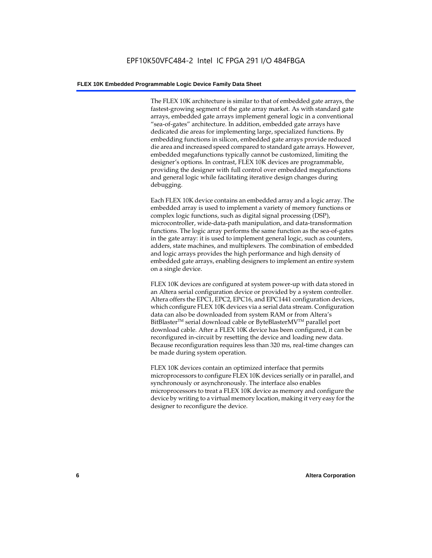The FLEX 10K architecture is similar to that of embedded gate arrays, the fastest-growing segment of the gate array market. As with standard gate arrays, embedded gate arrays implement general logic in a conventional "sea-of-gates" architecture. In addition, embedded gate arrays have dedicated die areas for implementing large, specialized functions. By embedding functions in silicon, embedded gate arrays provide reduced die area and increased speed compared to standard gate arrays. However, embedded megafunctions typically cannot be customized, limiting the designer's options. In contrast, FLEX 10K devices are programmable, providing the designer with full control over embedded megafunctions and general logic while facilitating iterative design changes during debugging.

Each FLEX 10K device contains an embedded array and a logic array. The embedded array is used to implement a variety of memory functions or complex logic functions, such as digital signal processing (DSP), microcontroller, wide-data-path manipulation, and data-transformation functions. The logic array performs the same function as the sea-of-gates in the gate array: it is used to implement general logic, such as counters, adders, state machines, and multiplexers. The combination of embedded and logic arrays provides the high performance and high density of embedded gate arrays, enabling designers to implement an entire system on a single device.

FLEX 10K devices are configured at system power-up with data stored in an Altera serial configuration device or provided by a system controller. Altera offers the EPC1, EPC2, EPC16, and EPC1441 configuration devices, which configure FLEX 10K devices via a serial data stream. Configuration data can also be downloaded from system RAM or from Altera's BitBlaster<sup>™</sup> serial download cable or ByteBlasterMV<sup>™</sup> parallel port download cable. After a FLEX 10K device has been configured, it can be reconfigured in-circuit by resetting the device and loading new data. Because reconfiguration requires less than 320 ms, real-time changes can be made during system operation.

FLEX 10K devices contain an optimized interface that permits microprocessors to configure FLEX 10K devices serially or in parallel, and synchronously or asynchronously. The interface also enables microprocessors to treat a FLEX 10K device as memory and configure the device by writing to a virtual memory location, making it very easy for the designer to reconfigure the device.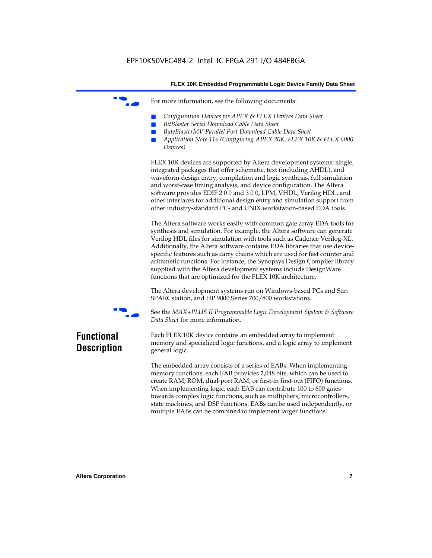For more information, see the following documents:

- *Configuration Devices for APEX & FLEX Devices Data Sheet*
- $BitBlaster$  Serial Download Cable Data Sheet
- *ByteBlasterMV Parallel Port Download Cable Data Sheet*
- *Application Note 116 (Configuring APEX 20K, FLEX 10K & FLEX 6000 Devices)*

FLEX 10K devices are supported by Altera development systems; single, integrated packages that offer schematic, text (including AHDL), and waveform design entry, compilation and logic synthesis, full simulation and worst-case timing analysis, and device configuration. The Altera software provides EDIF 2 0 0 and 3 0 0, LPM, VHDL, Verilog HDL, and other interfaces for additional design entry and simulation support from other industry-standard PC- and UNIX workstation-based EDA tools.

The Altera software works easily with common gate array EDA tools for synthesis and simulation. For example, the Altera software can generate Verilog HDL files for simulation with tools such as Cadence Verilog-XL. Additionally, the Altera software contains EDA libraries that use devicespecific features such as carry chains which are used for fast counter and arithmetic functions. For instance, the Synopsys Design Compiler library supplied with the Altera development systems include DesignWare functions that are optimized for the FLEX 10K architecture.

The Altera development systems run on Windows-based PCs and Sun SPARCstation, and HP 9000 Series 700/800 workstations.



f See the *MAX+PLUS II Programmable Logic Development System & Software Data Sheet* for more information.

### **Functional Description**

Each FLEX 10K device contains an embedded array to implement memory and specialized logic functions, and a logic array to implement general logic.

The embedded array consists of a series of EABs. When implementing memory functions, each EAB provides 2,048 bits, which can be used to create RAM, ROM, dual-port RAM, or first-in first-out (FIFO) functions. When implementing logic, each EAB can contribute 100 to 600 gates towards complex logic functions, such as multipliers, microcontrollers, state machines, and DSP functions. EABs can be used independently, or multiple EABs can be combined to implement larger functions.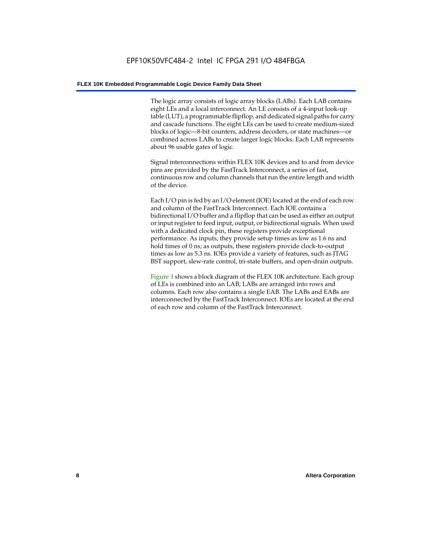The logic array consists of logic array blocks (LABs). Each LAB contains eight LEs and a local interconnect. An LE consists of a 4-input look-up table (LUT), a programmable flipflop, and dedicated signal paths for carry and cascade functions. The eight LEs can be used to create medium-sized blocks of logic—8-bit counters, address decoders, or state machines—or combined across LABs to create larger logic blocks. Each LAB represents about 96 usable gates of logic.

Signal interconnections within FLEX 10K devices and to and from device pins are provided by the FastTrack Interconnect, a series of fast, continuous row and column channels that run the entire length and width of the device.

Each I/O pin is fed by an I/O element (IOE) located at the end of each row and column of the FastTrack Interconnect. Each IOE contains a bidirectional I/O buffer and a flipflop that can be used as either an output or input register to feed input, output, or bidirectional signals. When used with a dedicated clock pin, these registers provide exceptional performance. As inputs, they provide setup times as low as 1.6 ns and hold times of 0 ns; as outputs, these registers provide clock-to-output times as low as 5.3 ns. IOEs provide a variety of features, such as JTAG BST support, slew-rate control, tri-state buffers, and open-drain outputs.

Figure 1 shows a block diagram of the FLEX 10K architecture. Each group of LEs is combined into an LAB; LABs are arranged into rows and columns. Each row also contains a single EAB. The LABs and EABs are interconnected by the FastTrack Interconnect. IOEs are located at the end of each row and column of the FastTrack Interconnect.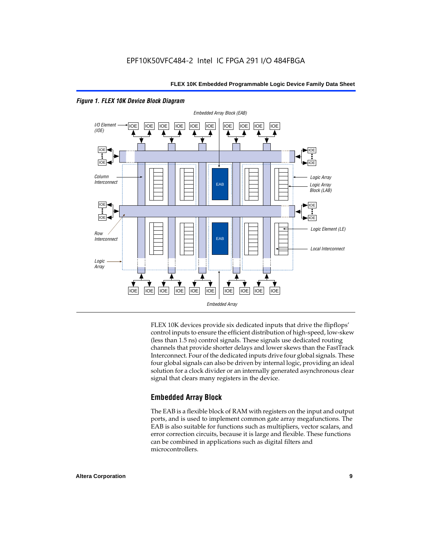



FLEX 10K devices provide six dedicated inputs that drive the flipflops' control inputs to ensure the efficient distribution of high-speed, low-skew (less than 1.5 ns) control signals. These signals use dedicated routing channels that provide shorter delays and lower skews than the FastTrack Interconnect. Four of the dedicated inputs drive four global signals. These four global signals can also be driven by internal logic, providing an ideal solution for a clock divider or an internally generated asynchronous clear signal that clears many registers in the device.

#### **Embedded Array Block**

The EAB is a flexible block of RAM with registers on the input and output ports, and is used to implement common gate array megafunctions. The EAB is also suitable for functions such as multipliers, vector scalars, and error correction circuits, because it is large and flexible. These functions can be combined in applications such as digital filters and microcontrollers.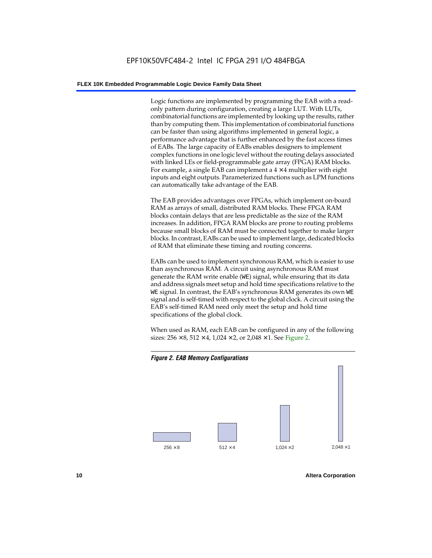Logic functions are implemented by programming the EAB with a readonly pattern during configuration, creating a large LUT. With LUTs, combinatorial functions are implemented by looking up the results, rather than by computing them. This implementation of combinatorial functions can be faster than using algorithms implemented in general logic, a performance advantage that is further enhanced by the fast access times of EABs. The large capacity of EABs enables designers to implement complex functions in one logic level without the routing delays associated with linked LEs or field-programmable gate array (FPGA) RAM blocks. For example, a single EAB can implement a  $4 \times 4$  multiplier with eight inputs and eight outputs. Parameterized functions such as LPM functions can automatically take advantage of the EAB.

The EAB provides advantages over FPGAs, which implement on-board RAM as arrays of small, distributed RAM blocks. These FPGA RAM blocks contain delays that are less predictable as the size of the RAM increases. In addition, FPGA RAM blocks are prone to routing problems because small blocks of RAM must be connected together to make larger blocks. In contrast, EABs can be used to implement large, dedicated blocks of RAM that eliminate these timing and routing concerns.

EABs can be used to implement synchronous RAM, which is easier to use than asynchronous RAM. A circuit using asynchronous RAM must generate the RAM write enable (WE) signal, while ensuring that its data and address signals meet setup and hold time specifications relative to the WE signal. In contrast, the EAB's synchronous RAM generates its own WE signal and is self-timed with respect to the global clock. A circuit using the EAB's self-timed RAM need only meet the setup and hold time specifications of the global clock.

When used as RAM, each EAB can be configured in any of the following sizes:  $256 \times 8$ ,  $512 \times 4$ ,  $1,024 \times 2$ , or  $2,048 \times 1$ . See Figure 2.



#### **10 Altera Corporation**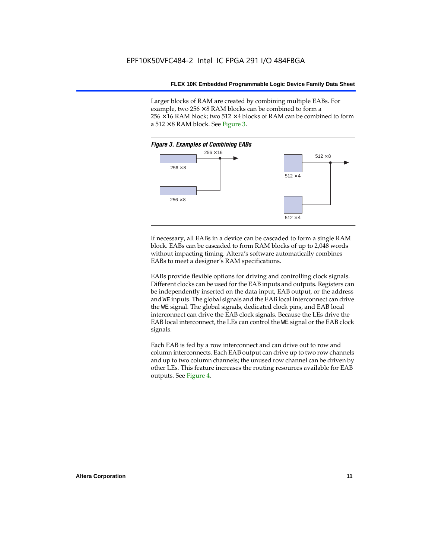Larger blocks of RAM are created by combining multiple EABs. For example, two  $256 \times 8$  RAM blocks can be combined to form a  $256 \times 16$  RAM block; two 512  $\times$  4 blocks of RAM can be combined to form a  $512 \times 8$  RAM block. See Figure 3.



If necessary, all EABs in a device can be cascaded to form a single RAM block. EABs can be cascaded to form RAM blocks of up to 2,048 words without impacting timing. Altera's software automatically combines EABs to meet a designer's RAM specifications.

EABs provide flexible options for driving and controlling clock signals. Different clocks can be used for the EAB inputs and outputs. Registers can be independently inserted on the data input, EAB output, or the address and WE inputs. The global signals and the EAB local interconnect can drive the WE signal. The global signals, dedicated clock pins, and EAB local interconnect can drive the EAB clock signals. Because the LEs drive the EAB local interconnect, the LEs can control the WE signal or the EAB clock signals.

Each EAB is fed by a row interconnect and can drive out to row and column interconnects. Each EAB output can drive up to two row channels and up to two column channels; the unused row channel can be driven by other LEs. This feature increases the routing resources available for EAB outputs. See Figure 4.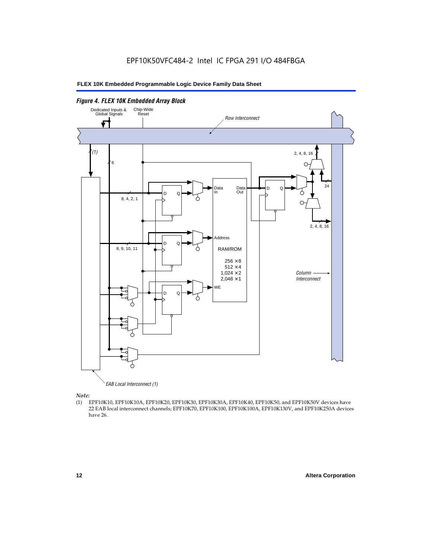

EAB Local Interconnect (1)

*Note:*<br>(1) **H** 

(1) EPF10K10, EPF10K10A, EPF10K20, EPF10K30, EPF10K30A, EPF10K40, EPF10K50, and EPF10K50V devices have 22 EAB local interconnect channels; EPF10K70, EPF10K100, EPF10K100A, EPF10K130V, and EPF10K250A devices have 26.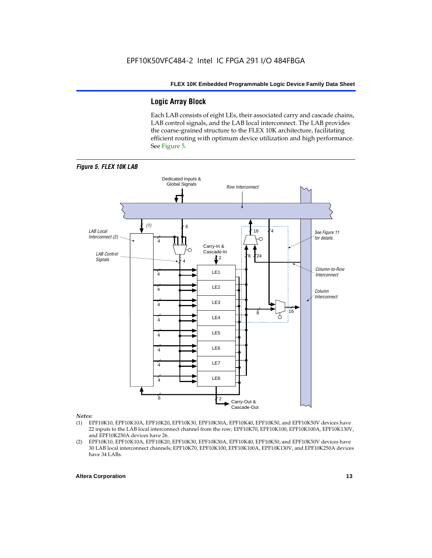#### **Logic Array Block**

Each LAB consists of eight LEs, their associated carry and cascade chains, LAB control signals, and the LAB local interconnect. The LAB provides the coarse-grained structure to the FLEX 10K architecture, facilitating efficient routing with optimum device utilization and high performance. See Figure 5.



#### *Notes:*

- (1) EPF10K10, EPF10K10A, EPF10K20, EPF10K30, EPF10K30A, EPF10K40, EPF10K50, and EPF10K50V devices have 22 inputs to the LAB local interconnect channel from the row; EPF10K70, EPF10K100, EPF10K100A, EPF10K130V, and EPF10K250A devices have 26.
- (2) EPF10K10, EPF10K10A, EPF10K20, EPF10K30, EPF10K30A, EPF10K40, EPF10K50, and EPF10K50V devices have 30 LAB local interconnect channels; EPF10K70, EPF10K100, EPF10K100A, EPF10K130V, and EPF10K250A devices have 34 LABs.

#### **Altera Corporation 13 13**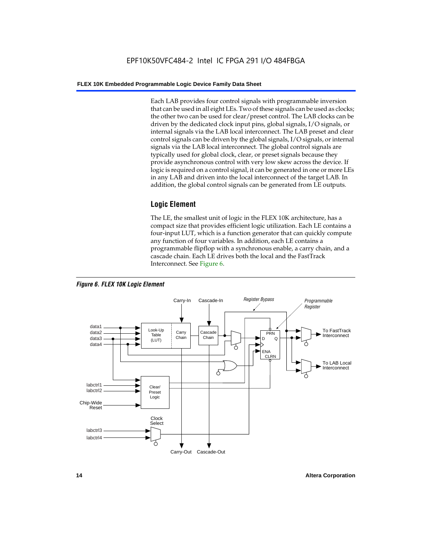Each LAB provides four control signals with programmable inversion that can be used in all eight LEs. Two of these signals can be used as clocks; the other two can be used for clear/preset control. The LAB clocks can be driven by the dedicated clock input pins, global signals, I/O signals, or internal signals via the LAB local interconnect. The LAB preset and clear control signals can be driven by the global signals, I/O signals, or internal signals via the LAB local interconnect. The global control signals are typically used for global clock, clear, or preset signals because they provide asynchronous control with very low skew across the device. If logic is required on a control signal, it can be generated in one or more LEs in any LAB and driven into the local interconnect of the target LAB. In addition, the global control signals can be generated from LE outputs.

#### **Logic Element**

The LE, the smallest unit of logic in the FLEX 10K architecture, has a compact size that provides efficient logic utilization. Each LE contains a four-input LUT, which is a function generator that can quickly compute any function of four variables. In addition, each LE contains a programmable flipflop with a synchronous enable, a carry chain, and a cascade chain. Each LE drives both the local and the FastTrack Interconnect. See Figure 6.



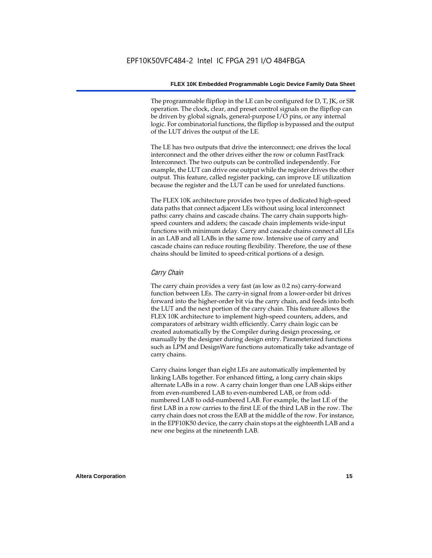The programmable flipflop in the LE can be configured for D, T, JK, or SR operation. The clock, clear, and preset control signals on the flipflop can be driven by global signals, general-purpose I/O pins, or any internal logic. For combinatorial functions, the flipflop is bypassed and the output of the LUT drives the output of the LE.

The LE has two outputs that drive the interconnect; one drives the local interconnect and the other drives either the row or column FastTrack Interconnect. The two outputs can be controlled independently. For example, the LUT can drive one output while the register drives the other output. This feature, called register packing, can improve LE utilization because the register and the LUT can be used for unrelated functions.

The FLEX 10K architecture provides two types of dedicated high-speed data paths that connect adjacent LEs without using local interconnect paths: carry chains and cascade chains. The carry chain supports highspeed counters and adders; the cascade chain implements wide-input functions with minimum delay. Carry and cascade chains connect all LEs in an LAB and all LABs in the same row. Intensive use of carry and cascade chains can reduce routing flexibility. Therefore, the use of these chains should be limited to speed-critical portions of a design.

#### *Carry Chain*

The carry chain provides a very fast (as low as 0.2 ns) carry-forward function between LEs. The carry-in signal from a lower-order bit drives forward into the higher-order bit via the carry chain, and feeds into both the LUT and the next portion of the carry chain. This feature allows the FLEX 10K architecture to implement high-speed counters, adders, and comparators of arbitrary width efficiently. Carry chain logic can be created automatically by the Compiler during design processing, or manually by the designer during design entry. Parameterized functions such as LPM and DesignWare functions automatically take advantage of carry chains.

Carry chains longer than eight LEs are automatically implemented by linking LABs together. For enhanced fitting, a long carry chain skips alternate LABs in a row. A carry chain longer than one LAB skips either from even-numbered LAB to even-numbered LAB, or from oddnumbered LAB to odd-numbered LAB. For example, the last LE of the first LAB in a row carries to the first LE of the third LAB in the row. The carry chain does not cross the EAB at the middle of the row. For instance, in the EPF10K50 device, the carry chain stops at the eighteenth LAB and a new one begins at the nineteenth LAB.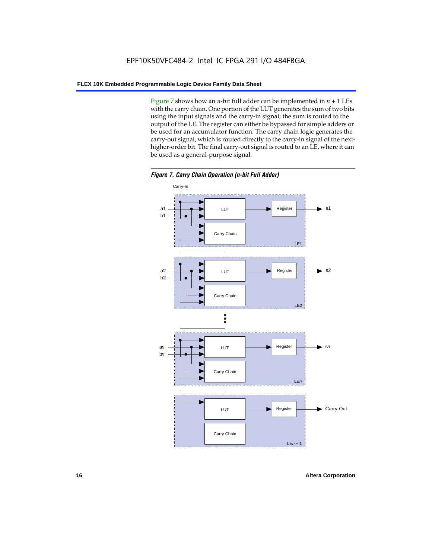Figure 7 shows how an *n*-bit full adder can be implemented in  $n + 1$  LEs with the carry chain. One portion of the LUT generates the sum of two bits using the input signals and the carry-in signal; the sum is routed to the output of the LE. The register can either be bypassed for simple adders or be used for an accumulator function. The carry chain logic generates the carry-out signal, which is routed directly to the carry-in signal of the nexthigher-order bit. The final carry-out signal is routed to an LE, where it can be used as a general-purpose signal.



*Figure 7. Carry Chain Operation (n-bit Full Adder)*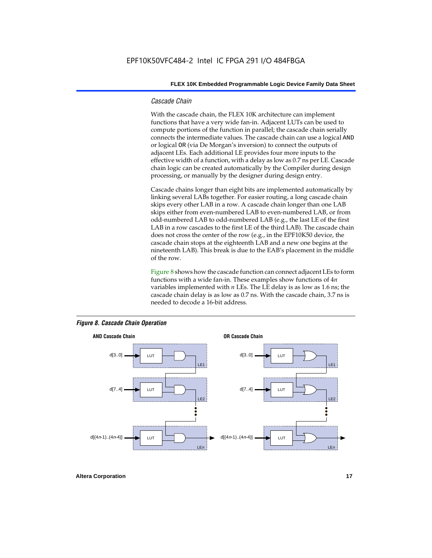#### *Cascade Chain*

With the cascade chain, the FLEX 10K architecture can implement functions that have a very wide fan-in. Adjacent LUTs can be used to compute portions of the function in parallel; the cascade chain serially connects the intermediate values. The cascade chain can use a logical AND or logical OR (via De Morgan's inversion) to connect the outputs of adjacent LEs. Each additional LE provides four more inputs to the effective width of a function, with a delay as low as 0.7 ns per LE. Cascade chain logic can be created automatically by the Compiler during design processing, or manually by the designer during design entry.

Cascade chains longer than eight bits are implemented automatically by linking several LABs together. For easier routing, a long cascade chain skips every other LAB in a row. A cascade chain longer than one LAB skips either from even-numbered LAB to even-numbered LAB, or from odd-numbered LAB to odd-numbered LAB (e.g., the last LE of the first LAB in a row cascades to the first LE of the third LAB). The cascade chain does not cross the center of the row (e.g., in the EPF10K50 device, the cascade chain stops at the eighteenth LAB and a new one begins at the nineteenth LAB). This break is due to the EAB's placement in the middle of the row.

Figure 8 shows how the cascade function can connect adjacent LEs to form functions with a wide fan-in. These examples show functions of 4*n* variables implemented with *n* LEs. The LE delay is as low as 1.6 ns; the cascade chain delay is as low as 0.7 ns. With the cascade chain, 3.7 ns is needed to decode a 16-bit address.



#### *Figure 8. Cascade Chain Operation*

**Altera Corporation 17 17**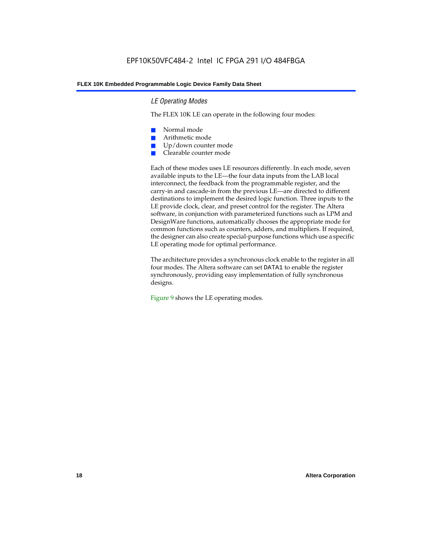#### *LE Operating Modes*

The FLEX 10K LE can operate in the following four modes:

- Normal mode
- Arithmetic mode
- Up/down counter mode
- Clearable counter mode

Each of these modes uses LE resources differently. In each mode, seven available inputs to the LE—the four data inputs from the LAB local interconnect, the feedback from the programmable register, and the carry-in and cascade-in from the previous LE—are directed to different destinations to implement the desired logic function. Three inputs to the LE provide clock, clear, and preset control for the register. The Altera software, in conjunction with parameterized functions such as LPM and DesignWare functions, automatically chooses the appropriate mode for common functions such as counters, adders, and multipliers. If required, the designer can also create special-purpose functions which use a specific LE operating mode for optimal performance.

The architecture provides a synchronous clock enable to the register in all four modes. The Altera software can set DATA1 to enable the register synchronously, providing easy implementation of fully synchronous designs.

Figure 9 shows the LE operating modes.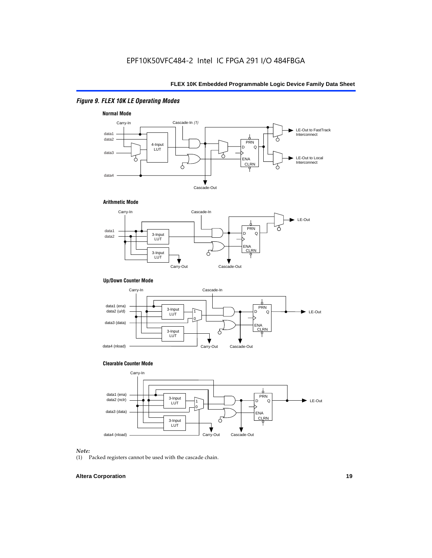#### *Figure 9. FLEX 10K LE Operating Modes*







#### **Up/Down Counter Mode**



#### **Clearable Counter Mode**



#### *Note:*

(1) Packed registers cannot be used with the cascade chain.

#### **Altera Corporation 19**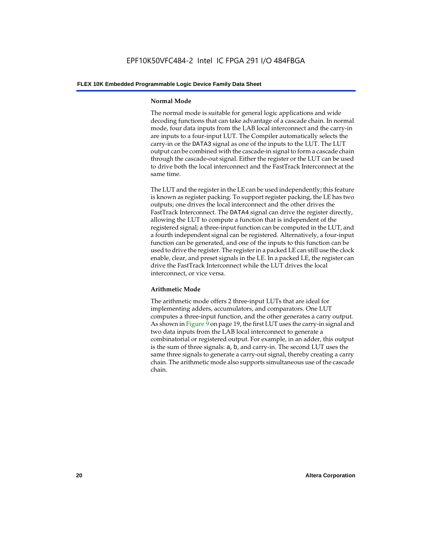#### **Normal Mode**

The normal mode is suitable for general logic applications and wide decoding functions that can take advantage of a cascade chain. In normal mode, four data inputs from the LAB local interconnect and the carry-in are inputs to a four-input LUT. The Compiler automatically selects the carry-in or the DATA3 signal as one of the inputs to the LUT. The LUT output can be combined with the cascade-in signal to form a cascade chain through the cascade-out signal. Either the register or the LUT can be used to drive both the local interconnect and the FastTrack Interconnect at the same time.

The LUT and the register in the LE can be used independently; this feature is known as register packing. To support register packing, the LE has two outputs; one drives the local interconnect and the other drives the FastTrack Interconnect. The DATA4 signal can drive the register directly, allowing the LUT to compute a function that is independent of the registered signal; a three-input function can be computed in the LUT, and a fourth independent signal can be registered. Alternatively, a four-input function can be generated, and one of the inputs to this function can be used to drive the register. The register in a packed LE can still use the clock enable, clear, and preset signals in the LE. In a packed LE, the register can drive the FastTrack Interconnect while the LUT drives the local interconnect, or vice versa.

#### **Arithmetic Mode**

The arithmetic mode offers 2 three-input LUTs that are ideal for implementing adders, accumulators, and comparators. One LUT computes a three-input function, and the other generates a carry output. As shown in Figure 9 on page 19, the first LUT uses the carry-in signal and two data inputs from the LAB local interconnect to generate a combinatorial or registered output. For example, in an adder, this output is the sum of three signals: a, b, and carry-in. The second LUT uses the same three signals to generate a carry-out signal, thereby creating a carry chain. The arithmetic mode also supports simultaneous use of the cascade chain.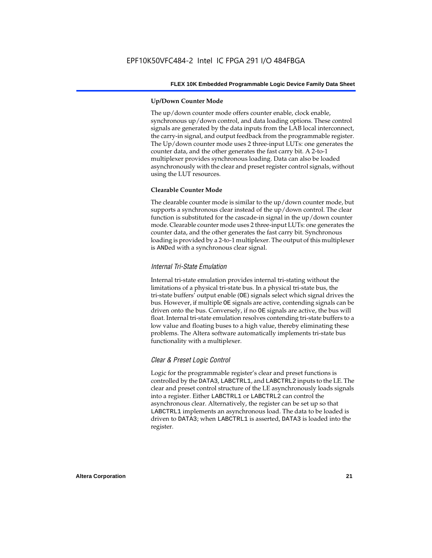#### **Up/Down Counter Mode**

The up/down counter mode offers counter enable, clock enable, synchronous up/down control, and data loading options. These control signals are generated by the data inputs from the LAB local interconnect, the carry-in signal, and output feedback from the programmable register. The Up/down counter mode uses 2 three-input LUTs: one generates the counter data, and the other generates the fast carry bit. A 2-to-1 multiplexer provides synchronous loading. Data can also be loaded asynchronously with the clear and preset register control signals, without using the LUT resources.

#### **Clearable Counter Mode**

The clearable counter mode is similar to the up/down counter mode, but supports a synchronous clear instead of the up/down control. The clear function is substituted for the cascade-in signal in the up/down counter mode. Clearable counter mode uses 2 three-input LUTs: one generates the counter data, and the other generates the fast carry bit. Synchronous loading is provided by a 2-to-1 multiplexer. The output of this multiplexer is ANDed with a synchronous clear signal.

#### *Internal Tri-State Emulation*

Internal tri-state emulation provides internal tri-stating without the limitations of a physical tri-state bus. In a physical tri-state bus, the tri-state buffers' output enable (OE) signals select which signal drives the bus. However, if multiple OE signals are active, contending signals can be driven onto the bus. Conversely, if no OE signals are active, the bus will float. Internal tri-state emulation resolves contending tri-state buffers to a low value and floating buses to a high value, thereby eliminating these problems. The Altera software automatically implements tri-state bus functionality with a multiplexer.

#### *Clear & Preset Logic Control*

Logic for the programmable register's clear and preset functions is controlled by the DATA3, LABCTRL1, and LABCTRL2 inputs to the LE. The clear and preset control structure of the LE asynchronously loads signals into a register. Either LABCTRL1 or LABCTRL2 can control the asynchronous clear. Alternatively, the register can be set up so that LABCTRL1 implements an asynchronous load. The data to be loaded is driven to DATA3; when LABCTRL1 is asserted, DATA3 is loaded into the register.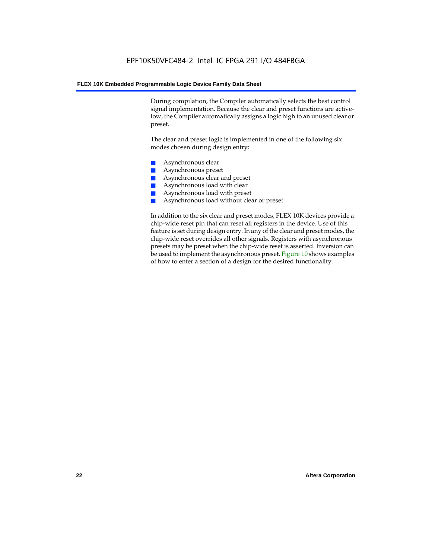During compilation, the Compiler automatically selects the best control signal implementation. Because the clear and preset functions are activelow, the Compiler automatically assigns a logic high to an unused clear or preset.

The clear and preset logic is implemented in one of the following six modes chosen during design entry:

- Asynchronous clear
- Asynchronous preset
- Asynchronous clear and preset
- Asynchronous load with clear
- Asynchronous load with preset
- Asynchronous load without clear or preset

In addition to the six clear and preset modes, FLEX 10K devices provide a chip-wide reset pin that can reset all registers in the device. Use of this feature is set during design entry. In any of the clear and preset modes, the chip-wide reset overrides all other signals. Registers with asynchronous presets may be preset when the chip-wide reset is asserted. Inversion can be used to implement the asynchronous preset. Figure 10 shows examples of how to enter a section of a design for the desired functionality.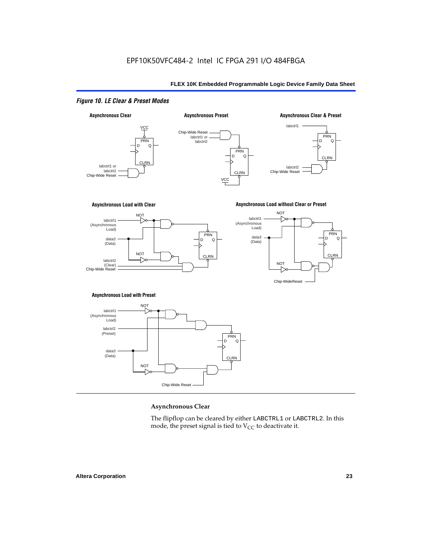#### *Figure 10. LE Clear & Preset Modes*



#### **Asynchronous Clear**

The flipflop can be cleared by either LABCTRL1 or LABCTRL2. In this mode, the preset signal is tied to  $V_{CC}$  to deactivate it.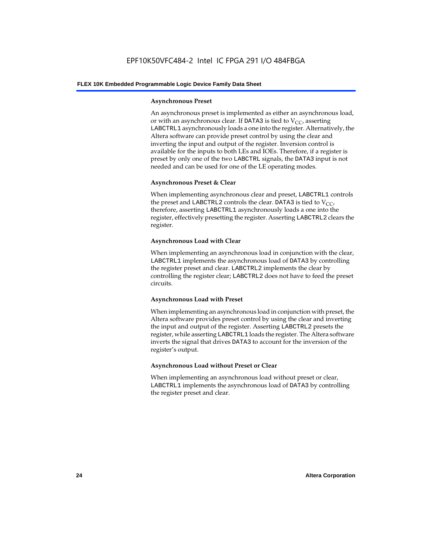#### **Asynchronous Preset**

An asynchronous preset is implemented as either an asynchronous load, or with an asynchronous clear. If DATA3 is tied to  $V_{CC}$ , asserting LABCTRL1 asynchronously loads a one into the register. Alternatively, the Altera software can provide preset control by using the clear and inverting the input and output of the register. Inversion control is available for the inputs to both LEs and IOEs. Therefore, if a register is preset by only one of the two LABCTRL signals, the DATA3 input is not needed and can be used for one of the LE operating modes.

#### **Asynchronous Preset & Clear**

When implementing asynchronous clear and preset, LABCTRL1 controls the preset and LABCTRL2 controls the clear. DATA3 is tied to  $V_{CC}$ , therefore, asserting LABCTRL1 asynchronously loads a one into the register, effectively presetting the register. Asserting LABCTRL2 clears the register.

#### **Asynchronous Load with Clear**

When implementing an asynchronous load in conjunction with the clear, LABCTRL1 implements the asynchronous load of DATA3 by controlling the register preset and clear. LABCTRL2 implements the clear by controlling the register clear; LABCTRL2 does not have to feed the preset circuits.

#### **Asynchronous Load with Preset**

When implementing an asynchronous load in conjunction with preset, the Altera software provides preset control by using the clear and inverting the input and output of the register. Asserting LABCTRL2 presets the register, while asserting LABCTRL1 loads the register. The Altera software inverts the signal that drives DATA3 to account for the inversion of the register's output.

#### **Asynchronous Load without Preset or Clear**

When implementing an asynchronous load without preset or clear, LABCTRL1 implements the asynchronous load of DATA3 by controlling the register preset and clear.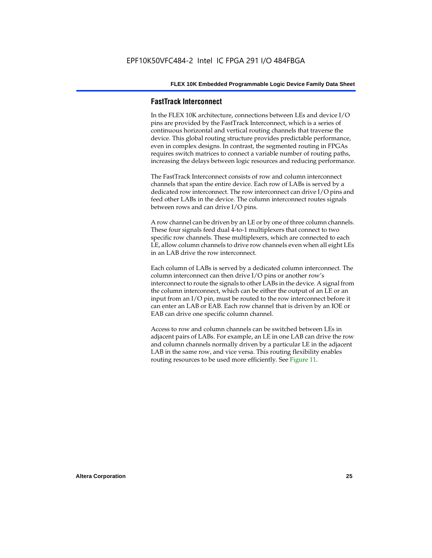#### **FastTrack Interconnect**

In the FLEX 10K architecture, connections between LEs and device I/O pins are provided by the FastTrack Interconnect, which is a series of continuous horizontal and vertical routing channels that traverse the device. This global routing structure provides predictable performance, even in complex designs. In contrast, the segmented routing in FPGAs requires switch matrices to connect a variable number of routing paths, increasing the delays between logic resources and reducing performance.

The FastTrack Interconnect consists of row and column interconnect channels that span the entire device. Each row of LABs is served by a dedicated row interconnect. The row interconnect can drive I/O pins and feed other LABs in the device. The column interconnect routes signals between rows and can drive I/O pins.

A row channel can be driven by an LE or by one of three column channels. These four signals feed dual 4-to-1 multiplexers that connect to two specific row channels. These multiplexers, which are connected to each LE, allow column channels to drive row channels even when all eight LEs in an LAB drive the row interconnect.

Each column of LABs is served by a dedicated column interconnect. The column interconnect can then drive I/O pins or another row's interconnect to route the signals to other LABs in the device. A signal from the column interconnect, which can be either the output of an LE or an input from an I/O pin, must be routed to the row interconnect before it can enter an LAB or EAB. Each row channel that is driven by an IOE or EAB can drive one specific column channel.

Access to row and column channels can be switched between LEs in adjacent pairs of LABs. For example, an LE in one LAB can drive the row and column channels normally driven by a particular LE in the adjacent LAB in the same row, and vice versa. This routing flexibility enables routing resources to be used more efficiently. See Figure 11.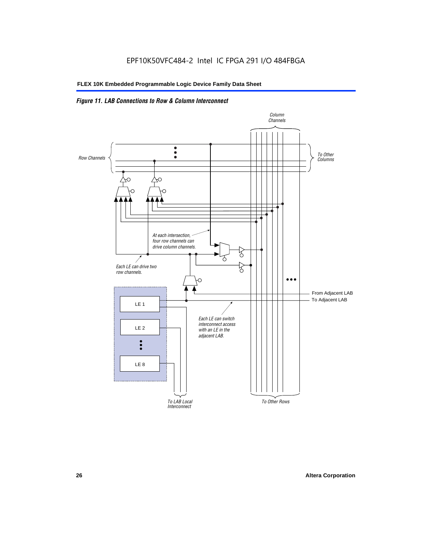### *Figure 11. LAB Connections to Row & Column Interconnect*

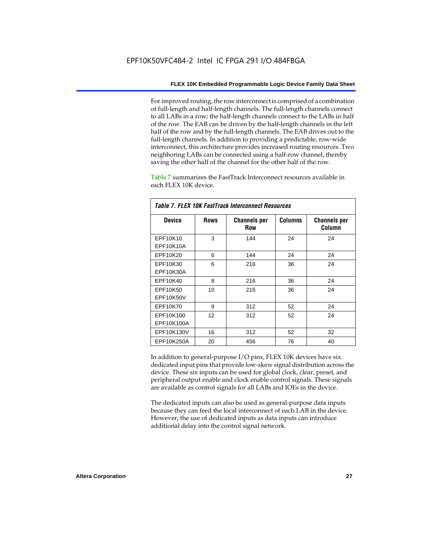For improved routing, the row interconnect is comprised of a combination of full-length and half-length channels. The full-length channels connect to all LABs in a row; the half-length channels connect to the LABs in half of the row. The EAB can be driven by the half-length channels in the left half of the row and by the full-length channels. The EAB drives out to the full-length channels. In addition to providing a predictable, row-wide interconnect, this architecture provides increased routing resources. Two neighboring LABs can be connected using a half-row channel, thereby saving the other half of the channel for the other half of the row.

Table 7 summarizes the FastTrack Interconnect resources available in each FLEX 10K device.

| Table 7. FLEX 10K FastTrack Interconnect Resources |             |                            |                |                               |  |
|----------------------------------------------------|-------------|----------------------------|----------------|-------------------------------|--|
| <b>Device</b>                                      | <b>Rows</b> | <b>Channels per</b><br>Row | <b>Columns</b> | <b>Channels per</b><br>Column |  |
| EPF10K10                                           | 3           | 144                        | 24             | 24                            |  |
| EPF10K10A                                          |             |                            |                |                               |  |
| EPF10K20                                           | 6           | 144                        | 24             | 24                            |  |
| EPF10K30                                           | 6           | 216                        | 36             | 24                            |  |
| EPF10K30A                                          |             |                            |                |                               |  |
| EPF10K40                                           | 8           | 216                        | 36             | 24                            |  |
| EPF10K50                                           | 10          | 216                        | 36             | 24                            |  |
| <b>EPF10K50V</b>                                   |             |                            |                |                               |  |
| EPF10K70                                           | 9           | 312                        | 52             | 24                            |  |
| EPF10K100                                          | 12          | 312                        | 52             | 24                            |  |
| EPF10K100A                                         |             |                            |                |                               |  |
| EPF10K130V                                         | 16          | 312                        | 52             | 32                            |  |
| EPF10K250A                                         | 20          | 456                        | 76             | 40                            |  |

In addition to general-purpose I/O pins, FLEX 10K devices have six dedicated input pins that provide low-skew signal distribution across the device. These six inputs can be used for global clock, clear, preset, and peripheral output enable and clock enable control signals. These signals are available as control signals for all LABs and IOEs in the device.

The dedicated inputs can also be used as general-purpose data inputs because they can feed the local interconnect of each LAB in the device. However, the use of dedicated inputs as data inputs can introduce additional delay into the control signal network.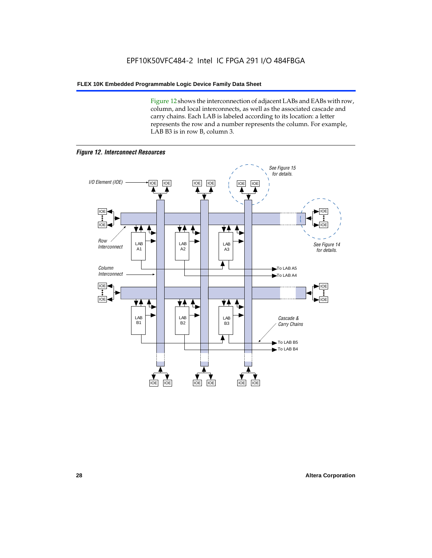Figure 12 shows the interconnection of adjacent LABs and EABs with row, column, and local interconnects, as well as the associated cascade and carry chains. Each LAB is labeled according to its location: a letter represents the row and a number represents the column. For example, LAB B3 is in row B, column 3.



*Figure 12. Interconnect Resources*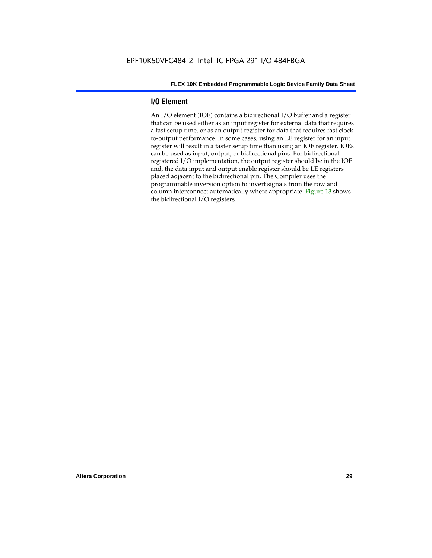#### **I/O Element**

An I/O element (IOE) contains a bidirectional I/O buffer and a register that can be used either as an input register for external data that requires a fast setup time, or as an output register for data that requires fast clockto-output performance. In some cases, using an LE register for an input register will result in a faster setup time than using an IOE register. IOEs can be used as input, output, or bidirectional pins. For bidirectional registered I/O implementation, the output register should be in the IOE and, the data input and output enable register should be LE registers placed adjacent to the bidirectional pin. The Compiler uses the programmable inversion option to invert signals from the row and column interconnect automatically where appropriate. Figure 13 shows the bidirectional I/O registers.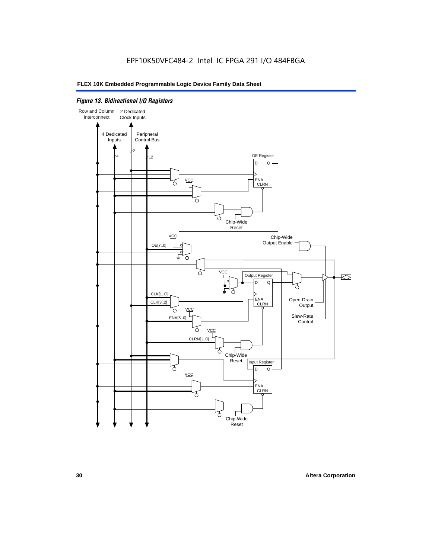#### *Figure 13. Bidirectional I/O Registers*

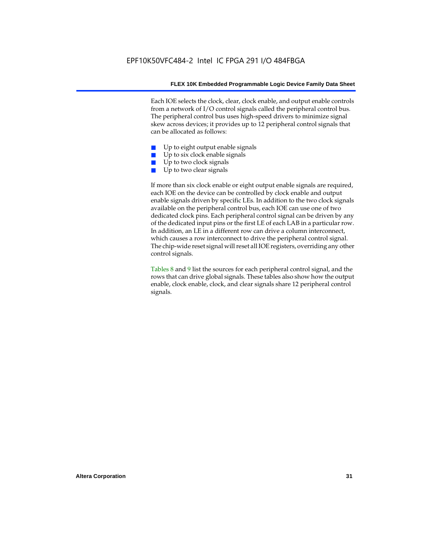Each IOE selects the clock, clear, clock enable, and output enable controls from a network of I/O control signals called the peripheral control bus. The peripheral control bus uses high-speed drivers to minimize signal skew across devices; it provides up to 12 peripheral control signals that can be allocated as follows:

- Up to eight output enable signals
- Up to six clock enable signals
- Up to two clock signals
- Up to two clear signals

If more than six clock enable or eight output enable signals are required, each IOE on the device can be controlled by clock enable and output enable signals driven by specific LEs. In addition to the two clock signals available on the peripheral control bus, each IOE can use one of two dedicated clock pins. Each peripheral control signal can be driven by any of the dedicated input pins or the first LE of each LAB in a particular row. In addition, an LE in a different row can drive a column interconnect, which causes a row interconnect to drive the peripheral control signal. The chip-wide reset signal will reset all IOE registers, overriding any other control signals.

Tables 8 and 9 list the sources for each peripheral control signal, and the rows that can drive global signals. These tables also show how the output enable, clock enable, clock, and clear signals share 12 peripheral control signals.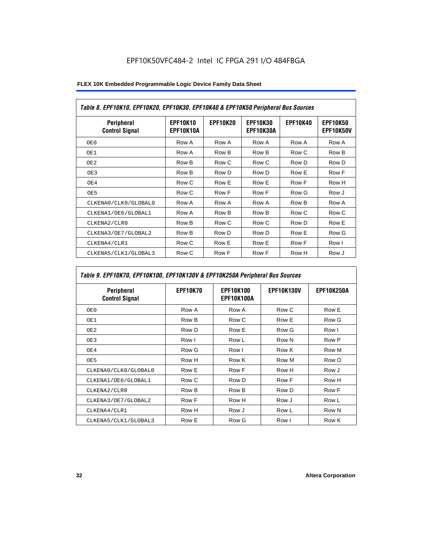| Table 8. EPF10K10, EPF10K20, EPF10K30, EPF10K40 & EPF10K50 Peripheral Bus Sources |                              |                 |                              |                 |                              |
|-----------------------------------------------------------------------------------|------------------------------|-----------------|------------------------------|-----------------|------------------------------|
| <b>Peripheral</b><br><b>Control Signal</b>                                        | <b>EPF10K10</b><br>EPF10K10A | <b>EPF10K20</b> | <b>EPF10K30</b><br>EPF10K30A | <b>EPF10K40</b> | <b>EPF10K50</b><br>EPF10K50V |
| OE0                                                                               | Row A                        | Row A           | Row A                        | Row A           | Row A                        |
| OE1                                                                               | Row A                        | Row B           | Row B                        | Row C           | Row B                        |
| OE2                                                                               | Row B                        | Row C           | Row C                        | Row D           | Row D                        |
| OE3                                                                               | Row B                        | Row D           | Row D                        | Row E           | Row F                        |
| OE4                                                                               | Row C                        | Row E           | Row E                        | Row F           | Row H                        |
| OE5                                                                               | Row C                        | Row F           | Row F                        | Row G           | Row J                        |
| CLKENA0/CLK0/GLOBAL0                                                              | Row A                        | Row A           | Row A                        | Row B           | Row A                        |
| CLKENA1/OE6/GLOBAL1                                                               | Row A                        | Row B           | Row B                        | Row C           | Row C                        |
| CLKENA2/CLR0                                                                      | Row B                        | Row C           | Row C                        | Row D           | Row E                        |
| CLKENA3/OE7/GLOBAL2                                                               | Row B                        | Row D           | Row D                        | Row E           | Row G                        |
| CLKENA4/CLR1                                                                      | Row C                        | Row E           | Row E                        | Row F           | Row I                        |
| CLKENA5/CLK1/GLOBAL3                                                              | Row C                        | Row F           | Row F                        | Row H           | Row J                        |

### *Table 9. EPF10K70, EPF10K100, EPF10K130V & EPF10K250A Peripheral Bus Sources*

| Peripheral<br><b>Control Signal</b> | <b>EPF10K70</b> | <b>EPF10K100</b><br>EPF10K100A | <b>EPF10K130V</b> | <b>EPF10K250A</b> |
|-------------------------------------|-----------------|--------------------------------|-------------------|-------------------|
| OE0                                 | Row A           | Row A                          | Row C             | Row E             |
| OE1                                 | Row B           | Row C                          | Row E             | Row G             |
| OE <sub>2</sub>                     | Row D           | Row E                          | Row G             | Row I             |
| OE3                                 | Row I           | Row L                          | Row N             | Row P             |
| OE4                                 | Row G           | Row I                          | Row K             | Row M             |
| OE5                                 | Row H           | Row K                          | Row M             | Row O             |
| CLKENA0/CLK0/GLOBAL0                | Row E           | Row F                          | Row H             | Row J             |
| CLKENA1/OE6/GLOBAL1                 | Row C           | Row D                          | Row F             | Row H             |
| CLKENA2/CLR0                        | Row B           | Row B                          | Row D             | Row F             |
| CLKENA3/OE7/GLOBAL2                 | Row F           | Row H                          | Row J             | Row L             |
| CLKENA4/CLR1                        | Row H           | Row J                          | Row L             | Row N             |
| CLKENA5/CLK1/GLOBAL3                | Row E           | Row G                          | Row I             | Row K             |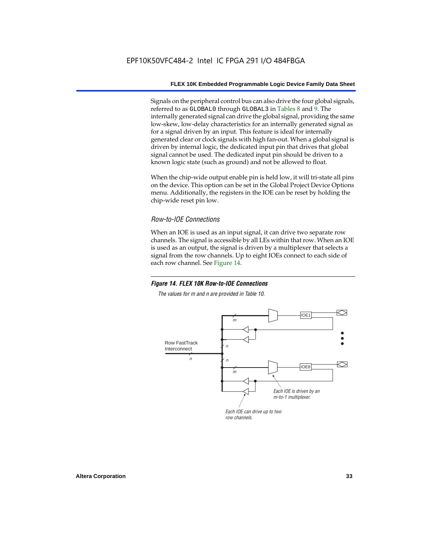Signals on the peripheral control bus can also drive the four global signals, referred to as GLOBAL0 through GLOBAL3 in Tables 8 and 9. The internally generated signal can drive the global signal, providing the same low-skew, low-delay characteristics for an internally generated signal as for a signal driven by an input. This feature is ideal for internally generated clear or clock signals with high fan-out. When a global signal is driven by internal logic, the dedicated input pin that drives that global signal cannot be used. The dedicated input pin should be driven to a known logic state (such as ground) and not be allowed to float.

When the chip-wide output enable pin is held low, it will tri-state all pins on the device. This option can be set in the Global Project Device Options menu. Additionally, the registers in the IOE can be reset by holding the chip-wide reset pin low.

#### *Row-to-IOE Connections*

When an IOE is used as an input signal, it can drive two separate row channels. The signal is accessible by all LEs within that row. When an IOE is used as an output, the signal is driven by a multiplexer that selects a signal from the row channels. Up to eight IOEs connect to each side of each row channel. See Figure 14.

#### *Figure 14. FLEX 10K Row-to-IOE Connections*

*The values for m and n are provided in Table 10.*

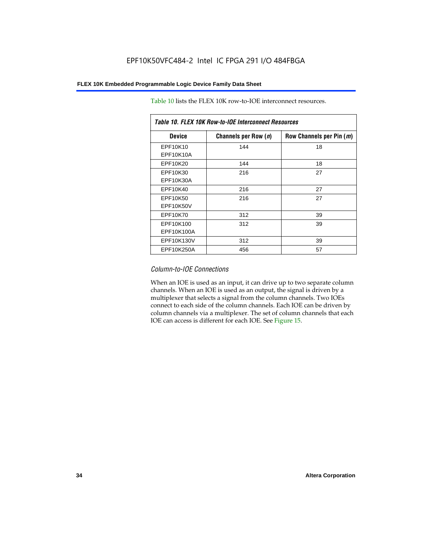| Table 10. FLEX 10K Row-to-IOE Interconnect Resources |                      |                          |  |  |  |
|------------------------------------------------------|----------------------|--------------------------|--|--|--|
| <b>Device</b>                                        | Channels per Row (n) | Row Channels per Pin (m) |  |  |  |
| EPF10K10<br>EPF10K10A                                | 144                  | 18                       |  |  |  |
| EPF10K20                                             | 144                  | 18                       |  |  |  |
| EPF10K30<br>EPF10K30A                                | 216                  | 27                       |  |  |  |
| EPF10K40                                             | 216                  | 27                       |  |  |  |
| EPF10K50<br>EPF10K50V                                | 216                  | 27                       |  |  |  |
| EPF10K70                                             | 312                  | 39                       |  |  |  |
| EPF10K100<br>EPF10K100A                              | 312                  | 39                       |  |  |  |
| EPF10K130V                                           | 312                  | 39                       |  |  |  |
| EPF10K250A                                           | 456                  | 57                       |  |  |  |

Table 10 lists the FLEX 10K row-to-IOE interconnect resources.

#### *Column-to-IOE Connections*

When an IOE is used as an input, it can drive up to two separate column channels. When an IOE is used as an output, the signal is driven by a multiplexer that selects a signal from the column channels. Two IOEs connect to each side of the column channels. Each IOE can be driven by column channels via a multiplexer. The set of column channels that each IOE can access is different for each IOE. See Figure 15.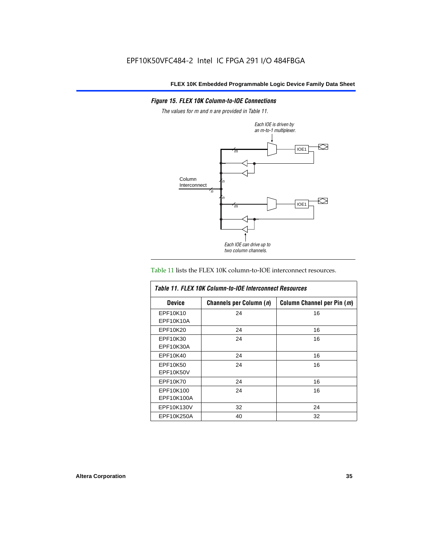#### *Figure 15. FLEX 10K Column-to-IOE Connections*

*The values for m and n are provided in Table 11.*



#### Table 11 lists the FLEX 10K column-to-IOE interconnect resources.

| Table 11, FLEX 10K Column-to-IOE Interconnect Resources |                         |                            |  |  |  |
|---------------------------------------------------------|-------------------------|----------------------------|--|--|--|
| <b>Device</b>                                           | Channels per Column (n) | Column Channel per Pin (m) |  |  |  |
| EPF10K10                                                | 24                      | 16                         |  |  |  |
| EPF10K10A                                               |                         |                            |  |  |  |
| EPF10K20                                                | 24                      | 16                         |  |  |  |
| EPF10K30                                                | 24                      | 16                         |  |  |  |
| EPF10K30A                                               |                         |                            |  |  |  |
| EPF10K40                                                | 24                      | 16                         |  |  |  |
| EPF10K50                                                | 24                      | 16                         |  |  |  |
| EPF10K50V                                               |                         |                            |  |  |  |
| EPF10K70                                                | 24                      | 16                         |  |  |  |
| EPF10K100                                               | 24                      | 16                         |  |  |  |
| EPF10K100A                                              |                         |                            |  |  |  |
| EPF10K130V                                              | 32                      | 24                         |  |  |  |
| EPF10K250A                                              | 40                      | 32                         |  |  |  |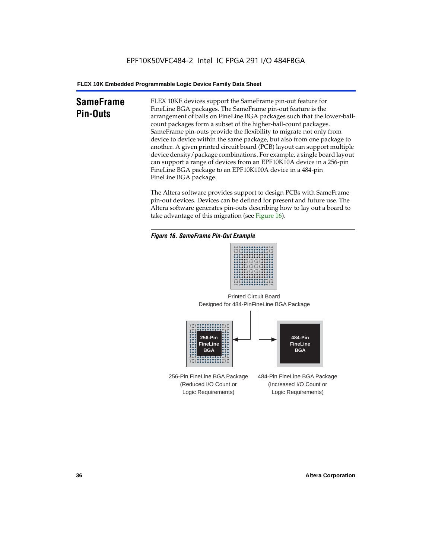# **SameFrame Pin-Outs**

FLEX 10KE devices support the SameFrame pin-out feature for FineLine BGA packages. The SameFrame pin-out feature is the arrangement of balls on FineLine BGA packages such that the lower-ballcount packages form a subset of the higher-ball-count packages. SameFrame pin-outs provide the flexibility to migrate not only from device to device within the same package, but also from one package to another. A given printed circuit board (PCB) layout can support multiple device density/package combinations. For example, a single board layout can support a range of devices from an EPF10K10A device in a 256-pin FineLine BGA package to an EPF10K100A device in a 484-pin FineLine BGA package.

The Altera software provides support to design PCBs with SameFrame pin-out devices. Devices can be defined for present and future use. The Altera software generates pin-outs describing how to lay out a board to take advantage of this migration (see Figure 16).







256-Pin FineLine BGA Package (Reduced I/O Count or Logic Requirements) 484-Pin FineLine BGA Package (Increased I/O Count or Logic Requirements)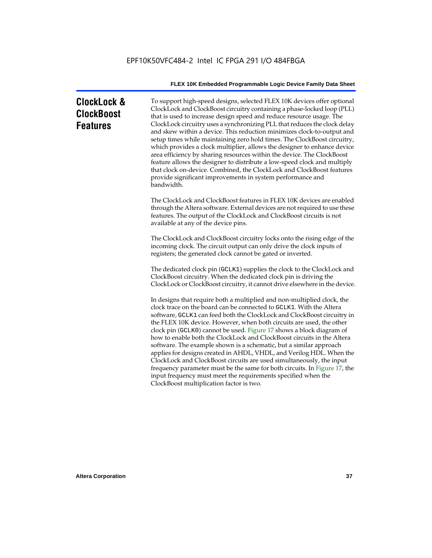| <b>ClockLock &amp;</b><br><b>ClockBoost</b><br><b>Features</b> | To support high-speed designs, selected FLEX 10K devices offer optional<br>ClockLock and ClockBoost circuitry containing a phase-locked loop (PLL)<br>that is used to increase design speed and reduce resource usage. The<br>ClockLock circuitry uses a synchronizing PLL that reduces the clock delay<br>and skew within a device. This reduction minimizes clock-to-output and<br>setup times while maintaining zero hold times. The ClockBoost circuitry,<br>which provides a clock multiplier, allows the designer to enhance device<br>area efficiency by sharing resources within the device. The ClockBoost<br>feature allows the designer to distribute a low-speed clock and multiply<br>that clock on-device. Combined, the ClockLock and ClockBoost features<br>provide significant improvements in system performance and<br>bandwidth.                |
|----------------------------------------------------------------|---------------------------------------------------------------------------------------------------------------------------------------------------------------------------------------------------------------------------------------------------------------------------------------------------------------------------------------------------------------------------------------------------------------------------------------------------------------------------------------------------------------------------------------------------------------------------------------------------------------------------------------------------------------------------------------------------------------------------------------------------------------------------------------------------------------------------------------------------------------------|
|                                                                | The ClockLock and ClockBoost features in FLEX 10K devices are enabled<br>through the Altera software. External devices are not required to use these<br>features. The output of the ClockLock and ClockBoost circuits is not<br>available at any of the device pins.                                                                                                                                                                                                                                                                                                                                                                                                                                                                                                                                                                                                |
|                                                                | The ClockLock and ClockBoost circuitry locks onto the rising edge of the<br>incoming clock. The circuit output can only drive the clock inputs of<br>registers; the generated clock cannot be gated or inverted.                                                                                                                                                                                                                                                                                                                                                                                                                                                                                                                                                                                                                                                    |
|                                                                | The dedicated clock pin (GCLK1) supplies the clock to the ClockLock and<br>ClockBoost circuitry. When the dedicated clock pin is driving the<br>ClockLock or ClockBoost circuitry, it cannot drive elsewhere in the device.                                                                                                                                                                                                                                                                                                                                                                                                                                                                                                                                                                                                                                         |
|                                                                | In designs that require both a multiplied and non-multiplied clock, the<br>clock trace on the board can be connected to GCLK1. With the Altera<br>software, GCLK1 can feed both the ClockLock and ClockBoost circuitry in<br>the FLEX 10K device. However, when both circuits are used, the other<br>clock pin (GCLK0) cannot be used. Figure 17 shows a block diagram of<br>how to enable both the ClockLock and ClockBoost circuits in the Altera<br>software. The example shown is a schematic, but a similar approach<br>applies for designs created in AHDL, VHDL, and Verilog HDL. When the<br>ClockLock and ClockBoost circuits are used simultaneously, the input<br>frequency parameter must be the same for both circuits. In Figure 17, the<br>input frequency must meet the requirements specified when the<br>ClockBoost multiplication factor is two. |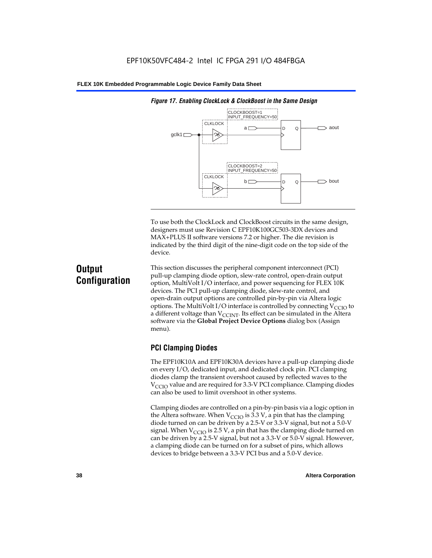

*Figure 17. Enabling ClockLock & ClockBoost in the Same Design*

To use both the ClockLock and ClockBoost circuits in the same design, designers must use Revision C EPF10K100GC503-3DX devices and MAX+PLUS II software versions 7.2 or higher. The die revision is indicated by the third digit of the nine-digit code on the top side of the device.

# **Output Configuration**

This section discusses the peripheral component interconnect (PCI) pull-up clamping diode option, slew-rate control, open-drain output option, MultiVolt I/O interface, and power sequencing for FLEX 10K devices. The PCI pull-up clamping diode, slew-rate control, and open-drain output options are controlled pin-by-pin via Altera logic options. The MultiVolt I/O interface is controlled by connecting  $V_{\text{CCIO}}$  to a different voltage than  $V_{\text{CCINT}}$ . Its effect can be simulated in the Altera software via the **Global Project Device Options** dialog box (Assign menu).

# **PCI Clamping Diodes**

The EPF10K10A and EPF10K30A devices have a pull-up clamping diode on every I/O, dedicated input, and dedicated clock pin. PCI clamping diodes clamp the transient overshoot caused by reflected waves to the  $V_{\text{CCIO}}$  value and are required for 3.3-V PCI compliance. Clamping diodes can also be used to limit overshoot in other systems.

Clamping diodes are controlled on a pin-by-pin basis via a logic option in the Altera software. When  $V_{\text{CCIO}}$  is 3.3 V, a pin that has the clamping diode turned on can be driven by a 2.5-V or 3.3-V signal, but not a 5.0-V signal. When  $V_{\text{CCIO}}$  is 2.5 V, a pin that has the clamping diode turned on can be driven by a 2.5-V signal, but not a 3.3-V or 5.0-V signal. However, a clamping diode can be turned on for a subset of pins, which allows devices to bridge between a 3.3-V PCI bus and a 5.0-V device.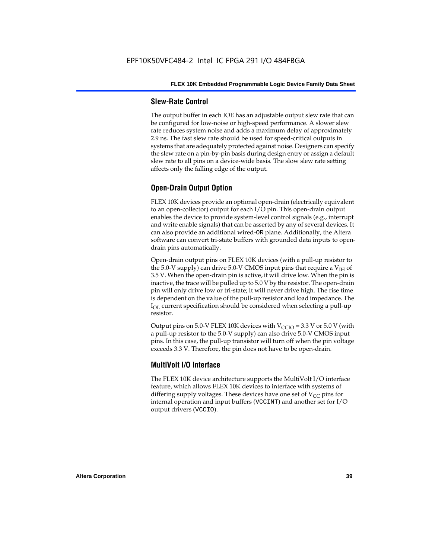### **Slew-Rate Control**

The output buffer in each IOE has an adjustable output slew rate that can be configured for low-noise or high-speed performance. A slower slew rate reduces system noise and adds a maximum delay of approximately 2.9 ns. The fast slew rate should be used for speed-critical outputs in systems that are adequately protected against noise. Designers can specify the slew rate on a pin-by-pin basis during design entry or assign a default slew rate to all pins on a device-wide basis. The slow slew rate setting affects only the falling edge of the output.

# **Open-Drain Output Option**

FLEX 10K devices provide an optional open-drain (electrically equivalent to an open-collector) output for each I/O pin. This open-drain output enables the device to provide system-level control signals (e.g., interrupt and write enable signals) that can be asserted by any of several devices. It can also provide an additional wired-OR plane. Additionally, the Altera software can convert tri-state buffers with grounded data inputs to opendrain pins automatically.

Open-drain output pins on FLEX 10K devices (with a pull-up resistor to the 5.0-V supply) can drive 5.0-V CMOS input pins that require a  $V<sub>IH</sub>$  of 3.5 V. When the open-drain pin is active, it will drive low. When the pin is inactive, the trace will be pulled up to 5.0 V by the resistor. The open-drain pin will only drive low or tri-state; it will never drive high. The rise time is dependent on the value of the pull-up resistor and load impedance. The  $I_{\text{OL}}$  current specification should be considered when selecting a pull-up resistor.

Output pins on 5.0-V FLEX 10K devices with  $V_{\text{CCIO}} = 3.3$  V or 5.0 V (with a pull-up resistor to the 5.0-V supply) can also drive 5.0-V CMOS input pins. In this case, the pull-up transistor will turn off when the pin voltage exceeds 3.3 V. Therefore, the pin does not have to be open-drain.

## **MultiVolt I/O Interface**

The FLEX 10K device architecture supports the MultiVolt I/O interface feature, which allows FLEX 10K devices to interface with systems of differing supply voltages. These devices have one set of  $V_{CC}$  pins for internal operation and input buffers (VCCINT) and another set for I/O output drivers (VCCIO).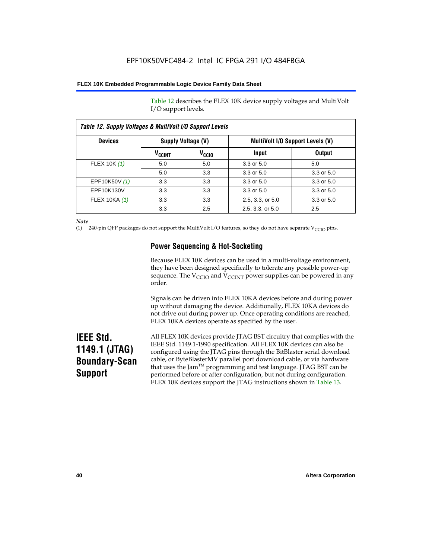Table 12 describes the FLEX 10K device supply voltages and MultiVolt I/O support levels.

| Table 12. Supply Voltages & MultiVolt I/O Support Levels |                          |                   |                                         |               |  |
|----------------------------------------------------------|--------------------------|-------------------|-----------------------------------------|---------------|--|
| <b>Devices</b>                                           | Supply Voltage (V)       |                   | <b>MultiVolt I/O Support Levels (V)</b> |               |  |
|                                                          | <b>V<sub>CCINT</sub></b> | V <sub>CCIO</sub> | Input                                   | <b>Output</b> |  |
| FLEX 10K (1)                                             | 5.0                      | 5.0               | 3.3 or 5.0                              | 5.0           |  |
|                                                          | 5.0                      | 3.3               | 3.3 or 5.0                              | 3.3 or 5.0    |  |
| EPF10K50V (1)                                            | 3.3                      | 3.3               | $3.3$ or $5.0$                          | 3.3 or 5.0    |  |
| EPF10K130V                                               | 3.3                      | 3.3               | $3.3$ or $5.0$                          | 3.3 or 5.0    |  |
| FLEX 10KA (1)                                            | 3.3                      | 3.3               | 2.5, 3.3, or 5.0                        | 3.3 or 5.0    |  |
|                                                          | 3.3                      | 2.5               | 2.5, 3.3, or 5.0                        | 2.5           |  |

*Note*

(1) 240-pin QFP packages do not support the MultiVolt I/O features, so they do not have separate V<sub>CCIO</sub> pins.

# **Power Sequencing & Hot-Socketing**

Because FLEX 10K devices can be used in a multi-voltage environment, they have been designed specifically to tolerate any possible power-up sequence. The  $V_{\text{CCIO}}$  and  $V_{\text{CCINT}}$  power supplies can be powered in any order.

Signals can be driven into FLEX 10KA devices before and during power up without damaging the device. Additionally, FLEX 10KA devices do not drive out during power up. Once operating conditions are reached, FLEX 10KA devices operate as specified by the user.

# **IEEE Std. 1149.1 (JTAG) Boundary-Scan Support**

All FLEX 10K devices provide JTAG BST circuitry that complies with the IEEE Std. 1149.1-1990 specification. All FLEX 10K devices can also be configured using the JTAG pins through the BitBlaster serial download cable, or ByteBlasterMV parallel port download cable, or via hardware that uses the Jam<sup>TM</sup> programming and test language. JTAG BST can be performed before or after configuration, but not during configuration. FLEX 10K devices support the JTAG instructions shown in Table 13.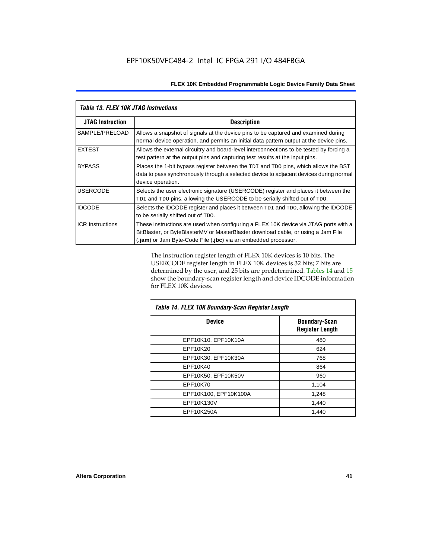| Table 13. FLEX 10K JTAG Instructions |                                                                                                                                                                                                                                             |
|--------------------------------------|---------------------------------------------------------------------------------------------------------------------------------------------------------------------------------------------------------------------------------------------|
| <b>JTAG Instruction</b>              | <b>Description</b>                                                                                                                                                                                                                          |
| SAMPLE/PRELOAD                       | Allows a snapshot of signals at the device pins to be captured and examined during<br>normal device operation, and permits an initial data pattern output at the device pins.                                                               |
| <b>EXTEST</b>                        | Allows the external circuitry and board-level interconnections to be tested by forcing a<br>test pattern at the output pins and capturing test results at the input pins.                                                                   |
| <b>BYPASS</b>                        | Places the 1-bit bypass register between the TDI and TDO pins, which allows the BST<br>data to pass synchronously through a selected device to adjacent devices during normal<br>device operation.                                          |
| <b>USERCODE</b>                      | Selects the user electronic signature (USERCODE) register and places it between the<br>TDI and TDO pins, allowing the USERCODE to be serially shifted out of TDO.                                                                           |
| <b>IDCODE</b>                        | Selects the IDCODE register and places it between TDI and TDO, allowing the IDCODE<br>to be serially shifted out of TDO.                                                                                                                    |
| <b>ICR Instructions</b>              | These instructions are used when configuring a FLEX 10K device via JTAG ports with a<br>BitBlaster, or ByteBlasterMV or MasterBlaster download cable, or using a Jam File<br>(.jam) or Jam Byte-Code File (.jbc) via an embedded processor. |

The instruction register length of FLEX 10K devices is 10 bits. The USERCODE register length in FLEX 10K devices is 32 bits; 7 bits are determined by the user, and 25 bits are predetermined. Tables 14 and 15 show the boundary-scan register length and device IDCODE information for FLEX 10K devices.

| Table 14. FLEX 10K Boundary-Scan Register Length |                                                |  |  |  |
|--------------------------------------------------|------------------------------------------------|--|--|--|
| <b>Device</b>                                    | <b>Boundary-Scan</b><br><b>Register Length</b> |  |  |  |
| EPF10K10, EPF10K10A                              | 480                                            |  |  |  |
| EPF10K20                                         | 624                                            |  |  |  |
| EPF10K30, EPF10K30A                              | 768                                            |  |  |  |
| EPF10K40                                         | 864                                            |  |  |  |
| EPF10K50, EPF10K50V                              | 960                                            |  |  |  |
| EPF10K70                                         | 1,104                                          |  |  |  |
| EPF10K100, EPF10K100A                            | 1,248                                          |  |  |  |
| EPF10K130V                                       | 1,440                                          |  |  |  |
| EPF10K250A                                       | 1,440                                          |  |  |  |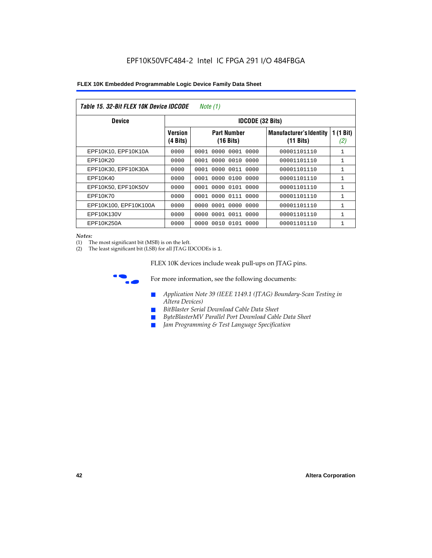| Table 15. 32-Bit FLEX 10K Device IDCODE<br>Note (1) |                            |                                           |                                                       |                    |  |  |  |
|-----------------------------------------------------|----------------------------|-------------------------------------------|-------------------------------------------------------|--------------------|--|--|--|
| <b>Device</b>                                       |                            | <b>IDCODE (32 Bits)</b>                   |                                                       |                    |  |  |  |
|                                                     | <b>Version</b><br>(4 Bits) | <b>Part Number</b><br>$(16 \text{ bits})$ | <b>Manufacturer's Identity</b><br>$(11 \text{ bits})$ | 1 $(1$ Bit)<br>(2) |  |  |  |
| EPF10K10, EPF10K10A                                 | 0000                       | 0001<br>0000<br>0001 0000                 | 00001101110                                           | $\mathbf{1}$       |  |  |  |
| EPF10K20                                            | 0000                       | 0000 0010 0000<br>0001                    | 00001101110                                           | 1                  |  |  |  |
| EPF10K30, EPF10K30A                                 | 0000                       | 0001 0000 0011 0000                       | 00001101110                                           | 1                  |  |  |  |
| EPF10K40                                            | 0000                       | 0000<br>0100<br>0001<br>0000              | 00001101110                                           | $\mathbf{1}$       |  |  |  |
| EPF10K50, EPF10K50V                                 | 0000                       | 0001 0000 0101 0000                       | 00001101110                                           | 1                  |  |  |  |
| EPF10K70                                            | 0000                       | 0000 0111 0000<br>0001                    | 00001101110                                           | $\mathbf{1}$       |  |  |  |
| EPF10K100, EPF10K100A                               | 0000                       | 0001 0000 0000<br>0000                    | 00001101110                                           | 1                  |  |  |  |
| EPF10K130V                                          | 0000                       | 0000<br>0001 0011 0000                    | 00001101110                                           | 1                  |  |  |  |
| EPF10K250A                                          | 0000                       | 0000<br>0010 0101 0000                    | 00001101110                                           | $\mathbf{1}$       |  |  |  |

#### *Notes:*

(1) The most significant bit (MSB) is on the left.

(2) The least significant bit (LSB) for all JTAG IDCODEs is 1.

FLEX 10K devices include weak pull-ups on JTAG pins.



**for more information, see the following documents:** 

- *Application Note 39 (IEEE 1149.1 (JTAG) Boundary-Scan Testing in Altera Devices)*
- *BitBlaster Serial Download Cable Data Sheet*
- *ByteBlasterMV Parallel Port Download Cable Data Sheet*
- *Jam Programming & Test Language Specification*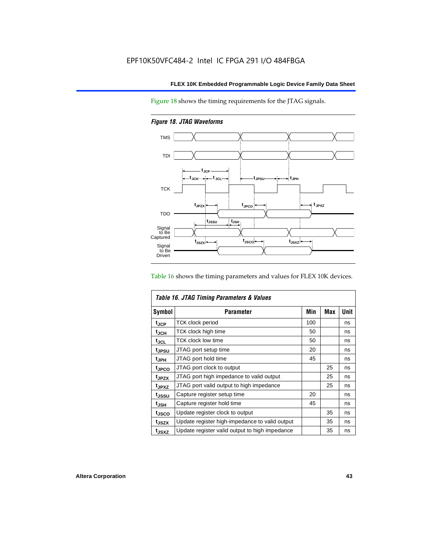Figure 18 shows the timing requirements for the JTAG signals.

*Figure 18. JTAG Waveforms*



Table 16 shows the timing parameters and values for FLEX 10K devices.

|                   | Table 16. JTAG Timing Parameters & Values      |     |            |      |  |  |
|-------------------|------------------------------------------------|-----|------------|------|--|--|
| <b>Symbol</b>     | <b>Parameter</b>                               | Min | <b>Max</b> | Unit |  |  |
| t <sub>JCP</sub>  | <b>TCK clock period</b>                        | 100 |            | ns   |  |  |
| t <sub>JCH</sub>  | TCK clock high time                            | 50  |            | ns   |  |  |
| $t_{JCL}$         | TCK clock low time                             | 50  |            | ns   |  |  |
| tjpsu             | JTAG port setup time                           | 20  |            | ns   |  |  |
| t <sub>JPH</sub>  | JTAG port hold time                            | 45  |            | ns   |  |  |
| <sup>t</sup> JPCO | JTAG port clock to output                      |     | 25         | ns   |  |  |
| t <sub>JPZX</sub> | JTAG port high impedance to valid output       |     | 25         | ns   |  |  |
| t <sub>JPXZ</sub> | JTAG port valid output to high impedance       |     | 25         | ns   |  |  |
| tussu             | Capture register setup time                    | 20  |            | ns   |  |  |
| $t_{JSH}$         | Capture register hold time                     | 45  |            | ns   |  |  |
| tjsco             | Update register clock to output                |     | 35         | ns   |  |  |
| t <sub>JSZX</sub> | Update register high-impedance to valid output |     | 35         | ns   |  |  |
| t <sub>JSXZ</sub> | Update register valid output to high impedance |     | 35         | ns   |  |  |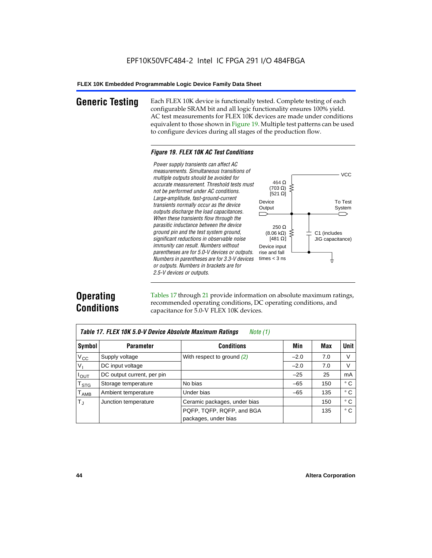**Generic Testing** Each FLEX 10K device is functionally tested. Complete testing of each configurable SRAM bit and all logic functionality ensures 100% yield. AC test measurements for FLEX 10K devices are made under conditions equivalent to those shown in Figure 19. Multiple test patterns can be used to configure devices during all stages of the production flow.

#### *Figure 19. FLEX 10K AC Test Conditions*

*Power supply transients can affect AC measurements. Simultaneous transitions of*  $V<sub>CC</sub>$ *multiple outputs should be avoided for* 464 Ω *accurate measurement. Threshold tests must* (703 Ω) ξ *not be performed under AC conditions.*  $[521 \Omega]$ *Large-amplitude, fast-ground-current* To Test Device *transients normally occur as the device* Output System *outputs discharge the load capacitances. When these transients flow through the parasitic inductance between the device* 250 Ω *ground pin and the test system ground,*  $(8.06 \text{ k}\Omega)$ C1 (includes *significant reductions in observable noise* [481 $\Omega$ ] JIG capacitance) *immunity can result. Numbers without*  Device input *parentheses are for 5.0-V devices or outputs.*  rise and fall *Numbers in parentheses are for 3.3-V devices*  times  $<$  3 ns ŧ *or outputs. Numbers in brackets are for 2.5-V devices or outputs.*

# **Operating Conditions**

Tables 17 through 21 provide information on absolute maximum ratings, recommended operating conditions, DC operating conditions, and capacitance for 5.0-V FLEX 10K devices.

| Table 17. FLEX 10K 5.0-V Device Absolute Maximum Ratings<br>Note (1) |                            |                              |        |     |              |  |
|----------------------------------------------------------------------|----------------------------|------------------------------|--------|-----|--------------|--|
| Symbol                                                               | <b>Parameter</b>           | <b>Conditions</b>            | Min    | Max | <b>Unit</b>  |  |
| $V_{\rm CC}$                                                         | Supply voltage             | With respect to ground $(2)$ | $-2.0$ | 7.0 | V            |  |
| $V_{I}$                                                              | DC input voltage           |                              | $-2.0$ | 7.0 | V            |  |
| $I_{\text{OUT}}$                                                     | DC output current, per pin |                              | $-25$  | 25  | mA           |  |
| $\mathsf{T}_{\texttt{STG}}$                                          | Storage temperature        | No bias                      | $-65$  | 150 | °C           |  |
| $\mathsf{T}_{\mathsf{AMB}}$                                          | Ambient temperature        | Under bias                   | $-65$  | 135 | $^{\circ}$ C |  |
| $T_{\rm J}$                                                          | Junction temperature       | Ceramic packages, under bias |        | 150 | °C           |  |
|                                                                      |                            | PQFP, TQFP, RQFP, and BGA    |        | 135 | $^{\circ}$ C |  |
|                                                                      |                            | packages, under bias         |        |     |              |  |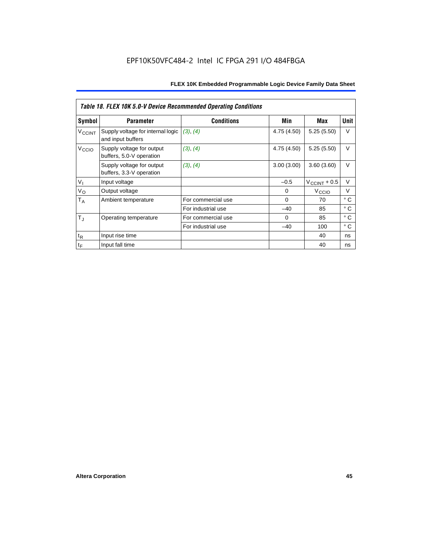|                          | Table 18. FLEX 10K 5.0-V Device Recommended Operating Conditions |                    |             |                          |              |  |  |
|--------------------------|------------------------------------------------------------------|--------------------|-------------|--------------------------|--------------|--|--|
| Symbol                   | <b>Parameter</b>                                                 | <b>Conditions</b>  | Min         | Max                      | Unit         |  |  |
| <b>V<sub>CCINT</sub></b> | Supply voltage for internal logic<br>and input buffers           | (3), (4)           | 4.75 (4.50) | 5.25(5.50)               | V            |  |  |
| V <sub>CCIO</sub>        | Supply voltage for output<br>buffers, 5.0-V operation            | (3), (4)           | 4.75 (4.50) | 5.25(5.50)               | $\vee$       |  |  |
|                          | Supply voltage for output<br>buffers, 3.3-V operation            | (3), (4)           | 3.00(3.00)  | 3.60(3.60)               | $\vee$       |  |  |
| V <sub>1</sub>           | Input voltage                                                    |                    | $-0.5$      | $V_{\text{CCINT}} + 0.5$ | V            |  |  |
| $V_{\rm O}$              | Output voltage                                                   |                    | 0           | V <sub>CCIO</sub>        | V            |  |  |
| $T_A$                    | Ambient temperature                                              | For commercial use | $\mathbf 0$ | 70                       | ° C          |  |  |
|                          |                                                                  | For industrial use | $-40$       | 85                       | $^{\circ}$ C |  |  |
| $T_{\rm J}$              | Operating temperature                                            | For commercial use | $\Omega$    | 85                       | ° C          |  |  |
|                          |                                                                  | For industrial use | $-40$       | 100                      | ° C          |  |  |
| $t_{R}$                  | Input rise time                                                  |                    |             | 40                       | ns           |  |  |
| $t_F$                    | Input fall time                                                  |                    |             | 40                       | ns           |  |  |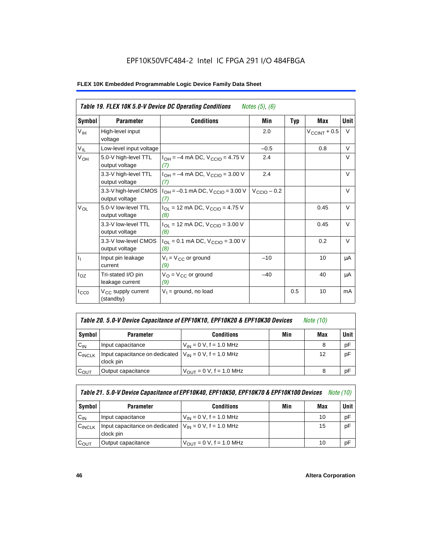# EPF10K50VFC484-2 Intel IC FPGA 291 I/O 484FBGA

|                           | Table 19. FLEX 10K 5.0-V Device DC Operating Conditions<br><i>Notes</i> $(5)$ , $(6)$ |                                                   |                         |            |                   |             |  |
|---------------------------|---------------------------------------------------------------------------------------|---------------------------------------------------|-------------------------|------------|-------------------|-------------|--|
| Symbol                    | <b>Parameter</b>                                                                      | <b>Conditions</b>                                 | Min                     | <b>Typ</b> | <b>Max</b>        | <b>Unit</b> |  |
| $V_{\text{IH}}$           | High-level input<br>voltage                                                           |                                                   | 2.0                     |            | $V_{CCINT} + 0.5$ | V           |  |
| $V_{IL}$                  | Low-level input voltage                                                               |                                                   | $-0.5$                  |            | 0.8               | V           |  |
| V <sub>OH</sub>           | 5.0-V high-level TTL<br>output voltage                                                | $I_{OH} = -4$ mA DC, $V_{CGIO} = 4.75$ V<br>(7)   | 2.4                     |            |                   | V           |  |
|                           | 3.3-V high-level TTL<br>output voltage                                                | $I_{OH} = -4$ mA DC, $V_{CGIO} = 3.00$ V<br>(7)   | 2.4                     |            |                   | V           |  |
|                           | 3.3-V high-level CMOS<br>output voltage                                               | $I_{OH} = -0.1$ mA DC, $V_{CCIO} = 3.00$ V<br>(7) | $V_{\text{CCIO}} - 0.2$ |            |                   | $\vee$      |  |
| $V_{OL}$                  | 5.0-V low-level TTL<br>output voltage                                                 | $I_{OL}$ = 12 mA DC, $V_{CCIO}$ = 4.75 V<br>(8)   |                         |            | 0.45              | $\vee$      |  |
|                           | 3.3-V low-level TTL<br>output voltage                                                 | $I_{OL}$ = 12 mA DC, $V_{CCIO}$ = 3.00 V<br>(8)   |                         |            | 0.45              | $\vee$      |  |
|                           | 3.3-V low-level CMOS<br>output voltage                                                | $I_{OL}$ = 0.1 mA DC, $V_{CCIO}$ = 3.00 V<br>(8)  |                         |            | 0.2               | $\vee$      |  |
| $\mathbf{I}_{\mathbf{I}}$ | Input pin leakage<br>current                                                          | $V_1 = V_{CC}$ or ground<br>(9)                   | $-10$                   |            | 10                | μA          |  |
| $I_{OZ}$                  | Tri-stated I/O pin<br>leakage current                                                 | $V_{O} = V_{CC}$ or ground<br>(9)                 | $-40$                   |            | 40                | μA          |  |
| $I_{CC0}$                 | V <sub>CC</sub> supply current<br>(standby)                                           | $V_1$ = ground, no load                           |                         | 0.5        | 10                | mA          |  |

| Table 20. 5.0-V Device Capacitance of EPF10K10, EPF10K20 & EPF10K30 Devices | Note (10) |  |
|-----------------------------------------------------------------------------|-----------|--|
|-----------------------------------------------------------------------------|-----------|--|

| Symbol    | <b>Parameter</b>                                                         | <b>Conditions</b>                   | Min | Max | <b>Unit</b> |
|-----------|--------------------------------------------------------------------------|-------------------------------------|-----|-----|-------------|
| $C_{IN}$  | Input capacitance                                                        | $V_{IN} = 0 V$ , f = 1.0 MHz        |     |     | pF          |
| CINCLK    | Input capacitance on dedicated $V_{IN} = 0 V$ , f = 1.0 MHz<br>clock pin |                                     |     | 12  | pF          |
| $C_{OUT}$ | Output capacitance                                                       | $V_{\text{OUT}} = 0 V, f = 1.0 MHz$ |     |     | рF          |

| Table 21. 5.0-V Device Capacitance of EPF10K40, EPF10K50, EPF10K70 & EPF10K100 Devices<br><i>Note (10)</i> |                                                                          |                               |     |     |             |  |
|------------------------------------------------------------------------------------------------------------|--------------------------------------------------------------------------|-------------------------------|-----|-----|-------------|--|
| Symbol                                                                                                     | <b>Parameter</b>                                                         | <b>Conditions</b>             | Min | Max | <b>Unit</b> |  |
| $C_{IN}$                                                                                                   | Input capacitance                                                        | $V_{IN} = 0 V$ , f = 1.0 MHz  |     | 10  | рF          |  |
| CINCLK                                                                                                     | Input capacitance on dedicated $V_{IN} = 0 V$ , f = 1.0 MHz<br>clock pin |                               |     | 15  | pF          |  |
| $C_{OUT}$                                                                                                  | Output capacitance                                                       | $V_{OIII}$ = 0 V, f = 1.0 MHz |     | 10  | рF          |  |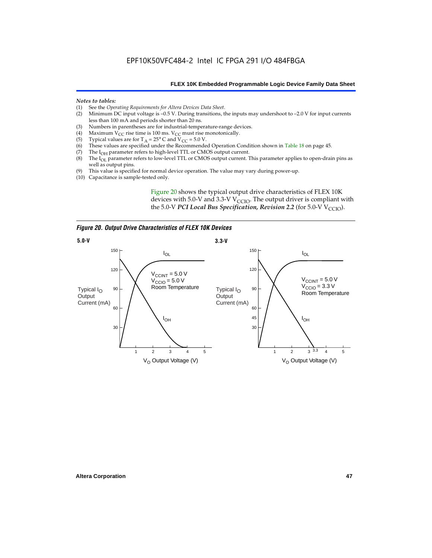#### *Notes to tables:*

- (1) See the *Operating Requirements for Altera Devices Data Sheet*.
- Minimum DC input voltage is  $-0.5$  V. During transitions, the inputs may undershoot to  $-2.0$  V for input currents less than 100 mA and periods shorter than 20 ns.
- (3) Numbers in parentheses are for industrial-temperature-range devices.<br>(4) Maximum  $V_{CC}$  rise time is 100 ms.  $V_{CC}$  must rise monotonically.
- (4) Maximum V<sub>CC</sub> rise time is 100 ms. V<sub>CC</sub> must rise monotonically.<br>(5) Typical values are for T<sub>A</sub> = 25° C and V<sub>CC</sub> = 5.0 V.
- (5) Typical values are for  $T_A = 25^\circ$  C and  $V_{CC} = 5.0$  V.<br>(6) These values are specified under the Recommende
- (6) These values are specified under the Recommended Operation Condition shown in Table 18 on page 45.<br>(7) The  $I_{OH}$  parameter refers to high-level TTL or CMOS output current.
- (7) The  $I_{OH}$  parameter refers to high-level TTL or CMOS output current.<br>(8) The  $I_{OL}$  parameter refers to low-level TTL or CMOS output current. T
- The I<sub>OL</sub> parameter refers to low-level TTL or CMOS output current. This parameter applies to open-drain pins as well as output pins.
- (9) This value is specified for normal device operation. The value may vary during power-up.
- (10) Capacitance is sample-tested only.

Figure 20 shows the typical output drive characteristics of FLEX 10K devices with 5.0-V and 3.3-V  $V_{CCIO}$ . The output driver is compliant with the 5.0-V *PCI Local Bus Specification, Revision 2.2* (for 5.0-V  $V_{\text{CCIO}}$ ).

*Figure 20. Output Drive Characteristics of FLEX 10K Devices*

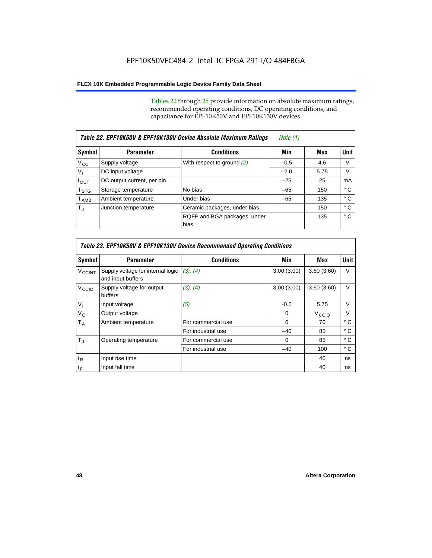Tables 22 through 25 provide information on absolute maximum ratings, recommended operating conditions, DC operating conditions, and capacitance for EPF10K50V and EPF10K130V devices.

| Table 22. EPF10K50V & EPF10K130V Device Absolute Maximum Ratings |                            |                                      |        |      |             |
|------------------------------------------------------------------|----------------------------|--------------------------------------|--------|------|-------------|
| Symbol                                                           | <b>Parameter</b>           | <b>Conditions</b>                    | Min    | Max  | <b>Unit</b> |
| $V_{\rm CC}$                                                     | Supply voltage             | With respect to ground $(2)$         | $-0.5$ | 4.6  | V           |
| $V_{I}$                                                          | DC input voltage           |                                      | $-2.0$ | 5.75 | V           |
| $I_{\text{OUT}}$                                                 | DC output current, per pin |                                      | $-25$  | 25   | mA          |
| $\mathsf{T}_{\text{STG}}$                                        | Storage temperature        | No bias                              | $-65$  | 150  | ° C         |
| $T_{\sf AMB}$                                                    | Ambient temperature        | Under bias                           | $-65$  | 135  | ° C         |
| $T_{\rm J}$                                                      | Junction temperature       | Ceramic packages, under bias         |        | 150  | ° C         |
|                                                                  |                            | RQFP and BGA packages, under<br>bias |        | 135  | ° C         |

|                          | Table 23. EPF10K50V & EPF10K130V Device Recommended Operating Conditions |                    |            |                   |              |  |  |
|--------------------------|--------------------------------------------------------------------------|--------------------|------------|-------------------|--------------|--|--|
| Symbol                   | <b>Parameter</b>                                                         | <b>Conditions</b>  | Min        | Max               | <b>Unit</b>  |  |  |
| <b>V<sub>CCINT</sub></b> | Supply voltage for internal logic<br>and input buffers                   | (3), (4)           | 3.00(3.00) | 3.60(3.60)        | V            |  |  |
| V <sub>CCIO</sub>        | Supply voltage for output<br>buffers                                     | (3), (4)           | 3.00(3.00) | 3.60(3.60)        | $\vee$       |  |  |
| $V_{1}$                  | Input voltage                                                            | (5)                | $-0.5$     | 5.75              | $\vee$       |  |  |
| $V_{\rm O}$              | Output voltage                                                           |                    | $\Omega$   | V <sub>CCIO</sub> | $\vee$       |  |  |
| $T_A$                    | Ambient temperature                                                      | For commercial use | $\Omega$   | 70                | $^{\circ}$ C |  |  |
|                          |                                                                          | For industrial use | $-40$      | 85                | ° C          |  |  |
| $T_{J}$                  | Operating temperature                                                    | For commercial use | $\Omega$   | 85                | ° C          |  |  |
|                          |                                                                          | For industrial use | $-40$      | 100               | ° C          |  |  |
| $t_{R}$                  | Input rise time                                                          |                    |            | 40                | ns           |  |  |
| $t_F$                    | Input fall time                                                          |                    |            | 40                | ns           |  |  |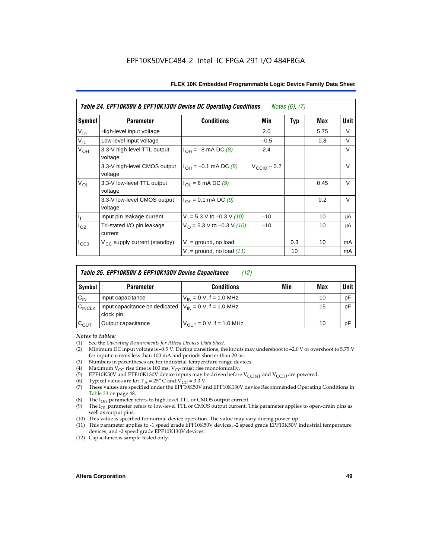| Table 24. EPF10K50V & EPF10K130V Device DC Operating Conditions<br><i>Notes <math>(6)</math>, <math>(7)</math></i> |                                          |                                          |                         |     |      |        |
|--------------------------------------------------------------------------------------------------------------------|------------------------------------------|------------------------------------------|-------------------------|-----|------|--------|
| Symbol                                                                                                             | <b>Parameter</b>                         | <b>Conditions</b>                        | Min                     | Typ | Max  | Unit   |
| V <sub>IH</sub>                                                                                                    | High-level input voltage                 |                                          | 2.0                     |     | 5.75 | V      |
| $V_{IL}$                                                                                                           | Low-level input voltage                  |                                          | $-0.5$                  |     | 0.8  | V      |
| V <sub>OH</sub>                                                                                                    | 3.3-V high-level TTL output<br>voltage   | $I_{OH} = -8$ mA DC (8)                  | 2.4                     |     |      | $\vee$ |
|                                                                                                                    | 3.3-V high-level CMOS output<br>voltage  | $I_{OH} = -0.1$ mA DC (8)                | $V_{\text{CCIO}} - 0.2$ |     |      | $\vee$ |
| $V_{OL}$                                                                                                           | 3.3-V low-level TTL output<br>voltage    | $I_{\Omega I}$ = 8 mA DC (9)             |                         |     | 0.45 | V      |
|                                                                                                                    | 3.3-V low-level CMOS output<br>voltage   | $I_{\text{OI}} = 0.1 \text{ mA DC } (9)$ |                         |     | 0.2  | $\vee$ |
| $\mathsf{I}_1$                                                                                                     | Input pin leakage current                | $V_1 = 5.3$ V to -0.3 V (10)             | $-10$                   |     | 10   | μA     |
| $I_{OZ}$                                                                                                           | Tri-stated I/O pin leakage<br>current    | $V_O$ = 5.3 V to -0.3 V (10)             | $-10$                   |     | 10   | μA     |
| $I_{CC0}$                                                                                                          | $V_{\text{CC}}$ supply current (standby) | $V_1$ = ground, no load                  |                         | 0.3 | 10   | mA     |
|                                                                                                                    |                                          | $V_1$ = ground, no load (11)             |                         | 10  |      | mA     |

| Table 25. EPF10K50V & EPF10K130V Device Capacitance<br>(12) |                                                                          |                              |     |     |             |  |
|-------------------------------------------------------------|--------------------------------------------------------------------------|------------------------------|-----|-----|-------------|--|
| Symbol                                                      | <b>Parameter</b>                                                         | <b>Conditions</b>            | Min | Max | <b>Unit</b> |  |
| $C_{IN}$                                                    | Input capacitance                                                        | $V_{IN} = 0 V$ , f = 1.0 MHz |     | 10  | pF          |  |
| $C_{\text{INCLK}}$                                          | Input capacitance on dedicated $V_{IN} = 0 V$ , f = 1.0 MHz<br>clock pin |                              |     | 15  | pF          |  |
| $C_{OUT}$                                                   | Output capacitance                                                       | $V_{OUT} = 0 V, f = 1.0 MHz$ |     | 10  | pF          |  |

#### *Notes to tables:*

- (1) See the *Operating Requirements for Altera Devices Data Sheet*.
- Minimum DC input voltage is –0.5 V. During transitions, the inputs may undershoot to –2.0 V or overshoot to 5.75 V for input currents less than 100 mA and periods shorter than 20 ns.
- (3) Numbers in parentheses are for industrial-temperature-range devices.<br>(4) Maximum  $V_{CC}$  rise time is 100 ms.  $V_{CC}$  must rise monotonically.
- (4) Maximum  $V_{CC}$  rise time is 100 ms.  $V_{CC}$  must rise monotonically.<br>(5) EPF10K50V and EPF10K130V device inputs may be driven before
- (5) EPF10K50V and EPF10K130V device inputs may be driven before V<sub>CCINT</sub> and V<sub>CCIO</sub> are powered.<br>(6) Typical values are for T<sub>A</sub> = 25° C and V<sub>CC</sub> = 3.3 V.
- Typical values are for  $T_A = 25^\circ$  C and  $V_{CC} = 3.3$  V.
- (7) These values are specified under the EPF10K50V and EPF10K130V device Recommended Operating Conditions in Table 23 on page 48.
- (8) The  $I<sub>OH</sub>$  parameter refers to high-level TTL or CMOS output current.
- (9) The  $I_{OL}$  parameter refers to low-level TTL or CMOS output current. This parameter applies to open-drain pins as well as output pins.
- (10) This value is specified for normal device operation. The value may vary during power-up.
- (11) This parameter applies to -1 speed grade EPF10K50V devices, -2 speed grade EPF10K50V industrial temperature devices, and -2 speed grade EPF10K130V devices.
- (12) Capacitance is sample-tested only.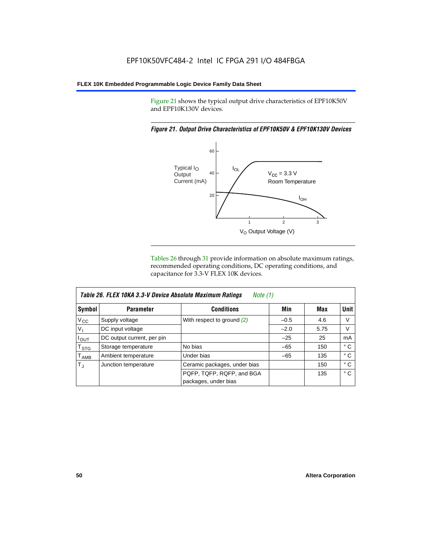Figure 21 shows the typical output drive characteristics of EPF10K50V and EPF10K130V devices.

#### *Figure 21. Output Drive Characteristics of EPF10K50V & EPF10K130V Devices*



Tables 26 through 31 provide information on absolute maximum ratings, recommended operating conditions, DC operating conditions, and capacitance for 3.3-V FLEX 10K devices.

|                  | Table 26. FLEX 10KA 3.3-V Device Absolute Maximum Ratings<br>Note (1) |                              |        |      |              |  |  |
|------------------|-----------------------------------------------------------------------|------------------------------|--------|------|--------------|--|--|
| Symbol           | <b>Parameter</b>                                                      | <b>Conditions</b>            | Min    | Max  | Unit         |  |  |
| $V_{\rm CC}$     | Supply voltage                                                        | With respect to ground $(2)$ | $-0.5$ | 4.6  | V            |  |  |
| $V_{I}$          | DC input voltage                                                      |                              | $-2.0$ | 5.75 | V            |  |  |
| $I_{OUT}$        | DC output current, per pin                                            |                              | $-25$  | 25   | mA           |  |  |
| $T_{\text{STG}}$ | Storage temperature                                                   | No bias                      | $-65$  | 150  | $^{\circ}$ C |  |  |
| $T_{\sf AMB}$    | Ambient temperature                                                   | Under bias                   | $-65$  | 135  | ° C          |  |  |
| $T_{\rm J}$      | Junction temperature                                                  | Ceramic packages, under bias |        | 150  | ° C          |  |  |
|                  |                                                                       | PQFP, TQFP, RQFP, and BGA    |        | 135  | $^{\circ}$ C |  |  |
|                  |                                                                       | packages, under bias         |        |      |              |  |  |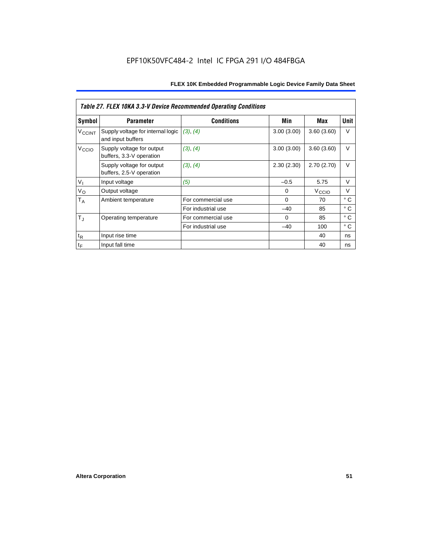| Table 27. FLEX 10KA 3.3-V Device Recommended Operating Conditions |                                                        |                    |            |                   |              |  |  |
|-------------------------------------------------------------------|--------------------------------------------------------|--------------------|------------|-------------------|--------------|--|--|
| Symbol                                                            | <b>Parameter</b>                                       | <b>Conditions</b>  | Min        | Max               | Unit         |  |  |
| <b>V<sub>CCINT</sub></b>                                          | Supply voltage for internal logic<br>and input buffers | (3), (4)           | 3.00(3.00) | 3.60(3.60)        | V            |  |  |
| V <sub>CCIO</sub>                                                 | Supply voltage for output<br>buffers, 3.3-V operation  | (3), (4)           | 3.00(3.00) | 3.60(3.60)        | $\vee$       |  |  |
|                                                                   | Supply voltage for output<br>buffers, 2.5-V operation  | (3), (4)           | 2.30(2.30) | 2.70(2.70)        | V            |  |  |
| V <sub>1</sub>                                                    | Input voltage                                          | (5)                | $-0.5$     | 5.75              | $\vee$       |  |  |
| $V_{\rm O}$                                                       | Output voltage                                         |                    | 0          | V <sub>CCIO</sub> | $\vee$       |  |  |
| $T_A$                                                             | Ambient temperature                                    | For commercial use | $\Omega$   | 70                | $^{\circ}$ C |  |  |
|                                                                   |                                                        | For industrial use | $-40$      | 85                | $^{\circ}$ C |  |  |
| $T_{\rm J}$                                                       | Operating temperature                                  | For commercial use | $\Omega$   | 85                | $^{\circ}$ C |  |  |
|                                                                   |                                                        | For industrial use | $-40$      | 100               | $^{\circ}$ C |  |  |
| $t_{R}$                                                           | Input rise time                                        |                    |            | 40                | ns           |  |  |
| $t_F$                                                             | Input fall time                                        |                    |            | 40                | ns           |  |  |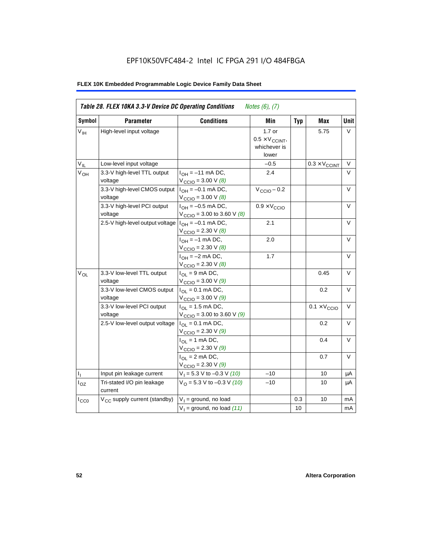# EPF10K50VFC484-2 Intel IC FPGA 291 I/O 484FBGA

| Table 28. FLEX 10KA 3.3-V Device DC Operating Conditions<br><i>Notes</i> $(6)$ , $(7)$ |                                          |                                                                                 |                                                             |            |                              |        |  |
|----------------------------------------------------------------------------------------|------------------------------------------|---------------------------------------------------------------------------------|-------------------------------------------------------------|------------|------------------------------|--------|--|
| <b>Symbol</b>                                                                          | <b>Parameter</b>                         | <b>Conditions</b>                                                               | Min                                                         | <b>Typ</b> | Max                          | Unit   |  |
| V <sub>IH</sub>                                                                        | High-level input voltage                 |                                                                                 | $1.7$ or<br>$0.5 \times V_{CCINT}$<br>whichever is<br>lower |            | 5.75                         | V      |  |
| $V_{IL}$                                                                               | Low-level input voltage                  |                                                                                 | $-0.5$                                                      |            | $0.3 \times V_{CCINT}$       | $\vee$ |  |
| $V_{OH}$                                                                               | 3.3-V high-level TTL output<br>voltage   | $I_{OH} = -11$ mA DC,<br>$V_{\text{CCIO}} = 3.00 \text{ V } (8)$                | 2.4                                                         |            |                              | $\vee$ |  |
|                                                                                        | 3.3-V high-level CMOS output<br>voltage  | $I_{OH} = -0.1$ mA DC,<br>$V_{\text{CCIO}} = 3.00 \text{ V } (8)$               | $V_{\text{CCIO}} - 0.2$                                     |            |                              | V      |  |
|                                                                                        | 3.3-V high-level PCI output<br>voltage   | $I_{OH} = -0.5$ mA DC,<br>$V_{\text{CCIO}} = 3.00$ to 3.60 V (8)                | $0.9 \times V_{\text{CCIO}}$                                |            |                              | $\vee$ |  |
|                                                                                        | 2.5-V high-level output voltage          | $I_{OH} = -0.1$ mA DC,<br>$V_{\text{CCIO}} = 2.30 \text{ V } (8)$               | 2.1                                                         |            |                              | $\vee$ |  |
|                                                                                        |                                          | $I_{OH} = -1$ mA DC,<br>$V_{\text{CCIO}} = 2.30 \text{ V } (8)$                 | 2.0                                                         |            |                              | $\vee$ |  |
|                                                                                        |                                          | $I_{OH} = -2$ mA DC,<br>$V_{\text{CCIO}} = 2.30 \text{ V } (8)$                 | 1.7                                                         |            |                              | V      |  |
| $V_{OL}$                                                                               | 3.3-V low-level TTL output<br>voltage    | $I_{OL}$ = 9 mA DC,<br>$V_{\text{CCIO}} = 3.00 \text{ V} (9)$                   |                                                             |            | 0.45                         | $\vee$ |  |
|                                                                                        | 3.3-V low-level CMOS output<br>voltage   | $I_{\text{OI}} = 0.1 \text{ mA} \text{ DC},$<br>$V_{\text{CCIO}} = 3.00 V (9)$  |                                                             |            | 0.2                          | $\vee$ |  |
|                                                                                        | 3.3-V low-level PCI output<br>voltage    | $I_{\text{O1}} = 1.5 \text{ mA DC}$ ,<br>$V_{\text{CCIO}} = 3.00$ to 3.60 V (9) |                                                             |            | $0.1 \times V_{\text{CCIO}}$ | V      |  |
|                                                                                        | 2.5-V low-level output voltage           | $I_{OL} = 0.1$ mA DC,<br>$V_{\text{CCIO}} = 2.30 V (9)$                         |                                                             |            | 0.2                          | $\vee$ |  |
|                                                                                        |                                          | $I_{OL}$ = 1 mA DC,<br>$V_{\text{CCIO}} = 2.30 \text{ V} (9)$                   |                                                             |            | 0.4                          | $\vee$ |  |
|                                                                                        |                                          | $I_{OL}$ = 2 mA DC,<br>$V_{\text{CCIO}} = 2.30 V (9)$                           |                                                             |            | 0.7                          | $\vee$ |  |
| Τ,                                                                                     | Input pin leakage current                | $V_1 = 5.3$ V to -0.3 V (10)                                                    | $-10$                                                       |            | 10                           | μA     |  |
| $I_{OZ}$                                                                               | Tri-stated I/O pin leakage<br>current    | $V_O = 5.3 V to -0.3 V (10)$                                                    | $-10$                                                       |            | 10                           | μA     |  |
| $I_{CC0}$                                                                              | V <sub>CC</sub> supply current (standby) | $V_1$ = ground, no load                                                         |                                                             | 0.3        | 10                           | mA     |  |
|                                                                                        |                                          | $V_1$ = ground, no load (11)                                                    |                                                             | 10         |                              | mA     |  |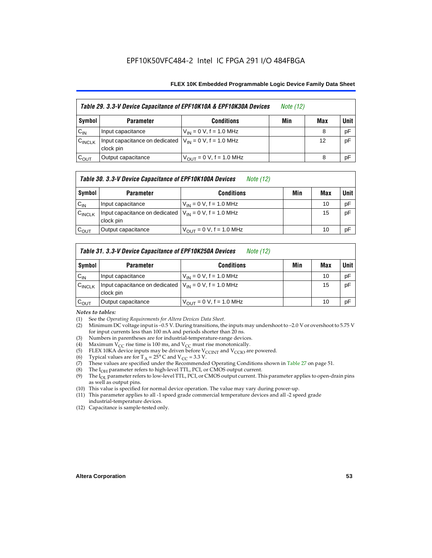| Table 29. 3.3-V Device Capacitance of EPF10K10A & EPF10K30A Devices |                                                                           |                               | <i>Note</i> (12) |     |        |
|---------------------------------------------------------------------|---------------------------------------------------------------------------|-------------------------------|------------------|-----|--------|
| Symbol                                                              | <b>Parameter</b>                                                          | <b>Conditions</b>             | Min              | Max | Unit I |
| $C_{IN}$                                                            | Input capacitance                                                         | $V_{IN} = 0 V$ , f = 1.0 MHz  |                  | 8   | pF     |
| $C_{\text{INCLK}}$                                                  | Input capacitance on dedicated $ V_{IN} = 0 V$ , f = 1.0 MHz<br>clock pin |                               |                  | 12  | pF     |
| $C_{OUT}$                                                           | Output capacitance                                                        | $V_{OUT} = 0 V$ , f = 1.0 MHz |                  | 8   | pF     |

#### *Table 30. 3.3-V Device Capacitance of EPF10K100A Devices Note (12)*

| Symbol             | <b>Parameter</b>                                                        | <b>Conditions</b>                   | Min | Max | <b>Unit</b> |
|--------------------|-------------------------------------------------------------------------|-------------------------------------|-----|-----|-------------|
| $C_{IN}$           | Input capacitance                                                       | $V_{IN} = 0 V$ , f = 1.0 MHz        |     | 10  | pF          |
| $C_{\text{INCLK}}$ | Input capacitance on dedicated $V_{1N} = 0$ V, f = 1.0 MHz<br>clock pin |                                     |     | 15  | pF          |
| $\mathrm{c_{out}}$ | Output capacitance                                                      | $V_{\text{OUT}} = 0$ V, f = 1.0 MHz |     | 10  | pF          |

#### *Table 31. 3.3-V Device Capacitance of EPF10K250A Devices Note (12)*

| Symbol             | <b>Parameter</b>                                                          | <b>Conditions</b>                                           | Min | Max | <b>Unit</b> |
|--------------------|---------------------------------------------------------------------------|-------------------------------------------------------------|-----|-----|-------------|
| $C_{IN}$           | Input capacitance                                                         | $V_{IN} = 0 V$ , f = 1.0 MHz                                |     | 10  | pF          |
| $C_{\text{INCLK}}$ | Input capacitance on dedicated $ V_{IN} = 0 V$ , f = 1.0 MHz<br>clock pin |                                                             |     | 15  | pF          |
| $C_{\text{OUT}}$   | Output capacitance                                                        | $V_{\text{OUT}} = 0 \text{ V}, \text{ f} = 1.0 \text{ MHz}$ |     | 10  | pF          |

#### *Notes to tables:*

- (1) See the *Operating Requirements for Altera Devices Data Sheet*.
- (2) Minimum DC voltage input is –0.5 V. During transitions, the inputs may undershoot to –2.0 V or overshoot to 5.75 V for input currents less than 100 mA and periods shorter than 20 ns.
- (3) Numbers in parentheses are for industrial-temperature-range devices.
- 
- (4) Maximum V<sub>CC</sub> rise time is 100 ms, and V<sub>CC</sub> must rise monotonically.<br>(5) ELEX 10KA device inputs may be driven before V<sub>CCINT</sub> and V<sub>CCIO</sub> ar (5) FLEX 10KA device inputs may be driven before  $V_{CCTN}$  and  $V_{CCTO}$  are powered.<br>(6) Typical values are for T<sub>A</sub> = 25° C and  $V_{CC}$  = 3.3 V.
- (6) Typical values are for  $T_A = 25^\circ$  C and  $V_{CC} = 3.3$  V.<br>(7) These values are specified under the Recommende
- These values are specified under the Recommended Operating Conditions shown in Table 27 on page 51.
- (8) The  $I_{OH}$  parameter refers to high-level TTL, PCI, or CMOS output current. The  $I_{OH}$  parameter refers to low-level TTL, PCI, or CMOS output current. The
- The I<sub>OL</sub> parameter refers to low-level TTL, PCI, or CMOS output current. This parameter applies to open-drain pins as well as output pins.
- (10) This value is specified for normal device operation. The value may vary during power-up.
- (11) This parameter applies to all -1 speed grade commercial temperature devices and all -2 speed grade industrial-temperature devices.
- (12) Capacitance is sample-tested only.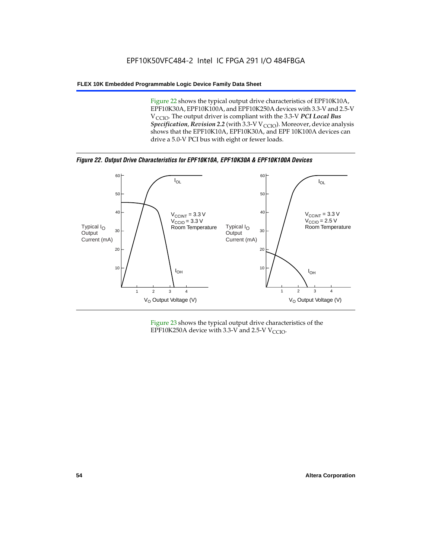Figure 22 shows the typical output drive characteristics of EPF10K10A, EPF10K30A, EPF10K100A, and EPF10K250A devices with 3.3-V and 2.5-V V<sub>CCIO</sub>. The output driver is compliant with the 3.3-V PCI Local Bus *Specification, Revision 2.2* (with 3.3-V V<sub>CCIO</sub>). Moreover, device analysis shows that the EPF10K10A, EPF10K30A, and EPF 10K100A devices can drive a 5.0-V PCI bus with eight or fewer loads.

*Figure 22. Output Drive Characteristics for EPF10K10A, EPF10K30A & EPF10K100A Devices*



Figure 23 shows the typical output drive characteristics of the EPF10K250A device with 3.3-V and 2.5-V  $V_{\text{CCIO}}$ .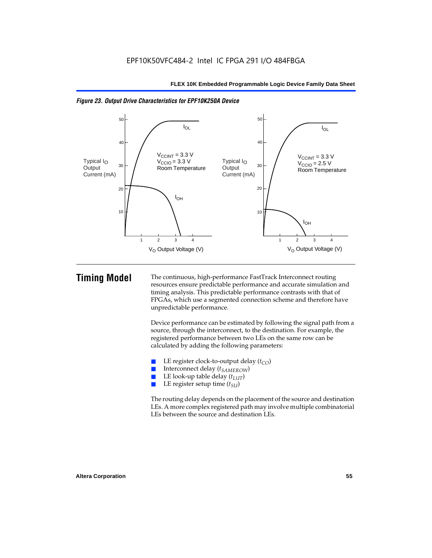



**Timing Model** The continuous, high-performance FastTrack Interconnect routing resources ensure predictable performance and accurate simulation and timing analysis. This predictable performance contrasts with that of FPGAs, which use a segmented connection scheme and therefore have unpredictable performance.

> Device performance can be estimated by following the signal path from a source, through the interconnect, to the destination. For example, the registered performance between two LEs on the same row can be calculated by adding the following parameters:

- **E** LE register clock-to-output delay  $(t_{CO})$ <br> **E** Interconnect delay  $(t_{CMBOW})$
- Interconnect delay (*t<sub>SAMEROW</sub>*)
- LE look-up table delay  $(t_{LUT})$
- LE register setup time ( $t_{SI}$ )

The routing delay depends on the placement of the source and destination LEs. A more complex registered path may involve multiple combinatorial LEs between the source and destination LEs.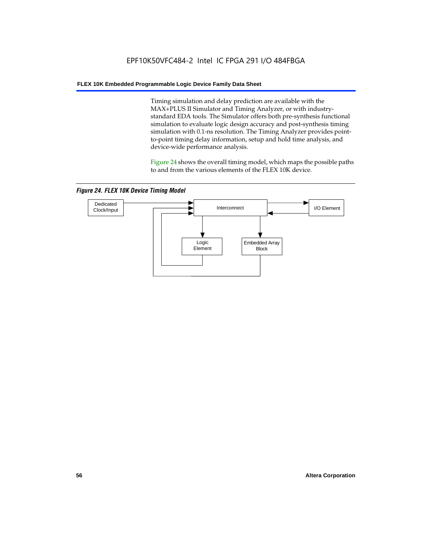Timing simulation and delay prediction are available with the MAX+PLUS II Simulator and Timing Analyzer, or with industrystandard EDA tools. The Simulator offers both pre-synthesis functional simulation to evaluate logic design accuracy and post-synthesis timing simulation with 0.1-ns resolution. The Timing Analyzer provides pointto-point timing delay information, setup and hold time analysis, and device-wide performance analysis.

Figure 24 shows the overall timing model, which maps the possible paths to and from the various elements of the FLEX 10K device.

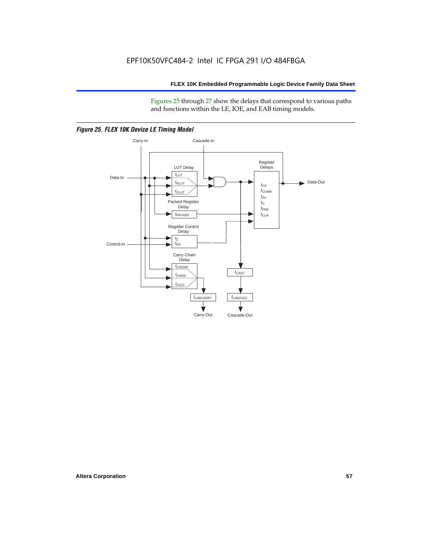Figures 25 through 27 show the delays that correspond to various paths and functions within the LE, IOE, and EAB timing models.



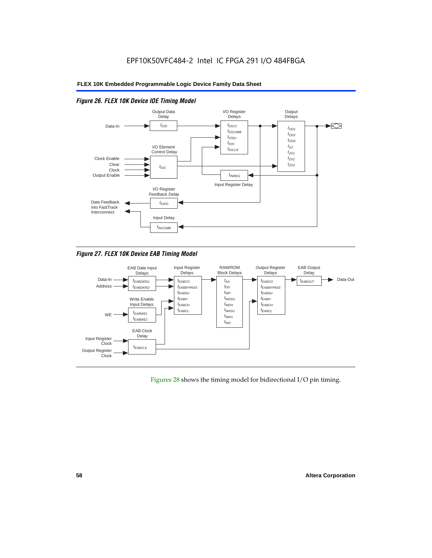

### *Figure 26. FLEX 10K Device IOE Timing Model*

*Figure 27. FLEX 10K Device EAB Timing Model*



Figures 28 shows the timing model for bidirectional I/O pin timing.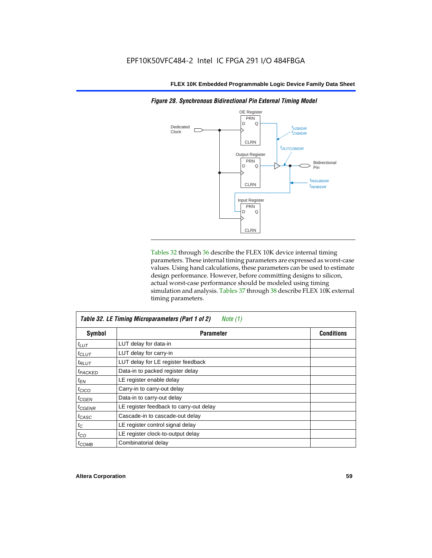

*Figure 28. Synchronous Bidirectional Pin External Timing Model*

Tables 32 through 36 describe the FLEX 10K device internal timing parameters. These internal timing parameters are expressed as worst-case values. Using hand calculations, these parameters can be used to estimate design performance. However, before committing designs to silicon, actual worst-case performance should be modeled using timing simulation and analysis. Tables 37 through 38 describe FLEX 10K external timing parameters.

| Table 32. LE Timing Microparameters (Part 1 of 2)<br>Note $(1)$ |                                         |                   |  |  |  |
|-----------------------------------------------------------------|-----------------------------------------|-------------------|--|--|--|
| Symbol                                                          | <b>Parameter</b>                        | <b>Conditions</b> |  |  |  |
| $t_{LUT}$                                                       | LUT delay for data-in                   |                   |  |  |  |
| $t_{CLUT}$                                                      | LUT delay for carry-in                  |                   |  |  |  |
| $t_{RLUT}$                                                      | LUT delay for LE register feedback      |                   |  |  |  |
| <b><i>FPACKED</i></b>                                           | Data-in to packed register delay        |                   |  |  |  |
| $t_{EN}$                                                        | LE register enable delay                |                   |  |  |  |
| $t_{CICO}$                                                      | Carry-in to carry-out delay             |                   |  |  |  |
| <sup>t</sup> CGEN                                               | Data-in to carry-out delay              |                   |  |  |  |
| <sup>t</sup> CGENR                                              | LE register feedback to carry-out delay |                   |  |  |  |
| t <sub>CASC</sub>                                               | Cascade-in to cascade-out delay         |                   |  |  |  |
| $t_C$                                                           | LE register control signal delay        |                   |  |  |  |
| $t_{CO}$                                                        | LE register clock-to-output delay       |                   |  |  |  |
| $t_{COMB}$                                                      | Combinatorial delay                     |                   |  |  |  |

 $\overline{1}$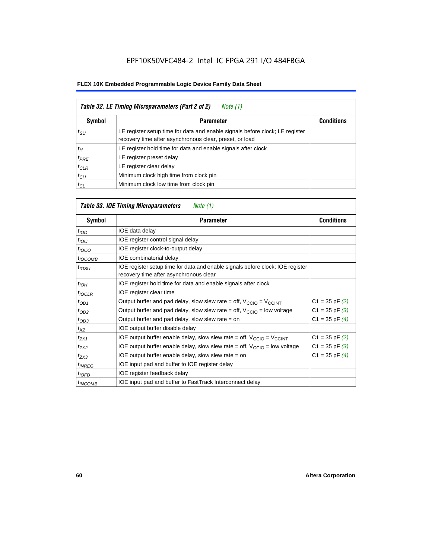| Table 32. LE Timing Microparameters (Part 2 of 2)<br>Note (1) |                                                                                                                                         |                   |  |  |  |
|---------------------------------------------------------------|-----------------------------------------------------------------------------------------------------------------------------------------|-------------------|--|--|--|
| <b>Symbol</b>                                                 | <b>Parameter</b>                                                                                                                        | <b>Conditions</b> |  |  |  |
| $t_{\rm SU}$                                                  | LE register setup time for data and enable signals before clock; LE register<br>recovery time after asynchronous clear, preset, or load |                   |  |  |  |
| $t_H$                                                         | LE register hold time for data and enable signals after clock                                                                           |                   |  |  |  |
| $t_{PRE}$                                                     | LE register preset delay                                                                                                                |                   |  |  |  |
| $t_{CLR}$                                                     | LE register clear delay                                                                                                                 |                   |  |  |  |
| $t_{CH}$                                                      | Minimum clock high time from clock pin                                                                                                  |                   |  |  |  |
| $t_{CL}$                                                      | Minimum clock low time from clock pin                                                                                                   |                   |  |  |  |

# *Table 33. IOE Timing Microparameters Note (1)*

| Symbol              | <b>Parameter</b>                                                                                                         | <b>Conditions</b>  |
|---------------------|--------------------------------------------------------------------------------------------------------------------------|--------------------|
| t <sub>IOD</sub>    | IOE data delay                                                                                                           |                    |
| $t_{\text{IOC}}$    | IOE register control signal delay                                                                                        |                    |
| $t_{IOCO}$          | IOE register clock-to-output delay                                                                                       |                    |
| $t_{IOCOMB}$        | IOE combinatorial delay                                                                                                  |                    |
| $t_{IOSU}$          | IOE register setup time for data and enable signals before clock; IOE register<br>recovery time after asynchronous clear |                    |
| $t_{IOH}$           | IOE register hold time for data and enable signals after clock                                                           |                    |
| $t_{IOCLR}$         | IOE register clear time                                                                                                  |                    |
| $t_{OD1}$           | Output buffer and pad delay, slow slew rate = off, $V_{\text{CCIO}} = V_{\text{CCINT}}$                                  | $C1 = 35$ pF $(2)$ |
| $t_{OD2}$           | Output buffer and pad delay, slow slew rate = off, $V_{CCIO}$ = low voltage                                              | $C1 = 35$ pF $(3)$ |
| $t_{OD3}$           | Output buffer and pad delay, slow slew rate $=$ on                                                                       | $C1 = 35$ pF $(4)$ |
| $t_{XZ}$            | IOE output buffer disable delay                                                                                          |                    |
| $t_{ZX1}$           | IOE output buffer enable delay, slow slew rate = off, $V_{\text{CCIO}} = V_{\text{CCINT}}$                               | $C1 = 35$ pF $(2)$ |
| $t_{ZX2}$           | IOE output buffer enable delay, slow slew rate = off, $V_{\text{CCIO}}$ = low voltage                                    | $C1 = 35$ pF $(3)$ |
| $t_{ZX3}$           | IOE output buffer enable delay, slow slew rate $=$ on                                                                    | $C1 = 35$ pF $(4)$ |
| <sup>t</sup> INREG  | IOE input pad and buffer to IOE register delay                                                                           |                    |
| $t_{IOFD}$          | IOE register feedback delay                                                                                              |                    |
| <sup>t</sup> INCOMB | IOE input pad and buffer to FastTrack Interconnect delay                                                                 |                    |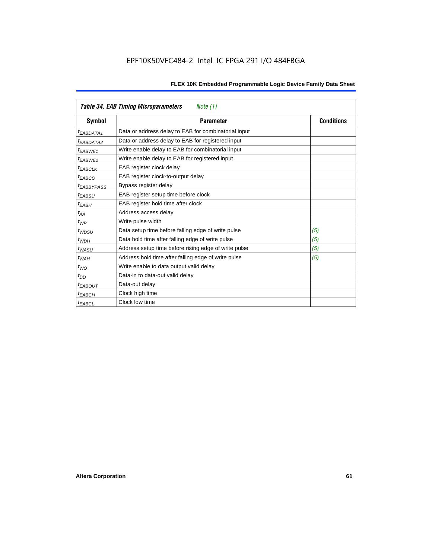|                     | <b>Table 34. EAB Timing Microparameters</b><br>Note (1) |                   |
|---------------------|---------------------------------------------------------|-------------------|
| Symbol              | <b>Parameter</b>                                        | <b>Conditions</b> |
| $t_{EABDATA1}$      | Data or address delay to EAB for combinatorial input    |                   |
| $t_{EABDATA2}$      | Data or address delay to EAB for registered input       |                   |
| $t_{EABWE1}$        | Write enable delay to EAB for combinatorial input       |                   |
| <sup>t</sup> EABWE2 | Write enable delay to EAB for registered input          |                   |
| <b>EABCLK</b>       | EAB register clock delay                                |                   |
| $t_{EABCO}$         | EAB register clock-to-output delay                      |                   |
| <i>EABBYPASS</i>    | Bypass register delay                                   |                   |
| t <sub>EABSU</sub>  | EAB register setup time before clock                    |                   |
| $t_{EABH}$          | EAB register hold time after clock                      |                   |
| $t_{AA}$            | Address access delay                                    |                   |
| $t_{WP}$            | Write pulse width                                       |                   |
| $t_{WDSU}$          | Data setup time before falling edge of write pulse      | (5)               |
| $t_{WDH}$           | Data hold time after falling edge of write pulse        | (5)               |
| $t_{WASU}$          | Address setup time before rising edge of write pulse    | (5)               |
| $t_{WAH}$           | Address hold time after falling edge of write pulse     | (5)               |
| $t_{WO}$            | Write enable to data output valid delay                 |                   |
| $t_{DD}$            | Data-in to data-out valid delay                         |                   |
| <b>EABOUT</b>       | Data-out delay                                          |                   |
| <sup>t</sup> EABCH  | Clock high time                                         |                   |
| <sup>t</sup> EABCL  | Clock low time                                          |                   |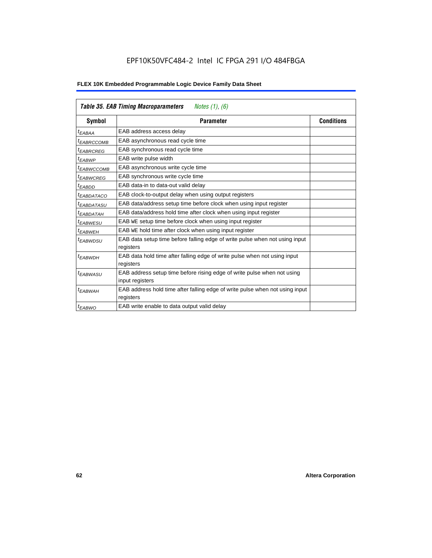| FLEX 10K Embedded Programmable Logic Device Family Data Sheet |  |  |
|---------------------------------------------------------------|--|--|
|---------------------------------------------------------------|--|--|

|                        | <b>Table 35. EAB Timing Macroparameters</b><br>Notes $(1)$ , $(6)$                        |                   |
|------------------------|-------------------------------------------------------------------------------------------|-------------------|
| Symbol                 | <b>Parameter</b>                                                                          | <b>Conditions</b> |
| <sup>t</sup> EABAA     | EAB address access delay                                                                  |                   |
| <sup>t</sup> EABRCCOMB | EAB asynchronous read cycle time                                                          |                   |
| <sup>t</sup> EABRCREG  | EAB synchronous read cycle time                                                           |                   |
| <sup>t</sup> EABWP     | EAB write pulse width                                                                     |                   |
| <sup>t</sup> EABWCCOMB | EAB asynchronous write cycle time                                                         |                   |
| <sup>t</sup> EABWCREG  | EAB synchronous write cycle time                                                          |                   |
| $t_{EABDD}$            | EAB data-in to data-out valid delay                                                       |                   |
| <sup>t</sup> EABDATACO | EAB clock-to-output delay when using output registers                                     |                   |
| <sup>t</sup> EABDATASU | EAB data/address setup time before clock when using input register                        |                   |
| <sup>t</sup> EABDATAH  | EAB data/address hold time after clock when using input register                          |                   |
| <sup>t</sup> EABWESU   | EAB WE setup time before clock when using input register                                  |                   |
| <sup>t</sup> EABWEH    | EAB WE hold time after clock when using input register                                    |                   |
| <sup>t</sup> EABWDSU   | EAB data setup time before falling edge of write pulse when not using input<br>registers  |                   |
| <sup>t</sup> EABWDH    | EAB data hold time after falling edge of write pulse when not using input                 |                   |
|                        | registers                                                                                 |                   |
| <sup>t</sup> EABWASU   | EAB address setup time before rising edge of write pulse when not using                   |                   |
|                        | input registers                                                                           |                   |
| <sup>t</sup> EABWAH    | EAB address hold time after falling edge of write pulse when not using input<br>registers |                   |
| $t_{EABWO}$            | EAB write enable to data output valid delay                                               |                   |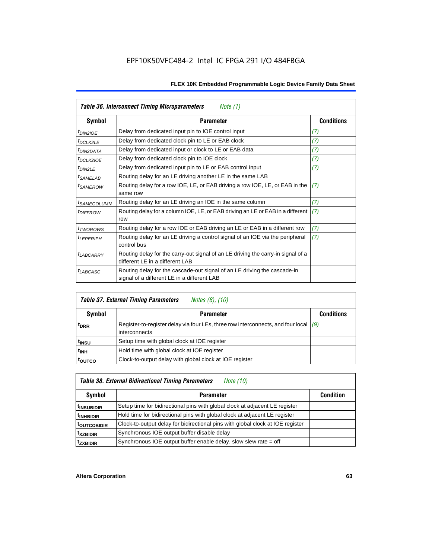|                            | Table 36. Interconnect Timing Microparameters<br>Note (1)                                                               |                   |  |  |  |  |
|----------------------------|-------------------------------------------------------------------------------------------------------------------------|-------------------|--|--|--|--|
| Symbol                     | <b>Parameter</b>                                                                                                        | <b>Conditions</b> |  |  |  |  |
| <sup>t</sup> DIN2IOE       | Delay from dedicated input pin to IOE control input                                                                     | (7)               |  |  |  |  |
| $t_{DCLK2LE}$              | Delay from dedicated clock pin to LE or EAB clock                                                                       | (7)               |  |  |  |  |
| <sup>t</sup> DIN2DATA      | Delay from dedicated input or clock to LE or EAB data                                                                   | (7)               |  |  |  |  |
| <sup>t</sup> DCLK2IOE      | Delay from dedicated clock pin to IOE clock                                                                             | (7)               |  |  |  |  |
| t <sub>DIN2LE</sub>        | Delay from dedicated input pin to LE or EAB control input                                                               | (7)               |  |  |  |  |
| <sup>t</sup> SAMELAB       | Routing delay for an LE driving another LE in the same LAB                                                              |                   |  |  |  |  |
| <sup>t</sup> SAMEROW       | Routing delay for a row IOE, LE, or EAB driving a row IOE, LE, or EAB in the<br>same row                                | (7)               |  |  |  |  |
| <sup>t</sup> SAMECOLUMN    | Routing delay for an LE driving an IOE in the same column                                                               | (7)               |  |  |  |  |
| <i><b>IDIFFROW</b></i>     | Routing delay for a column IOE, LE, or EAB driving an LE or EAB in a different<br>row                                   | (7)               |  |  |  |  |
| <i>t</i> TWOROWS           | Routing delay for a row IOE or EAB driving an LE or EAB in a different row                                              | (7)               |  |  |  |  |
| <sup>t</sup> LEPERIPH      | Routing delay for an LE driving a control signal of an IOE via the peripheral<br>control bus                            | (7)               |  |  |  |  |
| t <sub>LABCARRY</sub>      | Routing delay for the carry-out signal of an LE driving the carry-in signal of a<br>different LE in a different LAB     |                   |  |  |  |  |
| <i>t<sub>LABCASC</sub></i> | Routing delay for the cascade-out signal of an LE driving the cascade-in<br>signal of a different LE in a different LAB |                   |  |  |  |  |

|                   | <b>Table 37. External Timing Parameters</b><br>Notes (8), (10)                                                |                   |
|-------------------|---------------------------------------------------------------------------------------------------------------|-------------------|
| <b>Symbol</b>     | <b>Parameter</b>                                                                                              | <b>Conditions</b> |
| <sup>t</sup> DRR  | Register-to-register delay via four LEs, three row interconnects, and four local $ g\rangle$<br>interconnects |                   |
| t <sub>insu</sub> | Setup time with global clock at IOE register                                                                  |                   |
| <sup>t</sup> INH  | Hold time with global clock at IOE register                                                                   |                   |
| <b>LOUTCO</b>     | Clock-to-output delay with global clock at IOE register                                                       |                   |

# *Table 38. External Bidirectional Timing Parameters Note (10)*

| Symbol                   | <b>Parameter</b>                                                               | <b>Condition</b> |
|--------------------------|--------------------------------------------------------------------------------|------------------|
| <sup>  t</sup> INSUBIDIR | Setup time for bidirectional pins with global clock at adjacent LE register    |                  |
| <sup>t</sup> INHBIDIR    | Hold time for bidirectional pins with global clock at adjacent LE register     |                  |
| <sup>t</sup> outcobidir  | Clock-to-output delay for bidirectional pins with global clock at IOE register |                  |
| <sup>t</sup> xzbidir     | Synchronous IOE output buffer disable delay                                    |                  |
| <sup>t</sup> zxbidir     | Synchronous IOE output buffer enable delay, slow slew rate = off               |                  |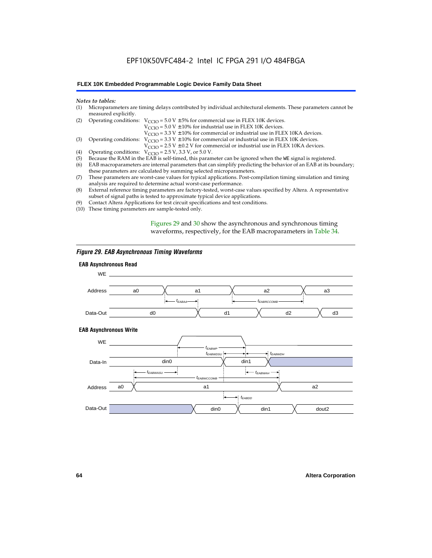# EPF10K50VFC484-2 Intel IC FPGA 291 I/O 484FBGA

#### **FLEX 10K Embedded Programmable Logic Device Family Data Sheet**

#### *Notes to tables:*

| (1) Microparameters are timing delays contributed by individual architectural elements. These parameters cannot be |
|--------------------------------------------------------------------------------------------------------------------|
| measured explicitly.                                                                                               |

| (2) Operating conditions: $V_{CCIO} = 5.0 V \pm 5%$ for commercial use in FLEX 10K devices. |  |  |  |
|---------------------------------------------------------------------------------------------|--|--|--|
|                                                                                             |  |  |  |

 $V<sub>CCIO</sub>$  = 5.0 V  $\pm$  10% for industrial use in FLEX 10K devices.

 $V_{\text{CCIO}} = 3.3 \text{ V} \pm 10\%$  for commercial or industrial use in FLEX 10KA devices.

(3) Operating conditions:  $V_{\text{CCIO}} = 3.3 V \pm 10\%$  for commercial or industrial use in FLEX 10K devices.

 $V_{\text{CCIO}} = 2.5 \text{ V} \pm 0.2 \text{ V}$  for commercial or industrial use in FLEX 10KA devices.

- (4) Operating conditions:  $V_{\text{CCIO}} = 2.5 V$ , 3.3 V, or 5.0 V.<br>(5) Because the RAM in the EAB is self-timed, this param
- (5) Because the RAM in the EAB is self-timed, this parameter can be ignored when the WE signal is registered.<br>(6) EAB macroparameters are internal parameters that can simplify predicting the behavior of an EAB at its bou
- EAB macroparameters are internal parameters that can simplify predicting the behavior of an EAB at its boundary; these parameters are calculated by summing selected microparameters.
- (7) These parameters are worst-case values for typical applications. Post-compilation timing simulation and timing analysis are required to determine actual worst-case performance.
- (8) External reference timing parameters are factory-tested, worst-case values specified by Altera. A representative subset of signal paths is tested to approximate typical device applications.
- (9) Contact Altera Applications for test circuit specifications and test conditions.
- (10) These timing parameters are sample-tested only.

Figures 29 and 30 show the asynchronous and synchronous timing waveforms, respectively, for the EAB macroparameters in Table 34.

#### *Figure 29. EAB Asynchronous Timing Waveforms*

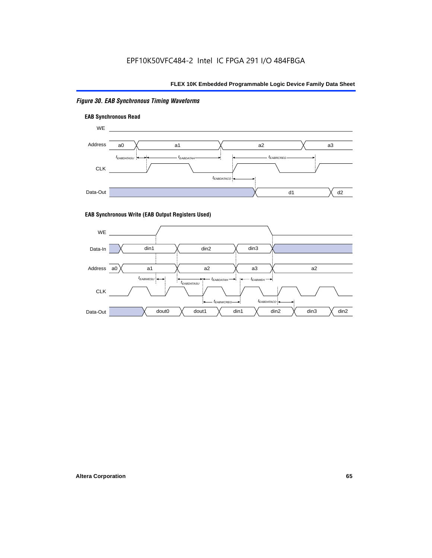## *Figure 30. EAB Synchronous Timing Waveforms*





#### **EAB Synchronous Write (EAB Output Registers Used)**

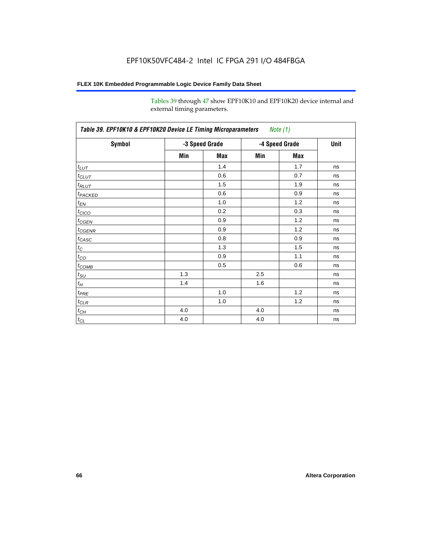Tables 39 through 47 show EPF10K10 and EPF10K20 device internal and external timing parameters.

| Table 39. EPF10K10 & EPF10K20 Device LE Timing Microparameters Note (1) |                |     |                |     |             |
|-------------------------------------------------------------------------|----------------|-----|----------------|-----|-------------|
| Symbol                                                                  | -3 Speed Grade |     | -4 Speed Grade |     | <b>Unit</b> |
|                                                                         | Min            | Max | Min            | Max |             |
| $t_{LUT}$                                                               |                | 1.4 |                | 1.7 | ns          |
| $t_{CLUT}$                                                              |                | 0.6 |                | 0.7 | ns          |
| $t_{RLUT}$                                                              |                | 1.5 |                | 1.9 | ns          |
| <b>t</b> PACKED                                                         |                | 0.6 |                | 0.9 | ns          |
| $t_{E_{N}}$                                                             |                | 1.0 |                | 1.2 | ns          |
| t <sub>CICO</sub>                                                       |                | 0.2 |                | 0.3 | ns          |
| $t_{CGEN}$                                                              |                | 0.9 |                | 1.2 | ns          |
| $t_{CGENR}$                                                             |                | 0.9 |                | 1.2 | ns          |
| $t_{CASC}$                                                              |                | 0.8 |                | 0.9 | ns          |
| $t_C$                                                                   |                | 1.3 |                | 1.5 | ns          |
| $t_{CO}$                                                                |                | 0.9 |                | 1.1 | ns          |
| $t_{\text{COMB}}$                                                       |                | 0.5 |                | 0.6 | ns          |
| $t_{\text{SU}}$                                                         | 1.3            |     | 2.5            |     | ns          |
| $t_H$                                                                   | 1.4            |     | 1.6            |     | ns          |
| $t_{PRE}$                                                               |                | 1.0 |                | 1.2 | ns          |
| $t_{CLR}$                                                               |                | 1.0 |                | 1.2 | ns          |
| $t_{CH}$                                                                | 4.0            |     | 4.0            |     | ns          |
| $t_{CL}$                                                                | 4.0            |     | 4.0            |     | ns          |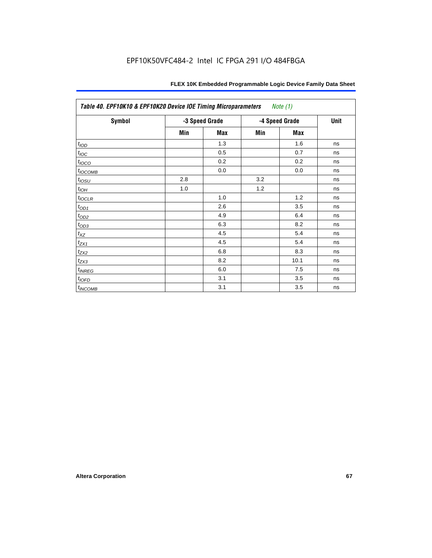| Table 40. EPF10K10 & EPF10K20 Device IOE Timing Microparameters<br>Note (1) |                |            |                |            |             |
|-----------------------------------------------------------------------------|----------------|------------|----------------|------------|-------------|
| Symbol                                                                      | -3 Speed Grade |            | -4 Speed Grade |            | <b>Unit</b> |
|                                                                             | Min            | <b>Max</b> | Min            | <b>Max</b> |             |
| t <sub>IOD</sub>                                                            |                | 1.3        |                | 1.6        | ns          |
| $t_{\text{IOC}}$                                                            |                | 0.5        |                | 0.7        | ns          |
| $t_{IOCO}$                                                                  |                | 0.2        |                | 0.2        | ns          |
| $t_{IOCOMB}$                                                                |                | 0.0        |                | 0.0        | ns          |
| $t_{IOSU}$                                                                  | 2.8            |            | 3.2            |            | ns          |
| $t_{IOH}$                                                                   | 1.0            |            | 1.2            |            | ns          |
| $t_{IOCLR}$                                                                 |                | 1.0        |                | 1.2        | ns          |
| $t_{OD1}$                                                                   |                | 2.6        |                | 3.5        | ns          |
| $t_{OD2}$                                                                   |                | 4.9        |                | 6.4        | ns          |
| $t_{OD3}$                                                                   |                | 6.3        |                | 8.2        | ns          |
| $t_{\mathsf{XZ}}$                                                           |                | 4.5        |                | 5.4        | ns          |
| $t_{ZX1}$                                                                   |                | 4.5        |                | 5.4        | ns          |
| $t_{ZX2}$                                                                   |                | 6.8        |                | 8.3        | ns          |
| $t_{ZX3}$                                                                   |                | 8.2        |                | 10.1       | ns          |
| $t_{INREG}$                                                                 |                | 6.0        |                | 7.5        | ns          |
| $t_{IOFD}$                                                                  |                | 3.1        |                | 3.5        | ns          |
| $t_{INCOMB}$                                                                |                | 3.1        |                | 3.5        | ns          |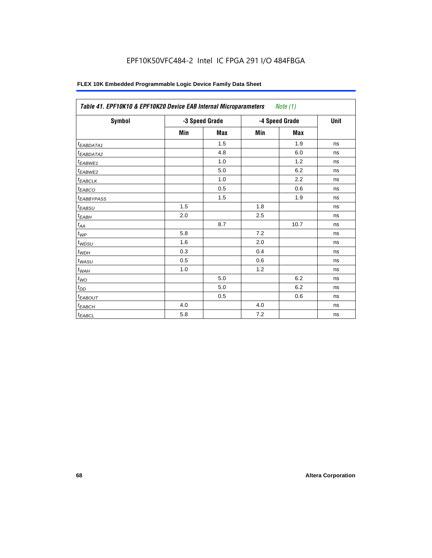# EPF10K50VFC484-2 Intel IC FPGA 291 I/O 484FBGA

| Symbol                 |     | -3 Speed Grade | -4 Speed Grade |            | Unit |
|------------------------|-----|----------------|----------------|------------|------|
|                        | Min | <b>Max</b>     | Min            | <b>Max</b> |      |
| <sup>t</sup> EABDATA1  |     | 1.5            |                | 1.9        | ns   |
| <sup>t</sup> EABDATA2  |     | 4.8            |                | 6.0        | ns   |
| t <sub>EABWE1</sub>    |     | 1.0            |                | 1.2        | ns   |
| <sup>t</sup> EABWE2    |     | 5.0            |                | 6.2        | ns   |
| <sup>t</sup> EABCLK    |     | 1.0            |                | 2.2        | ns   |
| t <sub>EABCO</sub>     |     | 0.5            |                | 0.6        | ns   |
| <sup>t</sup> EABBYPASS |     | 1.5            |                | 1.9        | ns   |
| $t_{EABSU}$            | 1.5 |                | 1.8            |            | ns   |
| $t_{EABH}$             | 2.0 |                | 2.5            |            | ns   |
| $t_{AA}$               |     | 8.7            |                | 10.7       | ns   |
| $t_{\mathit{WP}}$      | 5.8 |                | 7.2            |            | ns   |
| $t_{WDSU}$             | 1.6 |                | 2.0            |            | ns   |
| $t_{WDH}$              | 0.3 |                | 0.4            |            | ns   |
| $t_{WASU}$             | 0.5 |                | 0.6            |            | ns   |
| $t_{W\underline{AH}}$  | 1.0 |                | 1.2            |            | ns   |
| $t_{WO}$               |     | 5.0            |                | 6.2        | ns   |
| $t_{DD}$               |     | 5.0            |                | 6.2        | ns   |
| <sup>t</sup> EABOUT    |     | 0.5            |                | 0.6        | ns   |
| $t_{EABCH}$            | 4.0 |                | 4.0            |            | ns   |
| $t_{EABCL}$            | 5.8 |                | 7.2            |            | ns   |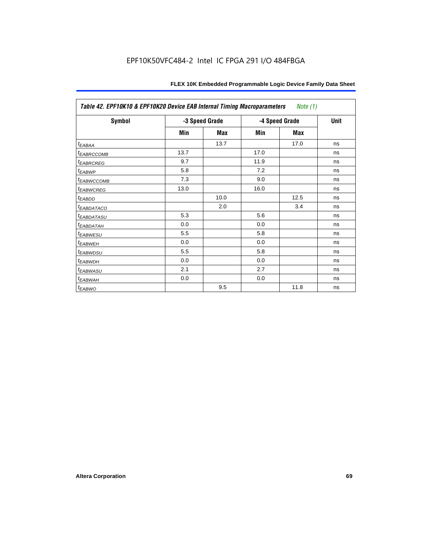| Table 42. EPF10K10 & EPF10K20 Device EAB Internal Timing Macroparameters<br>Note (1) |                |      |                |      |             |
|--------------------------------------------------------------------------------------|----------------|------|----------------|------|-------------|
| Symbol                                                                               | -3 Speed Grade |      | -4 Speed Grade |      | <b>Unit</b> |
|                                                                                      | Min            | Max  | Min            | Max  |             |
| <sup>t</sup> EABAA                                                                   |                | 13.7 |                | 17.0 | ns          |
| <b><i>EABRCCOMB</i></b>                                                              | 13.7           |      | 17.0           |      | ns          |
| <b><i>EABRCREG</i></b>                                                               | 9.7            |      | 11.9           |      | ns          |
| <sup>t</sup> EABWP                                                                   | 5.8            |      | 7.2            |      | ns          |
| <sup>t</sup> EABWCCOMB                                                               | 7.3            |      | 9.0            |      | ns          |
| <sup>t</sup> EABWCREG                                                                | 13.0           |      | 16.0           |      | ns          |
| t <sub>EABDD</sub>                                                                   |                | 10.0 |                | 12.5 | ns          |
| <b><i>EABDATACO</i></b>                                                              |                | 2.0  |                | 3.4  | ns          |
| <sup>I</sup> EABDATASU                                                               | 5.3            |      | 5.6            |      | ns          |
| <sup>T</sup> EABDATAH                                                                | 0.0            |      | 0.0            |      | ns          |
| <i><b>EABWESU</b></i>                                                                | 5.5            |      | 5.8            |      | ns          |
| <sup>t</sup> EABWEH                                                                  | 0.0            |      | 0.0            |      | ns          |
| <sup>t</sup> EABWDSU                                                                 | 5.5            |      | 5.8            |      | ns          |
| <sup>t</sup> EABWDH                                                                  | 0.0            |      | 0.0            |      | ns          |
| <sup>t</sup> EABWASU                                                                 | 2.1            |      | 2.7            |      | ns          |
| <sup>t</sup> EABWAH                                                                  | 0.0            |      | 0.0            |      | ns          |
| $t_{EABWO}$                                                                          |                | 9.5  |                | 11.8 | ns          |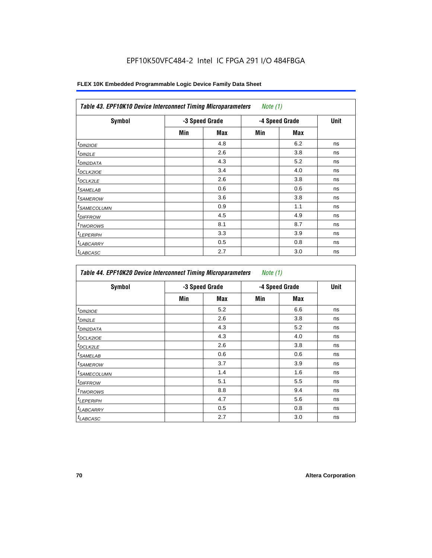| <b>Symbol</b>              | -3 Speed Grade |            | -4 Speed Grade |            | <b>Unit</b> |
|----------------------------|----------------|------------|----------------|------------|-------------|
|                            | Min            | <b>Max</b> | Min            | <b>Max</b> |             |
| <sup>t</sup> DIN2IOE       |                | 4.8        |                | 6.2        | ns          |
| $t_{DIN2LE}$               |                | 2.6        |                | 3.8        | ns          |
| <sup>t</sup> DIN2DATA      |                | 4.3        |                | 5.2        | ns          |
| <sup>t</sup> DCLK2IOE      |                | 3.4        |                | 4.0        | ns          |
| <sup>t</sup> DCLK2LE       |                | 2.6        |                | 3.8        | ns          |
| <sup>t</sup> SAMELAB       |                | 0.6        |                | 0.6        | ns          |
| <sup>t</sup> SAMEROW       |                | 3.6        |                | 3.8        | ns          |
| <sup>t</sup> SAMECOLUMN    |                | 0.9        |                | 1.1        | ns          |
| <i>t<sub>DIFFROW</sub></i> |                | 4.5        |                | 4.9        | ns          |
| <sup>t</sup> TWOROWS       |                | 8.1        |                | 8.7        | ns          |
| <sup>t</sup> LEPERIPH      |                | 3.3        |                | 3.9        | ns          |
| <sup>I</sup> LABCARRY      |                | 0.5        |                | 0.8        | ns          |
| <sup>t</sup> LABCASC       |                | 2.7        |                | 3.0        | ns          |

| Symbol                  | -3 Speed Grade |     | -4 Speed Grade |     | Unit |
|-------------------------|----------------|-----|----------------|-----|------|
|                         | Min            | Max | Min            | Max |      |
| $t_{DINZIOE}$           |                | 5.2 |                | 6.6 | ns   |
| <sup>t</sup> DIN2LE     |                | 2.6 |                | 3.8 | ns   |
| <sup>t</sup> DIN2DATA   |                | 4.3 |                | 5.2 | ns   |
| <sup>I</sup> DCLK2IOE   |                | 4.3 |                | 4.0 | ns   |
| t <sub>DCLK2LE</sub>    |                | 2.6 |                | 3.8 | ns   |
| <sup>t</sup> SAMELAB    |                | 0.6 |                | 0.6 | ns   |
| <sup>I</sup> SAMEROW    |                | 3.7 |                | 3.9 | ns   |
| <sup>t</sup> SAMECOLUMN |                | 1.4 |                | 1.6 | ns   |
| <sup>I</sup> DIFFROW    |                | 5.1 |                | 5.5 | ns   |
| <sup>t</sup> TWOROWS    |                | 8.8 |                | 9.4 | ns   |
| <sup>t</sup> LEPERIPH   |                | 4.7 |                | 5.6 | ns   |
| <b>LABCARRY</b>         |                | 0.5 |                | 0.8 | ns   |
| <sup>t</sup> LABCASC    |                | 2.7 |                | 3.0 | ns   |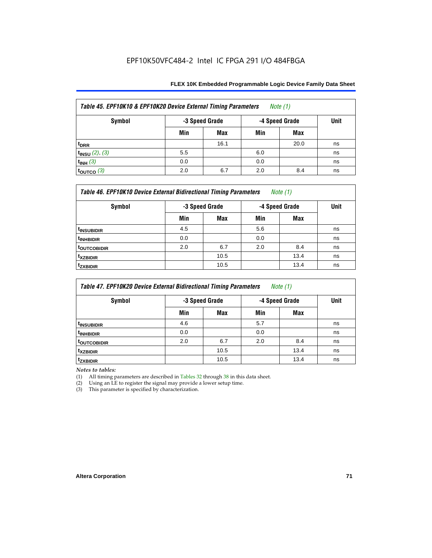| Table 45. EPF10K10 & EPF10K20 Device External Timing Parameters<br>Note $(1)$ |     |                                  |     |      |             |  |  |
|-------------------------------------------------------------------------------|-----|----------------------------------|-----|------|-------------|--|--|
| Symbol                                                                        |     | -3 Speed Grade<br>-4 Speed Grade |     |      | <b>Unit</b> |  |  |
|                                                                               | Min | <b>Max</b>                       | Min | Max  |             |  |  |
| t <sub>DRR</sub>                                                              |     | 16.1                             |     | 20.0 | ns          |  |  |
| $t_{INSU}$ (2), (3)                                                           | 5.5 |                                  | 6.0 |      | ns          |  |  |
| $t_{INH}$ (3)                                                                 | 0.0 |                                  | 0.0 |      | ns          |  |  |
| $\tan 3$                                                                      | 2.0 | 6.7                              | 2.0 | 8.4  | ns          |  |  |

| Table 46. EPF10K10 Device External Bidirectional Timing Parameters<br>Note $(1)$ |                |            |                |      |             |  |
|----------------------------------------------------------------------------------|----------------|------------|----------------|------|-------------|--|
| Symbol                                                                           | -3 Speed Grade |            | -4 Speed Grade |      | <b>Unit</b> |  |
|                                                                                  | Min            | <b>Max</b> | Min            | Max  |             |  |
| <sup>t</sup> INSUBIDIR                                                           | 4.5            |            | 5.6            |      | ns          |  |
| <sup>t</sup> INHBIDIR                                                            | 0.0            |            | 0.0            |      | ns          |  |
| <sup>t</sup> OUTCOBIDIR                                                          | 2.0            | 6.7        | 2.0            | 8.4  | ns          |  |
| <b>txzbidir</b>                                                                  |                | 10.5       |                | 13.4 | ns          |  |
| <sup>t</sup> zxbidir                                                             |                | 10.5       |                | 13.4 | ns          |  |

| Table 47. EPF10K20 Device External Bidirectional Timing Parameters<br>Note $(1)$ |                |      |                |      |             |  |  |
|----------------------------------------------------------------------------------|----------------|------|----------------|------|-------------|--|--|
| Symbol                                                                           | -3 Speed Grade |      | -4 Speed Grade |      | <b>Unit</b> |  |  |
|                                                                                  | Min            | Max  | Min            | Max  |             |  |  |
| <sup>t</sup> INSUBIDIR                                                           | 4.6            |      | 5.7            |      | ns          |  |  |
| <sup>t</sup> INHBIDIR                                                            | 0.0            |      | 0.0            |      | ns          |  |  |
| <b>TOUTCOBIDIR</b>                                                               | 2.0            | 6.7  | 2.0            | 8.4  | ns          |  |  |
| <sup>t</sup> xzbidir                                                             |                | 10.5 |                | 13.4 | ns          |  |  |
| <sup>T</sup> ZXBIDIR                                                             |                | 10.5 |                | 13.4 | ns          |  |  |

*Notes to tables:*

(1) All timing parameters are described in Tables 32 through 38 in this data sheet.

(2) Using an LE to register the signal may provide a lower setup time.

(3) This parameter is specified by characterization.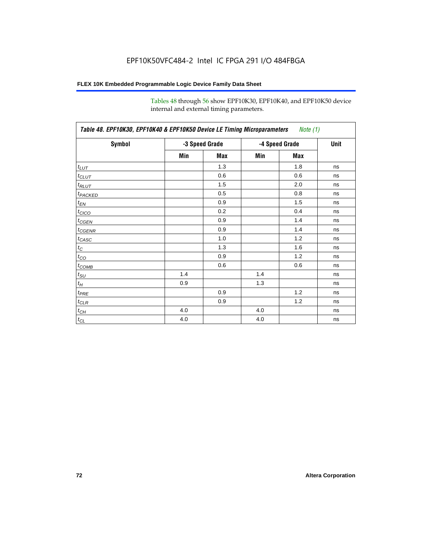Tables 48 through 56 show EPF10K30, EPF10K40, and EPF10K50 device internal and external timing parameters.

| Symbol              | -3 Speed Grade |     | -4 Speed Grade | Unit |    |
|---------------------|----------------|-----|----------------|------|----|
|                     | Min            | Max | Min            | Max  |    |
| $t_{LUT}$           |                | 1.3 |                | 1.8  | ns |
| $t_{CLUT}$          |                | 0.6 |                | 0.6  | ns |
| $t_{RLUT}$          |                | 1.5 |                | 2.0  | ns |
| t <sub>PACKED</sub> |                | 0.5 |                | 0.8  | ns |
| $t_{EN}$            |                | 0.9 |                | 1.5  | ns |
| $t_{CICO}$          |                | 0.2 |                | 0.4  | ns |
| $t_{CGEN}$          |                | 0.9 |                | 1.4  | ns |
| $t_{GENR}$          |                | 0.9 |                | 1.4  | ns |
| $t_{CASC}$          |                | 1.0 |                | 1.2  | ns |
| $t_C$               |                | 1.3 |                | 1.6  | ns |
| $t_{\rm CO}$        |                | 0.9 |                | 1.2  | ns |
| $t_{\text{COMB}}$   |                | 0.6 |                | 0.6  | ns |
| $t_{\rm SU}$        | 1.4            |     | 1.4            |      | ns |
| $t_{\mathcal{H}}$   | 0.9            |     | 1.3            |      | ns |
| $t_{PRE}$           |                | 0.9 |                | 1.2  | ns |
| $t_{CLR}$           |                | 0.9 |                | 1.2  | ns |
| $t_{CH}$            | 4.0            |     | 4.0            |      | ns |
| $t_{CL}$            | 4.0            |     | 4.0            |      | ns |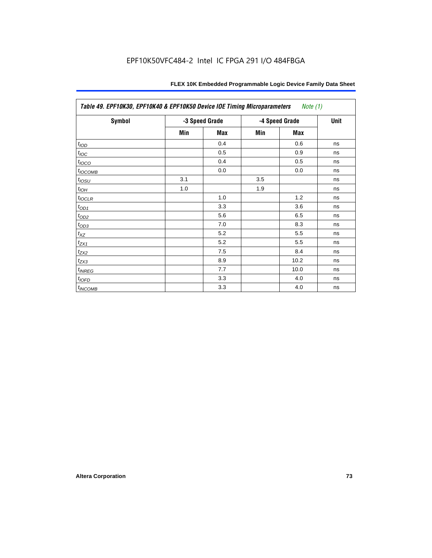| Table 49. EPF10K30, EPF10K40 & EPF10K50 Device IOE Timing Microparameters<br><i>Note</i> $(1)$ |                |     |                |             |    |  |  |
|------------------------------------------------------------------------------------------------|----------------|-----|----------------|-------------|----|--|--|
| Symbol                                                                                         | -3 Speed Grade |     | -4 Speed Grade | <b>Unit</b> |    |  |  |
|                                                                                                | Min            | Max | Min            | Max         |    |  |  |
| t <sub>IOD</sub>                                                                               |                | 0.4 |                | 0.6         | ns |  |  |
| $t_{\text{IOC}}$                                                                               |                | 0.5 |                | 0.9         | ns |  |  |
| t <sub>IOCO</sub>                                                                              |                | 0.4 |                | 0.5         | ns |  |  |
| $t_{IOCOMB}$                                                                                   |                | 0.0 |                | 0.0         | ns |  |  |
| $t_{IOSU}$                                                                                     | 3.1            |     | 3.5            |             | ns |  |  |
| $t_{IOH}$                                                                                      | 1.0            |     | 1.9            |             | ns |  |  |
| $t_{IOCLR}$                                                                                    |                | 1.0 |                | 1.2         | ns |  |  |
| $t_{OD1}$                                                                                      |                | 3.3 |                | 3.6         | ns |  |  |
| $t_{OD2}$                                                                                      |                | 5.6 |                | 6.5         | ns |  |  |
| $t_{OD3}$                                                                                      |                | 7.0 |                | 8.3         | ns |  |  |
| $t_{\mathsf{XZ}}$                                                                              |                | 5.2 |                | 5.5         | ns |  |  |
| $t_{ZX1}$                                                                                      |                | 5.2 |                | 5.5         | ns |  |  |
| $t_{ZX2}$                                                                                      |                | 7.5 |                | 8.4         | ns |  |  |
| $t_{ZX3}$                                                                                      |                | 8.9 |                | 10.2        | ns |  |  |
| $t_{INREG}$                                                                                    |                | 7.7 |                | 10.0        | ns |  |  |
| $t_{IOFD}$                                                                                     |                | 3.3 |                | 4.0         | ns |  |  |
| $t_{INCOMB}$                                                                                   |                | 3.3 |                | 4.0         | ns |  |  |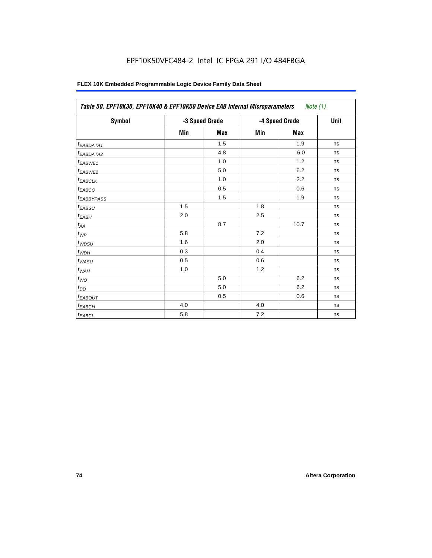| <b>Symbol</b>           | -3 Speed Grade |     |     | -4 Speed Grade | <b>Unit</b> |
|-------------------------|----------------|-----|-----|----------------|-------------|
|                         | Min            | Max | Min | Max            |             |
| <sup>t</sup> EABDATA1   |                | 1.5 |     | 1.9            | ns          |
| t <sub>EABDATA2</sub>   |                | 4.8 |     | 6.0            | ns          |
| t <sub>EABWE1</sub>     |                | 1.0 |     | 1.2            | ns          |
| <sup>t</sup> EABWE2     |                | 5.0 |     | 6.2            | ns          |
| $t_{EABCLK}$            |                | 1.0 |     | 2.2            | ns          |
| $t_{EABCO}$             |                | 0.5 |     | 0.6            | ns          |
| <b><i>EABBYPASS</i></b> |                | 1.5 |     | 1.9            | ns          |
| $t_{EABSU}$             | 1.5            |     | 1.8 |                | ns          |
| $t_{EABH}$              | 2.0            |     | 2.5 |                | ns          |
| $t_{AA}$                |                | 8.7 |     | 10.7           | ns          |
| $t_{WP}$                | 5.8            |     | 7.2 |                | ns          |
| $t_{WDSU}$              | 1.6            |     | 2.0 |                | ns          |
| $t_{WDH}$               | 0.3            |     | 0.4 |                | ns          |
| $t_{WASU}$              | 0.5            |     | 0.6 |                | ns          |
| $t_{WAH}$               | 1.0            |     | 1.2 |                | ns          |
| $t_{WO}$                |                | 5.0 |     | 6.2            | ns          |
| $t_{DD}$                |                | 5.0 |     | 6.2            | ns          |
| <sup>t</sup> EABOUT     |                | 0.5 |     | 0.6            | ns          |
| <sup>t</sup> ЕАВСН      | 4.0            |     | 4.0 |                | ns          |
| $t_{EABCL}$             | 5.8            |     | 7.2 |                | ns          |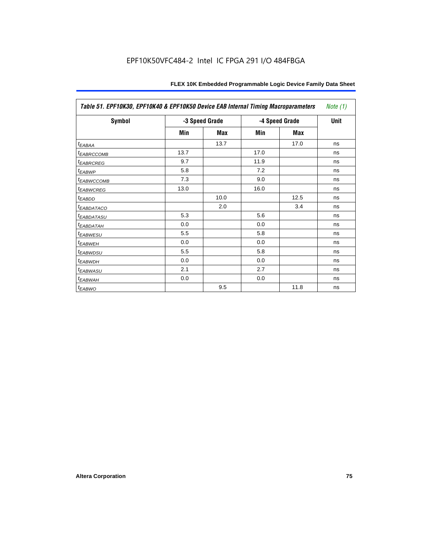| Table 51. EPF10K30, EPF10K40 & EPF10K50 Device EAB Internal Timing Macroparameters<br>Note $(1)$ |                |      |                |      |             |
|--------------------------------------------------------------------------------------------------|----------------|------|----------------|------|-------------|
| Symbol                                                                                           | -3 Speed Grade |      | -4 Speed Grade |      | <b>Unit</b> |
|                                                                                                  | Min            | Max  | Min            | Max  |             |
| $t_{EABA}$                                                                                       |                | 13.7 |                | 17.0 | ns          |
| <b><i>EABRCCOMB</i></b>                                                                          | 13.7           |      | 17.0           |      | ns          |
| <b><i>EABRCREG</i></b>                                                                           | 9.7            |      | 11.9           |      | ns          |
| <sup>t</sup> EABWP                                                                               | 5.8            |      | 7.2            |      | ns          |
| <b><i>EABWCCOMB</i></b>                                                                          | 7.3            |      | 9.0            |      | ns          |
| <b><i>EABWCREG</i></b>                                                                           | 13.0           |      | 16.0           |      | ns          |
| <sup>t</sup> EABDD                                                                               |                | 10.0 |                | 12.5 | ns          |
| <b><i>EABDATACO</i></b>                                                                          |                | 2.0  |                | 3.4  | ns          |
| <sup>T</sup> EABDATASU                                                                           | 5.3            |      | 5.6            |      | ns          |
| <sup>t</sup> EABDATAH                                                                            | 0.0            |      | 0.0            |      | ns          |
| <b><i>EABWESU</i></b>                                                                            | 5.5            |      | 5.8            |      | ns          |
| <sup>t</sup> EABWEH                                                                              | 0.0            |      | 0.0            |      | ns          |
| <sup>t</sup> EABWDSU                                                                             | 5.5            |      | 5.8            |      | ns          |
| <sup>t</sup> EABWDH                                                                              | 0.0            |      | 0.0            |      | ns          |
| <sup>t</sup> EABWASU                                                                             | 2.1            |      | 2.7            |      | ns          |
| <sup>t</sup> EABWAH                                                                              | 0.0            |      | 0.0            |      | ns          |
| $t_{EABWO}$                                                                                      |                | 9.5  |                | 11.8 | ns          |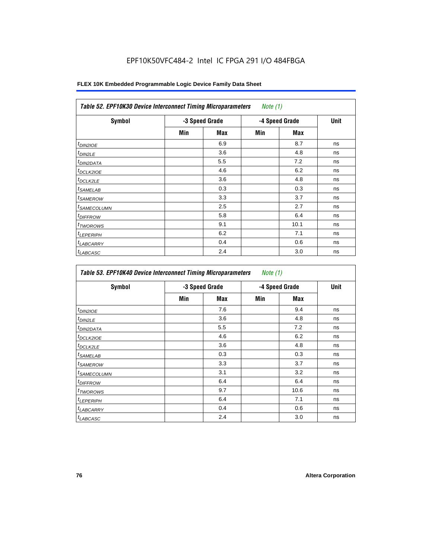| <b>Symbol</b>              | -3 Speed Grade |     |     | -4 Speed Grade | <b>Unit</b> |
|----------------------------|----------------|-----|-----|----------------|-------------|
|                            | Min            | Max | Min | <b>Max</b>     |             |
| $t_{DINZIOE}$              |                | 6.9 |     | 8.7            | ns          |
| <sup>t</sup> DIN2LE        |                | 3.6 |     | 4.8            | ns          |
| <sup>t</sup> DIN2DATA      |                | 5.5 |     | 7.2            | ns          |
| <sup>t</sup> DCLK2IOE      |                | 4.6 |     | 6.2            | ns          |
| ${}^t$ DCLK2LE             |                | 3.6 |     | 4.8            | ns          |
| <sup>t</sup> SAMELAB       |                | 0.3 |     | 0.3            | ns          |
| <sup>t</sup> SAMEROW       |                | 3.3 |     | 3.7            | ns          |
| <sup>t</sup> SAMECOLUMN    |                | 2.5 |     | 2.7            | ns          |
| <i>t<sub>DIFFROW</sub></i> |                | 5.8 |     | 6.4            | ns          |
| <sup>t</sup> TWOROWS       |                | 9.1 |     | 10.1           | ns          |
| <sup>t</sup> LEPERIPH      |                | 6.2 |     | 7.1            | ns          |
| <sup>t</sup> LABCARRY      |                | 0.4 |     | 0.6            | ns          |
| <sup>t</sup> LABCASC       |                | 2.4 |     | 3.0            | ns          |

| Symbol                  | -3 Speed Grade |     |     | -4 Speed Grade | Unit |
|-------------------------|----------------|-----|-----|----------------|------|
|                         | Min            | Max | Min | Max            |      |
| $t_{DINZIOE}$           |                | 7.6 |     | 9.4            | ns   |
| <sup>t</sup> DIN2LE     |                | 3.6 |     | 4.8            | ns   |
| <sup>I</sup> DIN2DATA   |                | 5.5 |     | 7.2            | ns   |
| <sup>I</sup> DCLK2IOE   |                | 4.6 |     | 6.2            | ns   |
| t <sub>DCLK2LE</sub>    |                | 3.6 |     | 4.8            | ns   |
| <sup>I</sup> SAMELAB    |                | 0.3 |     | 0.3            | ns   |
| <sup>I</sup> SAMEROW    |                | 3.3 |     | 3.7            | ns   |
| <sup>t</sup> SAMECOLUMN |                | 3.1 |     | 3.2            | ns   |
| <sup>I</sup> DIFFROW    |                | 6.4 |     | 6.4            | ns   |
| <sup>t</sup> TWOROWS    |                | 9.7 |     | 10.6           | ns   |
| <sup>t</sup> LEPERIPH   |                | 6.4 |     | 7.1            | ns   |
| <b>LABCARRY</b>         |                | 0.4 |     | 0.6            | ns   |
| <sup>t</sup> LABCASC    |                | 2.4 |     | 3.0            | ns   |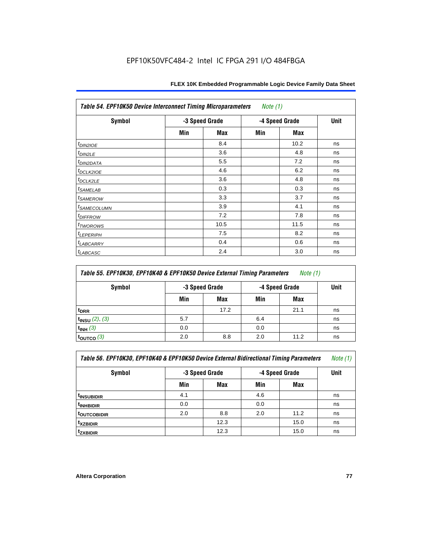| Table 54. EPF10K50 Device Interconnect Timing Microparameters<br>Note $(1)$ |                |      |                |             |    |  |  |
|-----------------------------------------------------------------------------|----------------|------|----------------|-------------|----|--|--|
| <b>Symbol</b>                                                               | -3 Speed Grade |      | -4 Speed Grade | <b>Unit</b> |    |  |  |
|                                                                             | Min            | Max  | Min            | Max         |    |  |  |
| $t_{DIN2IOE}$                                                               |                | 8.4  |                | 10.2        | ns |  |  |
| t <sub>DIN2LE</sub>                                                         |                | 3.6  |                | 4.8         | ns |  |  |
| <sup>t</sup> DIN2DATA                                                       |                | 5.5  |                | 7.2         | ns |  |  |
| t <sub>DCLK2IOE</sub>                                                       |                | 4.6  |                | 6.2         | ns |  |  |
| $t_{DCLK2LE}$                                                               |                | 3.6  |                | 4.8         | ns |  |  |
| <i>t</i> SAMELAB                                                            |                | 0.3  |                | 0.3         | ns |  |  |
| <i>t</i> SAMEROW                                                            |                | 3.3  |                | 3.7         | ns |  |  |
| <sup>t</sup> SAMECOLUMN                                                     |                | 3.9  |                | 4.1         | ns |  |  |
| <i>t<sub>DIFFROW</sub></i>                                                  |                | 7.2  |                | 7.8         | ns |  |  |
| <i>t</i> <sub>TWOROWS</sub>                                                 |                | 10.5 |                | 11.5        | ns |  |  |
| <sup>t</sup> LEPERIPH                                                       |                | 7.5  |                | 8.2         | ns |  |  |
| <sup>t</sup> LABCARRY                                                       |                | 0.4  |                | 0.6         | ns |  |  |
| t <sub>LABCASC</sub>                                                        |                | 2.4  |                | 3.0         | ns |  |  |

| Table 55. EPF10K30, EPF10K40 & EPF10K50 Device External Timing Parameters<br>Note $(1)$ |     |                                  |     |      |    |  |  |
|-----------------------------------------------------------------------------------------|-----|----------------------------------|-----|------|----|--|--|
| Symbol                                                                                  |     | -4 Speed Grade<br>-3 Speed Grade |     | Unit |    |  |  |
|                                                                                         | Min | Max                              | Min | Max  |    |  |  |
| <sup>t</sup> DRR                                                                        |     | 17.2                             |     | 21.1 | ns |  |  |
| $t_{INSU}$ (2), (3)                                                                     | 5.7 |                                  | 6.4 |      | ns |  |  |
| $t_{INH}$ (3)                                                                           | 0.0 |                                  | 0.0 |      | ns |  |  |
| $t_{\text{OUTCO}}(3)$                                                                   | 2.0 | 8.8                              | 2.0 | 11.2 | ns |  |  |

| Table 56. EPF10K30, EPF10K40 & EPF10K50 Device External Bidirectional Timing Parameters<br>Note $(1)$ |                |      |                |      |             |  |  |
|-------------------------------------------------------------------------------------------------------|----------------|------|----------------|------|-------------|--|--|
| Symbol                                                                                                | -3 Speed Grade |      | -4 Speed Grade |      | <b>Unit</b> |  |  |
|                                                                                                       | Min            | Max  | Min            | Max  |             |  |  |
| <sup>t</sup> INSUBIDIR                                                                                | 4.1            |      | 4.6            |      | ns          |  |  |
| <sup>t</sup> INHBIDIR                                                                                 | 0.0            |      | 0.0            |      | ns          |  |  |
| t <sub>outcobidir</sub>                                                                               | 2.0            | 8.8  | 2.0            | 11.2 | ns          |  |  |
| <sup>t</sup> xzbidir                                                                                  |                | 12.3 |                | 15.0 | ns          |  |  |
| <sup>t</sup> zxbidir                                                                                  |                | 12.3 |                | 15.0 | ns          |  |  |

r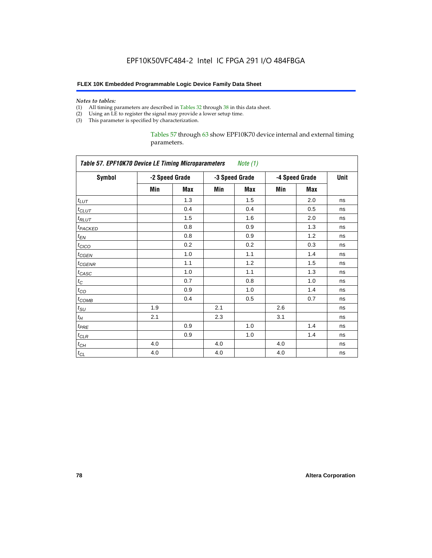#### *Notes to tables:*

- (1) All timing parameters are described in Tables 32 through 38 in this data sheet.
- (2) Using an LE to register the signal may provide a lower setup time.
- (3) This parameter is specified by characterization.

Tables 57 through 63 show EPF10K70 device internal and external timing parameters.

| <b>Table 57. EPF10K70 Device LE Timing Microparameters</b><br>Note (1) |     |                |     |                |     |                |    |  |  |  |
|------------------------------------------------------------------------|-----|----------------|-----|----------------|-----|----------------|----|--|--|--|
| <b>Symbol</b>                                                          |     | -2 Speed Grade |     | -3 Speed Grade |     | -4 Speed Grade |    |  |  |  |
|                                                                        | Min | Max            | Min | <b>Max</b>     | Min | <b>Max</b>     |    |  |  |  |
| $t_{LUT}$                                                              |     | 1.3            |     | 1.5            |     | 2.0            | ns |  |  |  |
| $t$ CLUT                                                               |     | 0.4            |     | 0.4            |     | 0.5            | ns |  |  |  |
| $t_{RLUT}$                                                             |     | 1.5            |     | 1.6            |     | 2.0            | ns |  |  |  |
| t <sub>PACKED</sub>                                                    |     | 0.8            |     | 0.9            |     | 1.3            | ns |  |  |  |
| $t_{EN}$                                                               |     | 0.8            |     | 0.9            |     | 1.2            | ns |  |  |  |
| $t_{CICO}$                                                             |     | 0.2            |     | 0.2            |     | 0.3            | ns |  |  |  |
| $t_{GEN}$                                                              |     | 1.0            |     | 1.1            |     | 1.4            | ns |  |  |  |
| $t_{\text{GENR}}$                                                      |     | 1.1            |     | 1.2            |     | 1.5            | ns |  |  |  |
| $t_{CASC}$                                                             |     | 1.0            |     | 1.1            |     | 1.3            | ns |  |  |  |
| $t_C$                                                                  |     | 0.7            |     | 0.8            |     | 1.0            | ns |  |  |  |
| $t_{CO}$                                                               |     | 0.9            |     | 1.0            |     | 1.4            | ns |  |  |  |
| $t_{COMB}$                                                             |     | 0.4            |     | 0.5            |     | 0.7            | ns |  |  |  |
| $t_{\text{SU}}$                                                        | 1.9 |                | 2.1 |                | 2.6 |                | ns |  |  |  |
| $t_H$                                                                  | 2.1 |                | 2.3 |                | 3.1 |                | ns |  |  |  |
| $t_{PRE}$                                                              |     | 0.9            |     | 1.0            |     | 1.4            | ns |  |  |  |
| $t_{CLR}$                                                              |     | 0.9            |     | 1.0            |     | 1.4            | ns |  |  |  |
| $t_{CH}$                                                               | 4.0 |                | 4.0 |                | 4.0 |                | ns |  |  |  |
| $t_{CL}$                                                               | 4.0 |                | 4.0 |                | 4.0 |                | ns |  |  |  |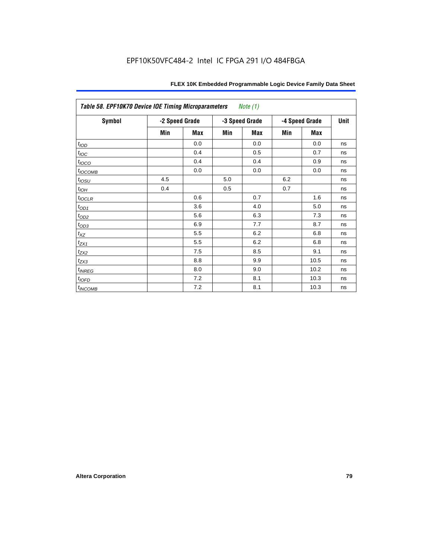| Table 58. EPF10K70 Device IOE Timing Microparameters<br><i>Note</i> $(1)$ |                |     |                |     |                |      |      |  |  |
|---------------------------------------------------------------------------|----------------|-----|----------------|-----|----------------|------|------|--|--|
| Symbol                                                                    | -2 Speed Grade |     | -3 Speed Grade |     | -4 Speed Grade |      | Unit |  |  |
|                                                                           | Min            | Max | Min            | Max | Min            | Max  |      |  |  |
| t <sub>IOD</sub>                                                          |                | 0.0 |                | 0.0 |                | 0.0  | ns   |  |  |
| $t_{\text{loc}}$                                                          |                | 0.4 |                | 0.5 |                | 0.7  | ns   |  |  |
| $t_{IOCO}$                                                                |                | 0.4 |                | 0.4 |                | 0.9  | ns   |  |  |
| $t_{IOCOMB}$                                                              |                | 0.0 |                | 0.0 |                | 0.0  | ns   |  |  |
| $t_{IOSU}$                                                                | 4.5            |     | 5.0            |     | 6.2            |      | ns   |  |  |
| $t_{IOH}$                                                                 | 0.4            |     | 0.5            |     | 0.7            |      | ns   |  |  |
| $t_{IOCLR}$                                                               |                | 0.6 |                | 0.7 |                | 1.6  | ns   |  |  |
| $t_{OD1}$                                                                 |                | 3.6 |                | 4.0 |                | 5.0  | ns   |  |  |
| $t_{OD2}$                                                                 |                | 5.6 |                | 6.3 |                | 7.3  | ns   |  |  |
| $t_{\underline{OD3}}$                                                     |                | 6.9 |                | 7.7 |                | 8.7  | ns   |  |  |
| $t_{XZ}$                                                                  |                | 5.5 |                | 6.2 |                | 6.8  | ns   |  |  |
| $t_{ZX1}$                                                                 |                | 5.5 |                | 6.2 |                | 6.8  | ns   |  |  |
| $t_{ZX2}$                                                                 |                | 7.5 |                | 8.5 |                | 9.1  | ns   |  |  |
| $t_{ZX3}$                                                                 |                | 8.8 |                | 9.9 |                | 10.5 | ns   |  |  |
| $t_{INREG}$                                                               |                | 8.0 |                | 9.0 |                | 10.2 | ns   |  |  |
| $t_{IOFD}$                                                                |                | 7.2 |                | 8.1 |                | 10.3 | ns   |  |  |
| $t_{INCOMB}$                                                              |                | 7.2 |                | 8.1 |                | 10.3 | ns   |  |  |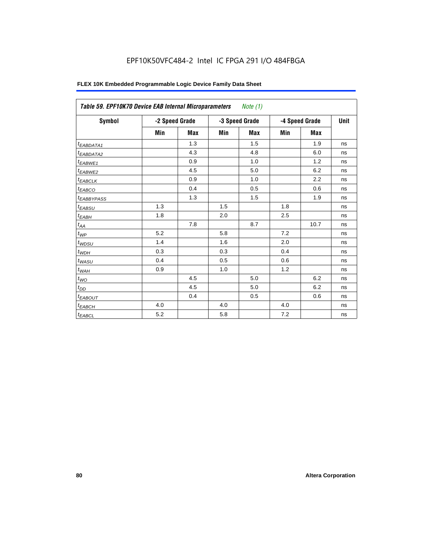| FLEX 10K Embedded Programmable Logic Device Family Data Sheet |  |
|---------------------------------------------------------------|--|
|---------------------------------------------------------------|--|

| Table 59. EPF10K70 Device EAB Internal Microparameters<br>Note $(1)$ |                |            |     |                |     |                |             |  |  |  |
|----------------------------------------------------------------------|----------------|------------|-----|----------------|-----|----------------|-------------|--|--|--|
| Symbol                                                               | -2 Speed Grade |            |     | -3 Speed Grade |     | -4 Speed Grade | <b>Unit</b> |  |  |  |
|                                                                      | Min            | <b>Max</b> | Min | <b>Max</b>     | Min | <b>Max</b>     |             |  |  |  |
| $t_{EABDATA1}$                                                       |                | 1.3        |     | 1.5            |     | 1.9            | ns          |  |  |  |
| $t_{EABDATA2}$                                                       |                | 4.3        |     | 4.8            |     | 6.0            | ns          |  |  |  |
| t <sub>EABWE1</sub>                                                  |                | 0.9        |     | 1.0            |     | 1.2            | ns          |  |  |  |
| t <sub>EABWE2</sub>                                                  |                | 4.5        |     | 5.0            |     | 6.2            | ns          |  |  |  |
| $t_{EABCLK}$                                                         |                | 0.9        |     | 1.0            |     | 2.2            | ns          |  |  |  |
| $t_{EABCO}$                                                          |                | 0.4        |     | 0.5            |     | 0.6            | ns          |  |  |  |
| <b><i>EABBYPASS</i></b>                                              |                | 1.3        |     | 1.5            |     | 1.9            | ns          |  |  |  |
| $t_{EABSU}$                                                          | 1.3            |            | 1.5 |                | 1.8 |                | ns          |  |  |  |
| $t_{EABH}$                                                           | 1.8            |            | 2.0 |                | 2.5 |                | ns          |  |  |  |
| $t_{AA}$                                                             |                | 7.8        |     | 8.7            |     | 10.7           | ns          |  |  |  |
| $t_{\mathit{WP}}$                                                    | 5.2            |            | 5.8 |                | 7.2 |                | ns          |  |  |  |
| $t_{W\!D\!S\!U}$                                                     | 1.4            |            | 1.6 |                | 2.0 |                | ns          |  |  |  |
| $t_{WDH}$                                                            | 0.3            |            | 0.3 |                | 0.4 |                | ns          |  |  |  |
| $t_{WASU}$                                                           | 0.4            |            | 0.5 |                | 0.6 |                | ns          |  |  |  |
| $t_{W\!A H}$                                                         | 0.9            |            | 1.0 |                | 1.2 |                | ns          |  |  |  |
| $t_{WO}$                                                             |                | 4.5        |     | 5.0            |     | 6.2            | ns          |  |  |  |
| $t_{DD}$                                                             |                | 4.5        |     | 5.0            |     | 6.2            | ns          |  |  |  |
| <sup>t</sup> EABOUT                                                  |                | 0.4        |     | 0.5            |     | 0.6            | ns          |  |  |  |
| $t_{EABCH}$                                                          | 4.0            |            | 4.0 |                | 4.0 |                | ns          |  |  |  |
| $t_{EABCL}$                                                          | 5.2            |            | 5.8 |                | 7.2 |                | ns          |  |  |  |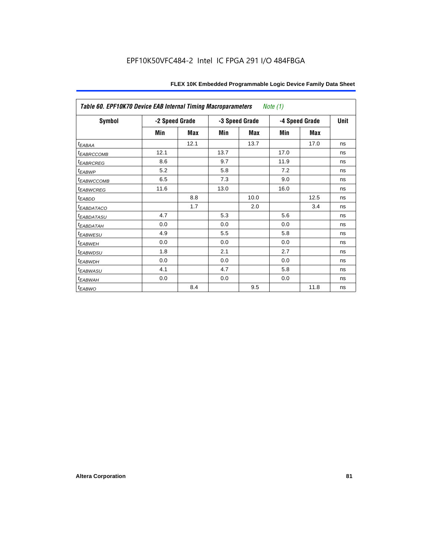| Table 60. EPF10K70 Device EAB Internal Timing Macroparameters<br>Note (1) |                |      |                |      |                |             |    |  |  |
|---------------------------------------------------------------------------|----------------|------|----------------|------|----------------|-------------|----|--|--|
| Symbol                                                                    | -2 Speed Grade |      | -3 Speed Grade |      | -4 Speed Grade | <b>Unit</b> |    |  |  |
|                                                                           | Min            | Max  | Min            | Max  | Min            | Max         |    |  |  |
| t <sub>EABAA</sub>                                                        |                | 12.1 |                | 13.7 |                | 17.0        | ns |  |  |
| <sup>t</sup> EABRCCOMB                                                    | 12.1           |      | 13.7           |      | 17.0           |             | ns |  |  |
| <sup>t</sup> EABRCREG                                                     | 8.6            |      | 9.7            |      | 11.9           |             | ns |  |  |
| <sup>t</sup> EABWP                                                        | 5.2            |      | 5.8            |      | 7.2            |             | ns |  |  |
| <sup>t</sup> EABWCCOMB                                                    | 6.5            |      | 7.3            |      | 9.0            |             | ns |  |  |
| <sup>t</sup> EABWCREG                                                     | 11.6           |      | 13.0           |      | 16.0           |             | ns |  |  |
| t <sub>EABDD</sub>                                                        |                | 8.8  |                | 10.0 |                | 12.5        | ns |  |  |
| <sup>t</sup> EABDATACO                                                    |                | 1.7  |                | 2.0  |                | 3.4         | ns |  |  |
| <sup>t</sup> EABDATASU                                                    | 4.7            |      | 5.3            |      | 5.6            |             | ns |  |  |
| <sup>t</sup> EABDATAH                                                     | 0.0            |      | 0.0            |      | 0.0            |             | ns |  |  |
| <sup>t</sup> EABWESU                                                      | 4.9            |      | 5.5            |      | 5.8            |             | ns |  |  |
| <sup>t</sup> EABWEH                                                       | 0.0            |      | 0.0            |      | 0.0            |             | ns |  |  |
| <sup>t</sup> EABWDSU                                                      | 1.8            |      | 2.1            |      | 2.7            |             | ns |  |  |
| <sup>t</sup> EABWDH                                                       | 0.0            |      | 0.0            |      | 0.0            |             | ns |  |  |
| <sup>t</sup> EABWASU                                                      | 4.1            |      | 4.7            |      | 5.8            |             | ns |  |  |
| <sup>t</sup> EABWAH                                                       | 0.0            |      | 0.0            |      | 0.0            |             | ns |  |  |
| t <sub>EABWO</sub>                                                        |                | 8.4  |                | 9.5  |                | 11.8        | ns |  |  |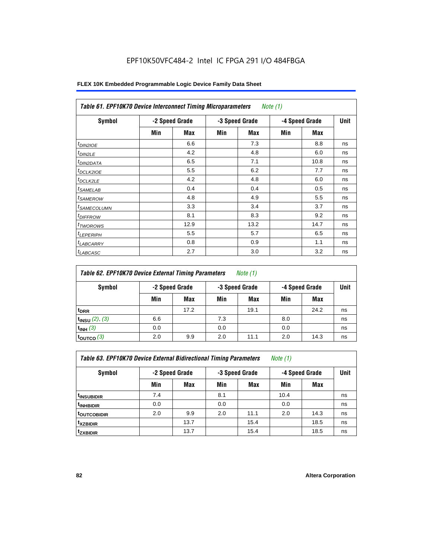| Symbol                  | -2 Speed Grade |      |     | -3 Speed Grade | -4 Speed Grade |      | Unit |
|-------------------------|----------------|------|-----|----------------|----------------|------|------|
|                         | Min            | Max  | Min | Max            | Min            | Max  |      |
| $t_{DIN2IOE}$           |                | 6.6  |     | 7.3            |                | 8.8  | ns   |
| $t_{DIN2LE}$            |                | 4.2  |     | 4.8            |                | 6.0  | ns   |
| <sup>t</sup> DIN2DATA   |                | 6.5  |     | 7.1            |                | 10.8 | ns   |
| t <sub>DCLK2IOE</sub>   |                | 5.5  |     | 6.2            |                | 7.7  | ns   |
| $t$ DCLK2LE             |                | 4.2  |     | 4.8            |                | 6.0  | ns   |
| <sup>t</sup> SAMELAB    |                | 0.4  |     | 0.4            |                | 0.5  | ns   |
| <sup>t</sup> SAMEROW    |                | 4.8  |     | 4.9            |                | 5.5  | ns   |
| <sup>t</sup> SAMECOLUMN |                | 3.3  |     | 3.4            |                | 3.7  | ns   |
| <sup>t</sup> DIFFROW    |                | 8.1  |     | 8.3            |                | 9.2  | ns   |
| <sup>T</sup> TWOROWS    |                | 12.9 |     | 13.2           |                | 14.7 | ns   |
| <sup>t</sup> LEPERIPH   |                | 5.5  |     | 5.7            |                | 6.5  | ns   |
| <b>LABCARRY</b>         |                | 0.8  |     | 0.9            |                | 1.1  | ns   |
| <sup>t</sup> LABCASC    |                | 2.7  |     | 3.0            |                | 3.2  | ns   |

| Table 62. EPF10K70 Device External Timing Parameters<br>Note $(1)$ |     |                |     |                |     |                |    |  |  |
|--------------------------------------------------------------------|-----|----------------|-----|----------------|-----|----------------|----|--|--|
| Symbol                                                             |     | -2 Speed Grade |     | -3 Speed Grade |     | -4 Speed Grade |    |  |  |
|                                                                    | Min | Max            | Min | Max            | Min | Max            |    |  |  |
| <sup>t</sup> DRR                                                   |     | 17.2           |     | 19.1           |     | 24.2           | ns |  |  |
| $t_{INSU}$ (2), (3)                                                | 6.6 |                | 7.3 |                | 8.0 |                | ns |  |  |
| $t_{INH}$ (3)                                                      | 0.0 |                | 0.0 |                | 0.0 |                | ns |  |  |
| $t_{\text{OUTCO}}(3)$                                              | 2.0 | 9.9            | 2.0 | 11.1           | 2.0 | 14.3           | ns |  |  |

*Table 63. EPF10K70 Device External Bidirectional Timing Parameters Note (1)*

| Symbol                    |     | -2 Speed Grade |     | -3 Speed Grade |      | -4 Speed Grade |    |
|---------------------------|-----|----------------|-----|----------------|------|----------------|----|
|                           | Min | Max            | Min | Max            | Min  | Max            |    |
| <sup>t</sup> insubidir    | 7.4 |                | 8.1 |                | 10.4 |                | ns |
| <sup>t</sup> INHBIDIR     | 0.0 |                | 0.0 |                | 0.0  |                | ns |
| <b><i>LOUTCOBIDIR</i></b> | 2.0 | 9.9            | 2.0 | 11.1           | 2.0  | 14.3           | ns |
| <sup>t</sup> xzbidir      |     | 13.7           |     | 15.4           |      | 18.5           | ns |
| <sup>t</sup> zxbidir      |     | 13.7           |     | 15.4           |      | 18.5           | ns |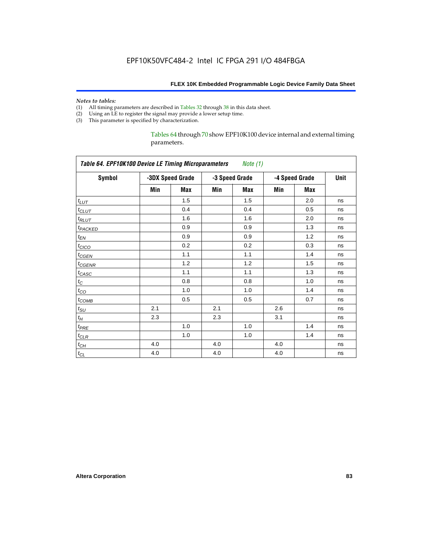# *Notes to tables:*<br>(1) All timing p

- All timing parameters are described in Tables 32 through 38 in this data sheet.
- (2) Using an LE to register the signal may provide a lower setup time.
- (3) This parameter is specified by characterization.

Tables 64 through 70 show EPF10K100 device internal and external timing parameters.

| <b>Symbol</b>       |     | -3DX Speed Grade |     | -3 Speed Grade | -4 Speed Grade | Unit       |    |
|---------------------|-----|------------------|-----|----------------|----------------|------------|----|
|                     | Min | Max              | Min | Max            | Min            | <b>Max</b> |    |
| $t_{LUT}$           |     | 1.5              |     | 1.5            |                | 2.0        | ns |
| $t_{CLUT}$          |     | 0.4              |     | 0.4            |                | 0.5        | ns |
| $t_{RLUT}$          |     | 1.6              |     | 1.6            |                | 2.0        | ns |
| t <sub>PACKED</sub> |     | 0.9              |     | 0.9            |                | 1.3        | ns |
| $t_{EN}$            |     | 0.9              |     | 0.9            |                | 1.2        | ns |
| $t_{CICO}$          |     | 0.2              |     | 0.2            |                | 0.3        | ns |
| $t_{GEN}$           |     | 1.1              |     | 1.1            |                | 1.4        | ns |
| $t_{GENR}$          |     | 1.2              |     | 1.2            |                | 1.5        | ns |
| $t_{CASC}$          |     | 1.1              |     | 1.1            |                | 1.3        | ns |
| $t_C$               |     | 0.8              |     | 0.8            |                | 1.0        | ns |
| $t_{CO}$            |     | 1.0              |     | 1.0            |                | 1.4        | ns |
| $t_{COMB}$          |     | 0.5              |     | 0.5            |                | 0.7        | ns |
| $t_{\rm SU}$        | 2.1 |                  | 2.1 |                | 2.6            |            | ns |
| $t_H$               | 2.3 |                  | 2.3 |                | 3.1            |            | ns |
| $t_{PRE}$           |     | 1.0              |     | 1.0            |                | 1.4        | ns |
| $t_{CLR}$           |     | 1.0              |     | 1.0            |                | 1.4        | ns |
| $t_{CH}$            | 4.0 |                  | 4.0 |                | 4.0            |            | ns |
| $t_{CL}$            | 4.0 |                  | 4.0 |                | 4.0            |            | ns |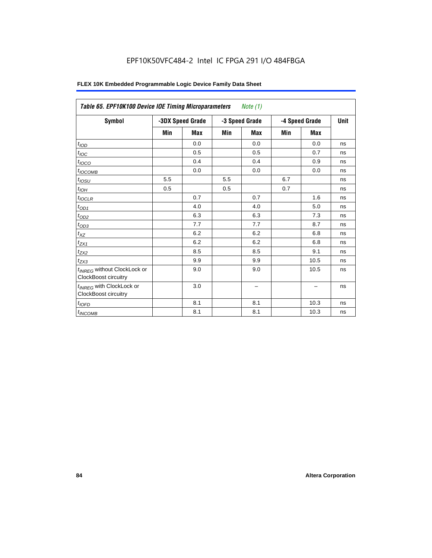| FLEX 10K Embedded Programmable Logic Device Family Data Sheet |  |
|---------------------------------------------------------------|--|
|---------------------------------------------------------------|--|

| Table 65. EPF10K100 Device IOE Timing Microparameters<br>Note $(1)$    |                  |            |                |            |                |      |             |  |  |
|------------------------------------------------------------------------|------------------|------------|----------------|------------|----------------|------|-------------|--|--|
| <b>Symbol</b>                                                          | -3DX Speed Grade |            | -3 Speed Grade |            | -4 Speed Grade |      | <b>Unit</b> |  |  |
|                                                                        | Min              | <b>Max</b> | Min            | <b>Max</b> | Min            | Max  |             |  |  |
| t <sub>IOD</sub>                                                       |                  | 0.0        |                | 0.0        |                | 0.0  | ns          |  |  |
| $t_{\text{IOC}}$                                                       |                  | 0.5        |                | 0.5        |                | 0.7  | ns          |  |  |
| $t_{IOCO}$                                                             |                  | 0.4        |                | 0.4        |                | 0.9  | ns          |  |  |
| $t_{IOCOMB}$                                                           |                  | 0.0        |                | 0.0        |                | 0.0  | ns          |  |  |
| $t_{IOSU}$                                                             | 5.5              |            | 5.5            |            | 6.7            |      | ns          |  |  |
| $t_{IOH}$                                                              | 0.5              |            | 0.5            |            | 0.7            |      | ns          |  |  |
| $t_{IOCLR}$                                                            |                  | 0.7        |                | 0.7        |                | 1.6  | ns          |  |  |
| $t_{OD1}$                                                              |                  | 4.0        |                | 4.0        |                | 5.0  | ns          |  |  |
| $t_{OD2}$                                                              |                  | 6.3        |                | 6.3        |                | 7.3  | ns          |  |  |
| $t_{OD3}$                                                              |                  | 7.7        |                | 7.7        |                | 8.7  | ns          |  |  |
| $t_{XZ}$                                                               |                  | 6.2        |                | 6.2        |                | 6.8  | ns          |  |  |
| $t_{ZX1}$                                                              |                  | 6.2        |                | 6.2        |                | 6.8  | ns          |  |  |
| $t_{ZX2}$                                                              |                  | 8.5        |                | 8.5        |                | 9.1  | ns          |  |  |
| $t_{ZX3}$                                                              |                  | 9.9        |                | 9.9        |                | 10.5 | ns          |  |  |
| t <sub>INREG</sub> without ClockLock or<br><b>ClockBoost circuitry</b> |                  | 9.0        |                | 9.0        |                | 10.5 | ns          |  |  |
| t <sub>INREG</sub> with ClockLock or<br><b>ClockBoost circuitry</b>    |                  | 3.0        |                | -          |                |      | ns          |  |  |
| $t_{IOFD}$                                                             |                  | 8.1        |                | 8.1        |                | 10.3 | ns          |  |  |
| $t_{INCOMB}$                                                           |                  | 8.1        |                | 8.1        |                | 10.3 | ns          |  |  |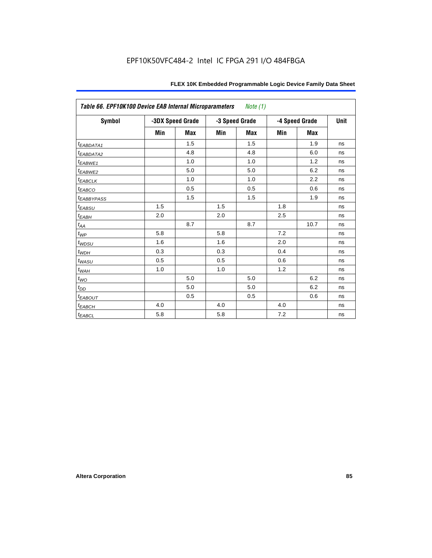| Table 66. EPF10K100 Device EAB Internal Microparameters<br>Note (1) |     |                  |     |                |     |                |      |  |  |
|---------------------------------------------------------------------|-----|------------------|-----|----------------|-----|----------------|------|--|--|
| Symbol                                                              |     | -3DX Speed Grade |     | -3 Speed Grade |     | -4 Speed Grade | Unit |  |  |
|                                                                     | Min | Max              | Min | Max            | Min | Max            |      |  |  |
| $t_{EABDATA1}$                                                      |     | 1.5              |     | 1.5            |     | 1.9            | ns   |  |  |
| t <sub>EABDATA2</sub>                                               |     | 4.8              |     | 4.8            |     | 6.0            | ns   |  |  |
| t <sub>EABWE1</sub>                                                 |     | 1.0              |     | 1.0            |     | 1.2            | ns   |  |  |
| t <sub>EABWE2</sub>                                                 |     | 5.0              |     | 5.0            |     | 6.2            | ns   |  |  |
| $t_{EABCLK}$                                                        |     | 1.0              |     | 1.0            |     | 2.2            | ns   |  |  |
| $t_{EABCO}$                                                         |     | 0.5              |     | 0.5            |     | 0.6            | ns   |  |  |
| <i><b>EABBYPASS</b></i>                                             |     | 1.5              |     | 1.5            |     | 1.9            | ns   |  |  |
| $t_{EABSU}$                                                         | 1.5 |                  | 1.5 |                | 1.8 |                | ns   |  |  |
| $t_{EABH}$                                                          | 2.0 |                  | 2.0 |                | 2.5 |                | ns   |  |  |
| $t_{AA}$                                                            |     | 8.7              |     | 8.7            |     | 10.7           | ns   |  |  |
| $t_{WP}$                                                            | 5.8 |                  | 5.8 |                | 7.2 |                | ns   |  |  |
| $t_{WDSU}$                                                          | 1.6 |                  | 1.6 |                | 2.0 |                | ns   |  |  |
| $t_{WDH}$                                                           | 0.3 |                  | 0.3 |                | 0.4 |                | ns   |  |  |
| $t_{WASU}$                                                          | 0.5 |                  | 0.5 |                | 0.6 |                | ns   |  |  |
| $t_{WAH}$                                                           | 1.0 |                  | 1.0 |                | 1.2 |                | ns   |  |  |
| $t_{WO}$                                                            |     | 5.0              |     | 5.0            |     | 6.2            | ns   |  |  |
| $t_{DD}$                                                            |     | 5.0              |     | 5.0            |     | 6.2            | ns   |  |  |
| <b><i>EABOUT</i></b>                                                |     | 0.5              |     | 0.5            |     | 0.6            | ns   |  |  |
| $t_{EABCH}$                                                         | 4.0 |                  | 4.0 |                | 4.0 |                | ns   |  |  |
| $t_{EABCL}$                                                         | 5.8 |                  | 5.8 |                | 7.2 |                | ns   |  |  |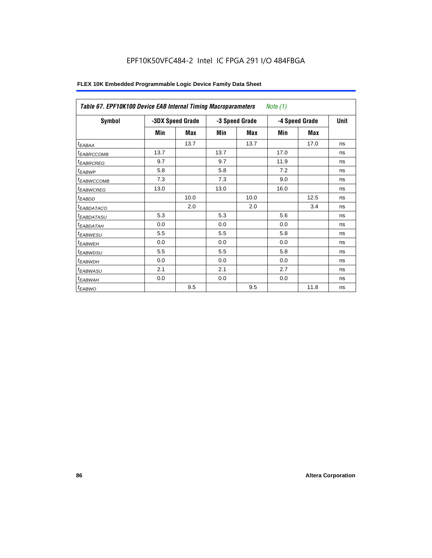| Table 67. EPF10K100 Device EAB Internal Timing Macroparameters |      |                  |      |                | <i>Note</i> $(1)$ |             |    |
|----------------------------------------------------------------|------|------------------|------|----------------|-------------------|-------------|----|
| <b>Symbol</b>                                                  |      | -3DX Speed Grade |      | -3 Speed Grade | -4 Speed Grade    | <b>Unit</b> |    |
|                                                                | Min  | Max              | Min  | Max            | Min               | Max         |    |
| $t_{EABA}$                                                     |      | 13.7             |      | 13.7           |                   | 17.0        | ns |
| <sup>t</sup> EABRCCOMB                                         | 13.7 |                  | 13.7 |                | 17.0              |             | ns |
| <sup>t</sup> EABRCREG                                          | 9.7  |                  | 9.7  |                | 11.9              |             | ns |
| <sup>t</sup> EABWP                                             | 5.8  |                  | 5.8  |                | 7.2               |             | ns |
| <sup>t</sup> EABWCCOMB                                         | 7.3  |                  | 7.3  |                | 9.0               |             | ns |
| <sup>t</sup> EABWCREG                                          | 13.0 |                  | 13.0 |                | 16.0              |             | ns |
| <sup>t</sup> EABDD                                             |      | 10.0             |      | 10.0           |                   | 12.5        | ns |
| <sup>t</sup> EABDATACO                                         |      | 2.0              |      | 2.0            |                   | 3.4         | ns |
| <sup>t</sup> EABDATASU                                         | 5.3  |                  | 5.3  |                | 5.6               |             | ns |
| <sup>I</sup> EABDATAH                                          | 0.0  |                  | 0.0  |                | 0.0               |             | ns |
| <b><i>EABWESU</i></b>                                          | 5.5  |                  | 5.5  |                | 5.8               |             | ns |
| <sup>t</sup> EABWEH                                            | 0.0  |                  | 0.0  |                | 0.0               |             | ns |
| <sup>t</sup> EABWDSU                                           | 5.5  |                  | 5.5  |                | 5.8               |             | ns |
| <sup>t</sup> EABWDH                                            | 0.0  |                  | 0.0  |                | 0.0               |             | ns |
| <sup>t</sup> EABWASU                                           | 2.1  |                  | 2.1  |                | 2.7               |             | ns |
| <sup>t</sup> EABWAH                                            | 0.0  |                  | 0.0  |                | 0.0               |             | ns |
| t <sub>EABWO</sub>                                             |      | 9.5              |      | 9.5            |                   | 11.8        | ns |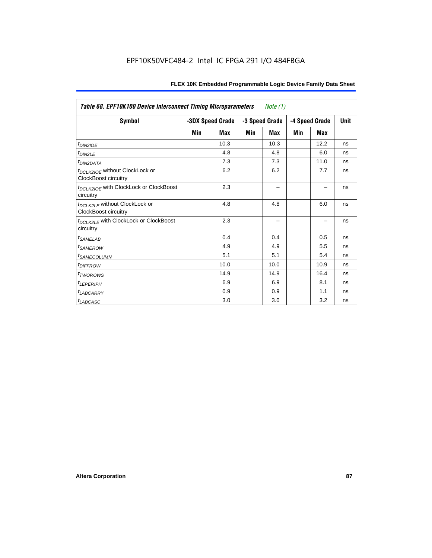| <b>Table 68. EPF10K100 Device Interconnect Timing Microparameters</b><br>Note $(1)$ |     |                  |     |                |     |                |             |  |  |  |
|-------------------------------------------------------------------------------------|-----|------------------|-----|----------------|-----|----------------|-------------|--|--|--|
| <b>Symbol</b>                                                                       |     | -3DX Speed Grade |     | -3 Speed Grade |     | -4 Speed Grade | <b>Unit</b> |  |  |  |
|                                                                                     | Min | Max              | Min | Max            | Min | Max            |             |  |  |  |
| t <sub>DIN2IOE</sub>                                                                |     | 10.3             |     | 10.3           |     | 12.2           | ns          |  |  |  |
| t <sub>DIN2LE</sub>                                                                 |     | 4.8              |     | 4.8            |     | 6.0            | ns          |  |  |  |
| <sup>t</sup> DIN2DATA                                                               |     | 7.3              |     | 7.3            |     | 11.0           | ns          |  |  |  |
| t <sub>DCLK2IOE</sub> without ClockLock or<br>ClockBoost circuitry                  |     | 6.2              |     | 6.2            |     | 7.7            | ns          |  |  |  |
| t <sub>DCLK2IOE</sub> with ClockLock or ClockBoost<br>circuitry                     |     | 2.3              |     |                |     |                | ns          |  |  |  |
| t <sub>DCLK2LE</sub> without ClockLock or<br><b>ClockBoost circuitry</b>            |     | 4.8              |     | 4.8            |     | 6.0            | ns          |  |  |  |
| t <sub>DCLK2LE</sub> with ClockLock or ClockBoost<br>circuitry                      |     | 2.3              |     |                |     |                | ns          |  |  |  |
| <sup>t</sup> SAMELAB                                                                |     | 0.4              |     | 0.4            |     | 0.5            | ns          |  |  |  |
| <i><b>ISAMEROW</b></i>                                                              |     | 4.9              |     | 4.9            |     | 5.5            | ns          |  |  |  |
| <sup>I</sup> SAMECOLUMN                                                             |     | 5.1              |     | 5.1            |     | 5.4            | ns          |  |  |  |
| <i>t<sub>DIFFROW</sub></i>                                                          |     | 10.0             |     | 10.0           |     | 10.9           | ns          |  |  |  |
| <sup>t</sup> TWOROWS                                                                |     | 14.9             |     | 14.9           |     | 16.4           | ns          |  |  |  |
| <sup>t</sup> LEPERIPH                                                               |     | 6.9              |     | 6.9            |     | 8.1            | ns          |  |  |  |
| <sup>t</sup> LABCARRY                                                               |     | 0.9              |     | 0.9            |     | 1.1            | ns          |  |  |  |
| $t_{LABCASC}$                                                                       |     | 3.0              |     | 3.0            |     | 3.2            | ns          |  |  |  |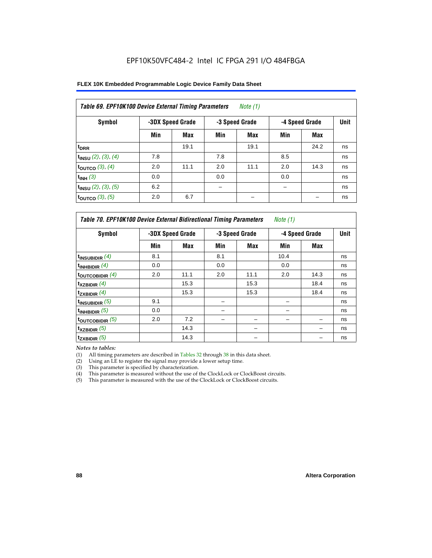| FLEX 10K Embedded Programmable Logic Device Family Data Sheet |  |
|---------------------------------------------------------------|--|
|---------------------------------------------------------------|--|

| Table 69. EPF10K100 Device External Timing Parameters<br>Note $(1)$ |     |                  |     |                |     |                |    |  |  |  |
|---------------------------------------------------------------------|-----|------------------|-----|----------------|-----|----------------|----|--|--|--|
| <b>Symbol</b>                                                       |     | -3DX Speed Grade |     | -3 Speed Grade |     | -4 Speed Grade |    |  |  |  |
|                                                                     | Min | Max              | Min | Max            | Min | Max            |    |  |  |  |
| $t_{\rm DRR}$                                                       |     | 19.1             |     | 19.1           |     | 24.2           | ns |  |  |  |
| $t_{INSU}$ (2), (3), (4)                                            | 7.8 |                  | 7.8 |                | 8.5 |                | ns |  |  |  |
| toutco $(3)$ , $(4)$                                                | 2.0 | 11.1             | 2.0 | 11.1           | 2.0 | 14.3           | ns |  |  |  |
| $t_{INH}$ (3)                                                       | 0.0 |                  | 0.0 |                | 0.0 |                | ns |  |  |  |
| $t_{INSU}$ (2), (3), (5)                                            | 6.2 |                  |     |                |     |                | ns |  |  |  |
| toutco $(3)$ , $(5)$                                                | 2.0 | 6.7              |     |                |     |                | ns |  |  |  |

| Table 70. EPF10K100 Device External Bidirectional Timing Parameters<br>Note (1) |     |                  |     |                |                |      |    |  |  |  |
|---------------------------------------------------------------------------------|-----|------------------|-----|----------------|----------------|------|----|--|--|--|
| Symbol                                                                          |     | -3DX Speed Grade |     | -3 Speed Grade | -4 Speed Grade | Unit |    |  |  |  |
|                                                                                 | Min | Max              | Min | Max            | Min            | Max  |    |  |  |  |
| t <sub>INSUBIDIR</sub> $(4)$                                                    | 8.1 |                  | 8.1 |                | 10.4           |      | ns |  |  |  |
| $t_{INHBIDIR}$ (4)                                                              | 0.0 |                  | 0.0 |                | 0.0            |      | ns |  |  |  |
| toutcobidir $(4)$                                                               | 2.0 | 11.1             | 2.0 | 11.1           | 2.0            | 14.3 | ns |  |  |  |
| $t_{XZBIDIR}$ (4)                                                               |     | 15.3             |     | 15.3           |                | 18.4 | ns |  |  |  |
| $t_{ZXBIDIR}$ (4)                                                               |     | 15.3             |     | 15.3           |                | 18.4 | ns |  |  |  |
| $t_{INSUBIDIR}$ (5)                                                             | 9.1 |                  | -   |                |                |      | ns |  |  |  |
| $t_{INHBIDIR}$ (5)                                                              | 0.0 |                  |     |                |                |      | ns |  |  |  |
| toutcobidir $(5)$                                                               | 2.0 | 7.2              |     |                |                |      | ns |  |  |  |
| $t_{XZBIDIR}$ (5)                                                               |     | 14.3             |     |                |                |      | ns |  |  |  |
| $t_{ZXBIDIR}$ (5)                                                               |     | 14.3             |     |                |                |      | ns |  |  |  |

*Notes to tables:*

(1) All timing parameters are described in Tables 32 through 38 in this data sheet.

(2) Using an LE to register the signal may provide a lower setup time.

(3) This parameter is specified by characterization.

(4) This parameter is measured without the use of the ClockLock or ClockBoost circuits.

(5) This parameter is measured with the use of the ClockLock or ClockBoost circuits.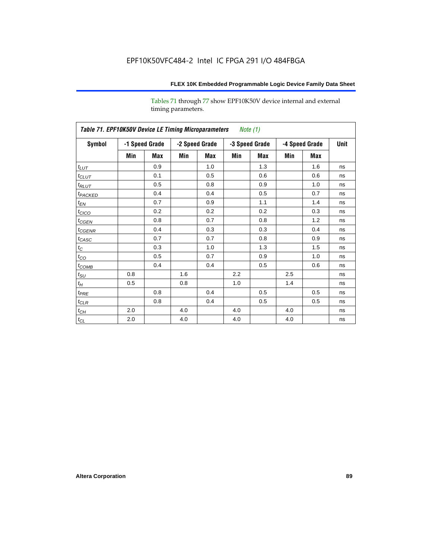Tables 71 through 77 show EPF10K50V device internal and external timing parameters.

|                     | Table 71. EPF10K50V Device LE Timing Microparameters Note (1) |                |     |                |     |                |     |                |             |  |  |  |
|---------------------|---------------------------------------------------------------|----------------|-----|----------------|-----|----------------|-----|----------------|-------------|--|--|--|
| Symbol              |                                                               | -1 Speed Grade |     | -2 Speed Grade |     | -3 Speed Grade |     | -4 Speed Grade | <b>Unit</b> |  |  |  |
|                     | Min                                                           | Max            | Min | Max            | Min | Max            | Min | Max            |             |  |  |  |
| $t_{LUT}$           |                                                               | 0.9            |     | 1.0            |     | 1.3            |     | 1.6            | ns          |  |  |  |
| $t_{CLUT}$          |                                                               | 0.1            |     | 0.5            |     | 0.6            |     | 0.6            | ns          |  |  |  |
| $t_{RLUT}$          |                                                               | 0.5            |     | 0.8            |     | 0.9            |     | 1.0            | ns          |  |  |  |
| t <sub>PACKED</sub> |                                                               | 0.4            |     | 0.4            |     | 0.5            |     | 0.7            | ns          |  |  |  |
| $t_{EN}$            |                                                               | 0.7            |     | 0.9            |     | 1.1            |     | 1.4            | ns          |  |  |  |
| $t_{CICO}$          |                                                               | 0.2            |     | 0.2            |     | 0.2            |     | 0.3            | ns          |  |  |  |
| $t_{CGEN}$          |                                                               | 0.8            |     | 0.7            |     | 0.8            |     | 1.2            | ns          |  |  |  |
| $t_{\text{GENR}}$   |                                                               | 0.4            |     | 0.3            |     | 0.3            |     | 0.4            | ns          |  |  |  |
| $t_{CASC}$          |                                                               | 0.7            |     | 0.7            |     | 0.8            |     | 0.9            | ns          |  |  |  |
| $t_C$               |                                                               | 0.3            |     | 1.0            |     | 1.3            |     | 1.5            | ns          |  |  |  |
| $t_{CO}$            |                                                               | 0.5            |     | 0.7            |     | 0.9            |     | 1.0            | ns          |  |  |  |
| $t_{COMB}$          |                                                               | 0.4            |     | 0.4            |     | 0.5            |     | 0.6            | ns          |  |  |  |
| $t_{\rm SU}$        | 0.8                                                           |                | 1.6 |                | 2.2 |                | 2.5 |                | ns          |  |  |  |
| $t_{\!H}$           | 0.5                                                           |                | 0.8 |                | 1.0 |                | 1.4 |                | ns          |  |  |  |
| $t_{PRE}$           |                                                               | 0.8            |     | 0.4            |     | 0.5            |     | 0.5            | ns          |  |  |  |
| $t_{CLR}$           |                                                               | 0.8            |     | 0.4            |     | 0.5            |     | 0.5            | ns          |  |  |  |
| $t_{\mathit{CH}}$   | 2.0                                                           |                | 4.0 |                | 4.0 |                | 4.0 |                | ns          |  |  |  |
| $t_{\rm CL}$        | 2.0                                                           |                | 4.0 |                | 4.0 |                | 4.0 |                | ns          |  |  |  |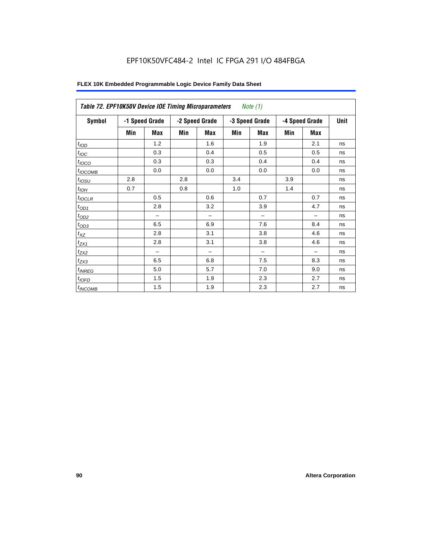| Table 72. EPF10K50V Device IOE Timing Microparameters |     |                |     |                |     | Note (1)       |                |            |             |
|-------------------------------------------------------|-----|----------------|-----|----------------|-----|----------------|----------------|------------|-------------|
| <b>Symbol</b>                                         |     | -1 Speed Grade |     | -2 Speed Grade |     | -3 Speed Grade | -4 Speed Grade |            | <b>Unit</b> |
|                                                       | Min | Max            | Min | <b>Max</b>     | Min | <b>Max</b>     | Min            | <b>Max</b> |             |
| t <sub>IOD</sub>                                      |     | 1.2            |     | 1.6            |     | 1.9            |                | 2.1        | ns          |
| $t_{\text{IOC}}$                                      |     | 0.3            |     | 0.4            |     | 0.5            |                | 0.5        | ns          |
| $t_{IOCO}$                                            |     | 0.3            |     | 0.3            |     | 0.4            |                | 0.4        | ns          |
| $t_{IOCOMB}$                                          |     | 0.0            |     | 0.0            |     | 0.0            |                | 0.0        | ns          |
| $t_{IOSU}$                                            | 2.8 |                | 2.8 |                | 3.4 |                | 3.9            |            | ns          |
| $t_{IOH}$                                             | 0.7 |                | 0.8 |                | 1.0 |                | 1.4            |            | ns          |
| $t_{IOCLR}$                                           |     | 0.5            |     | 0.6            |     | 0.7            |                | 0.7        | ns          |
| $t_{OD1}$                                             |     | 2.8            |     | 3.2            |     | 3.9            |                | 4.7        | ns          |
| $t_{OD2}$                                             |     |                |     |                |     |                |                |            | ns          |
| $t_{OD3}$                                             |     | 6.5            |     | 6.9            |     | 7.6            |                | 8.4        | ns          |
| $t_{XZ}$                                              |     | 2.8            |     | 3.1            |     | 3.8            |                | 4.6        | ns          |
| $t_{ZX1}$                                             |     | 2.8            |     | 3.1            |     | 3.8            |                | 4.6        | ns          |
| $t_{ZX2}$                                             |     | -              |     | -              |     | -              |                |            | ns          |
| $t_{ZX3}$                                             |     | 6.5            |     | 6.8            |     | 7.5            |                | 8.3        | ns          |
| $t_{INREG}$                                           |     | 5.0            |     | 5.7            |     | 7.0            |                | 9.0        | ns          |
| $t_{IOFD}$                                            |     | 1.5            |     | 1.9            |     | 2.3            |                | 2.7        | ns          |
| $t_{INCOMB}$                                          |     | 1.5            |     | 1.9            |     | 2.3            |                | 2.7        | ns          |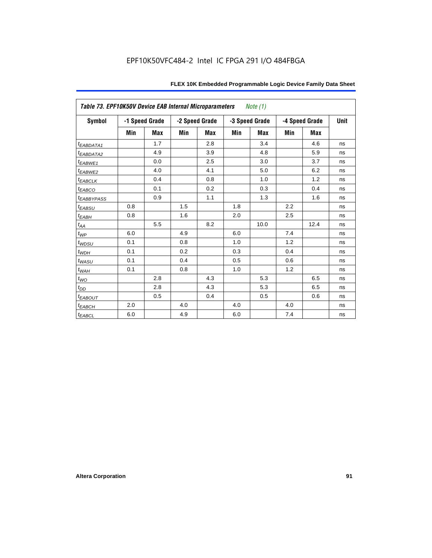| Table 73. EPF10K50V Device EAB Internal Microparameters |     |                |     |                |     | Note (1)       |     |                |             |
|---------------------------------------------------------|-----|----------------|-----|----------------|-----|----------------|-----|----------------|-------------|
| Symbol                                                  |     | -1 Speed Grade |     | -2 Speed Grade |     | -3 Speed Grade |     | -4 Speed Grade | <b>Unit</b> |
|                                                         | Min | <b>Max</b>     | Min | Max            | Min | <b>Max</b>     | Min | Max            |             |
| t <sub>EABDATA1</sub>                                   |     | 1.7            |     | 2.8            |     | 3.4            |     | 4.6            | ns          |
| <sup>t</sup> EABDATA2                                   |     | 4.9            |     | 3.9            |     | 4.8            |     | 5.9            | ns          |
| t <sub>EABWE1</sub>                                     |     | 0.0            |     | 2.5            |     | 3.0            |     | 3.7            | ns          |
| t <sub>EABWE2</sub>                                     |     | 4.0            |     | 4.1            |     | 5.0            |     | 6.2            | ns          |
| $t_{EABCLK}$                                            |     | 0.4            |     | 0.8            |     | 1.0            |     | 1.2            | ns          |
| $t_{EABCO}$                                             |     | 0.1            |     | 0.2            |     | 0.3            |     | 0.4            | ns          |
| <sup>t</sup> EABBYPASS                                  |     | 0.9            |     | 1.1            |     | 1.3            |     | 1.6            | ns          |
| $t_{EABSU}$                                             | 0.8 |                | 1.5 |                | 1.8 |                | 2.2 |                | ns          |
| $t_{EABH}$                                              | 0.8 |                | 1.6 |                | 2.0 |                | 2.5 |                | ns          |
| $t_{AA}$                                                |     | 5.5            |     | 8.2            |     | 10.0           |     | 12.4           | ns          |
| $t_{WP}$                                                | 6.0 |                | 4.9 |                | 6.0 |                | 7.4 |                | ns          |
| $t_{WDSU}$                                              | 0.1 |                | 0.8 |                | 1.0 |                | 1.2 |                | ns          |
| $t_{WDH}$                                               | 0.1 |                | 0.2 |                | 0.3 |                | 0.4 |                | ns          |
| $t_{WASU}$                                              | 0.1 |                | 0.4 |                | 0.5 |                | 0.6 |                | ns          |
| $t_{WAH}$                                               | 0.1 |                | 0.8 |                | 1.0 |                | 1.2 |                | ns          |
| $t_{WO}$                                                |     | 2.8            |     | 4.3            |     | 5.3            |     | 6.5            | ns          |
| $t_{DD}$                                                |     | 2.8            |     | 4.3            |     | 5.3            |     | 6.5            | ns          |
| <b><i>EABOUT</i></b>                                    |     | 0.5            |     | 0.4            |     | 0.5            |     | 0.6            | ns          |
| $t_{EABCH}$                                             | 2.0 |                | 4.0 |                | 4.0 |                | 4.0 |                | ns          |
| $t_{EABCL}$                                             | 6.0 |                | 4.9 |                | 6.0 |                | 7.4 |                | ns          |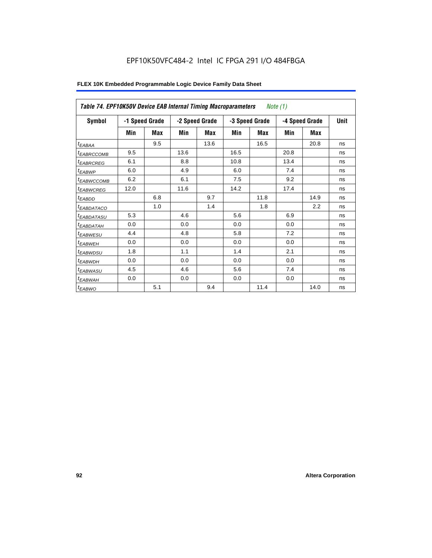| Table 74. EPF10K50V Device EAB Internal Timing Macroparameters |      |                |      |                                  |      | Note (1)   |      |                |             |
|----------------------------------------------------------------|------|----------------|------|----------------------------------|------|------------|------|----------------|-------------|
| Symbol                                                         |      | -1 Speed Grade |      | -2 Speed Grade<br>-3 Speed Grade |      |            |      | -4 Speed Grade | <b>Unit</b> |
|                                                                | Min  | Max            | Min  | <b>Max</b>                       | Min  | <b>Max</b> | Min  | <b>Max</b>     |             |
| $t_{EABA}$                                                     |      | 9.5            |      | 13.6                             |      | 16.5       |      | 20.8           | ns          |
| <sup>t</sup> EABRCCOMB                                         | 9.5  |                | 13.6 |                                  | 16.5 |            | 20.8 |                | ns          |
| <sup>t</sup> EABRCREG                                          | 6.1  |                | 8.8  |                                  | 10.8 |            | 13.4 |                | ns          |
| <sup>t</sup> EABWP                                             | 6.0  |                | 4.9  |                                  | 6.0  |            | 7.4  |                | ns          |
| <sup>t</sup> EABWCCOMB                                         | 6.2  |                | 6.1  |                                  | 7.5  |            | 9.2  |                | ns          |
| <sup>t</sup> EABWCREG                                          | 12.0 |                | 11.6 |                                  | 14.2 |            | 17.4 |                | ns          |
| <sup>t</sup> EABDD                                             |      | 6.8            |      | 9.7                              |      | 11.8       |      | 14.9           | ns          |
| <sup>t</sup> EABDATACO                                         |      | 1.0            |      | 1.4                              |      | 1.8        |      | 2.2            | ns          |
| <sup>t</sup> EABDATASU                                         | 5.3  |                | 4.6  |                                  | 5.6  |            | 6.9  |                | ns          |
| <sup>t</sup> EABDATAH                                          | 0.0  |                | 0.0  |                                  | 0.0  |            | 0.0  |                | ns          |
| <sup>t</sup> EABWESU                                           | 4.4  |                | 4.8  |                                  | 5.8  |            | 7.2  |                | ns          |
| <sup>t</sup> EABWEH                                            | 0.0  |                | 0.0  |                                  | 0.0  |            | 0.0  |                | ns          |
| <sup>t</sup> EABWDSU                                           | 1.8  |                | 1.1  |                                  | 1.4  |            | 2.1  |                | ns          |
| <sup>t</sup> EABWDH                                            | 0.0  |                | 0.0  |                                  | 0.0  |            | 0.0  |                | ns          |
| <sup>t</sup> EABWASU                                           | 4.5  |                | 4.6  |                                  | 5.6  |            | 7.4  |                | ns          |
| <sup>t</sup> EABWAH                                            | 0.0  |                | 0.0  |                                  | 0.0  |            | 0.0  |                | ns          |
| t <sub>EABWO</sub>                                             |      | 5.1            |      | 9.4                              |      | 11.4       |      | 14.0           | ns          |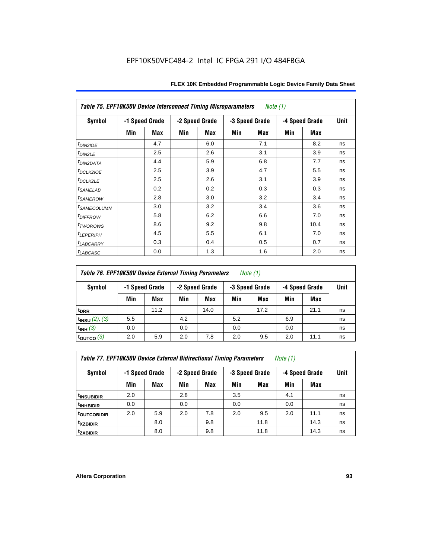|                            | <b>Table 75. EPF10K50V Device Interconnect Timing Microparameters</b><br>Note (1) |                |     |                |     |                |     |                |             |  |  |
|----------------------------|-----------------------------------------------------------------------------------|----------------|-----|----------------|-----|----------------|-----|----------------|-------------|--|--|
| Symbol                     |                                                                                   | -1 Speed Grade |     | -2 Speed Grade |     | -3 Speed Grade |     | -4 Speed Grade | <b>Unit</b> |  |  |
|                            | Min                                                                               | Max            | Min | <b>Max</b>     | Min | Max            | Min | Max            |             |  |  |
| $t_{DINZIOE}$              |                                                                                   | 4.7            |     | 6.0            |     | 7.1            |     | 8.2            | ns          |  |  |
| $t_{DIN2LE}$               |                                                                                   | 2.5            |     | 2.6            |     | 3.1            |     | 3.9            | ns          |  |  |
| <sup>t</sup> DIN2DATA      |                                                                                   | 4.4            |     | 5.9            |     | 6.8            |     | 7.7            | ns          |  |  |
| t <sub>DCLK2IOE</sub>      |                                                                                   | 2.5            |     | 3.9            |     | 4.7            |     | 5.5            | ns          |  |  |
| t <sub>DCLK2LE</sub>       |                                                                                   | 2.5            |     | 2.6            |     | 3.1            |     | 3.9            | ns          |  |  |
| <i>t<sub>SAMELAB</sub></i> |                                                                                   | 0.2            |     | 0.2            |     | 0.3            |     | 0.3            | ns          |  |  |
| <i>t<sub>SAMEROW</sub></i> |                                                                                   | 2.8            |     | 3.0            |     | 3.2            |     | 3.4            | ns          |  |  |
| <sup>t</sup> SAMECOLUMN    |                                                                                   | 3.0            |     | 3.2            |     | 3.4            |     | 3.6            | ns          |  |  |
| <i>t<sub>DIFFROW</sub></i> |                                                                                   | 5.8            |     | 6.2            |     | 6.6            |     | 7.0            | ns          |  |  |
| t <sub>TWOROWS</sub>       |                                                                                   | 8.6            |     | 9.2            |     | 9.8            |     | 10.4           | ns          |  |  |
| <b><i>ILEPERIPH</i></b>    |                                                                                   | 4.5            |     | 5.5            |     | 6.1            |     | 7.0            | ns          |  |  |
| t <sub>LABCARRY</sub>      |                                                                                   | 0.3            |     | 0.4            |     | 0.5            |     | 0.7            | ns          |  |  |
| $t_{LABCASC}$              |                                                                                   | 0.0            |     | 1.3            |     | 1.6            |     | 2.0            | ns          |  |  |

# *Table 76. EPF10K50V Device External Timing Parameters Note (1)*

| Symbol                 | -1 Speed Grade |      | -2 Speed Grade |      | -3 Speed Grade |      | -4 Speed Grade |      | <b>Unit</b> |
|------------------------|----------------|------|----------------|------|----------------|------|----------------|------|-------------|
|                        | Min            | Max  | Min            | Max  | Min            | Max  | Min            | Max  |             |
| <sup>t</sup> DRR       |                | 11.2 |                | 14.0 |                | 17.2 |                | 21.1 | ns          |
| $t_{INSU}$ (2), (3)    | 5.5            |      | 4.2            |      | 5.2            |      | 6.9            |      | ns          |
| $t_{INH}$ (3)          | 0.0            |      | 0.0            |      | 0.0            |      | 0.0            |      | ns          |
| $t_{\text{OUTCO}}$ (3) | 2.0            | 5.9  | 2.0            | 7.8  | 2.0            | 9.5  | 2.0            | 11.1 | ns          |

*Table 77. EPF10K50V Device External Bidirectional Timing Parameters Note (1)*

| Symbol                         |     | -1 Speed Grade |     | -2 Speed Grade<br>-3 Speed Grade |     | -4 Speed Grade | <b>Unit</b> |      |    |
|--------------------------------|-----|----------------|-----|----------------------------------|-----|----------------|-------------|------|----|
|                                | Min | Max            | Min | Max                              | Min | Max            | Min         | Max  |    |
| <sup>t</sup> INSUB <u>IDIR</u> | 2.0 |                | 2.8 |                                  | 3.5 |                | 4.1         |      | ns |
| <sup>t</sup> INHBIDIR          | 0.0 |                | 0.0 |                                  | 0.0 |                | 0.0         |      | ns |
| t <sub>outcobidir</sub>        | 2.0 | 5.9            | 2.0 | 7.8                              | 2.0 | 9.5            | 2.0         | 11.1 | ns |
| <sup>t</sup> xzbidir           |     | 8.0            |     | 9.8                              |     | 11.8           |             | 14.3 | ns |
| <sup>t</sup> zxbidir           |     | 8.0            |     | 9.8                              |     | 11.8           |             | 14.3 | ns |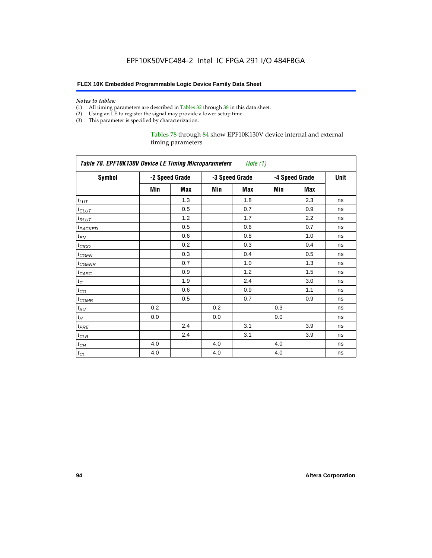#### *Notes to tables:*

- (1) All timing parameters are described in Tables 32 through 38 in this data sheet.
- (2) Using an LE to register the signal may provide a lower setup time.
- (3) This parameter is specified by characterization.

#### Tables 78 through 84 show EPF10K130V device internal and external timing parameters.

| Table 78. EPF10K130V Device LE Timing Microparameters Note (1) |     |                |     |                |     |                |      |  |  |
|----------------------------------------------------------------|-----|----------------|-----|----------------|-----|----------------|------|--|--|
| <b>Symbol</b>                                                  |     | -2 Speed Grade |     | -3 Speed Grade |     | -4 Speed Grade | Unit |  |  |
|                                                                | Min | Max            | Min | Max            | Min | Max            |      |  |  |
| $t_{LUT}$                                                      |     | 1.3            |     | 1.8            |     | 2.3            | ns   |  |  |
| $t_{CLUT}$                                                     |     | 0.5            |     | 0.7            |     | 0.9            | ns   |  |  |
| $t_{RLUT}$                                                     |     | 1.2            |     | 1.7            |     | 2.2            | ns   |  |  |
| t <sub>PACKED</sub>                                            |     | 0.5            |     | 0.6            |     | 0.7            | ns   |  |  |
| $t_{EN}$                                                       |     | 0.6            |     | 0.8            |     | 1.0            | ns   |  |  |
| $t_{CICO}$                                                     |     | 0.2            |     | 0.3            |     | 0.4            | ns   |  |  |
| $t_{GEN}$                                                      |     | 0.3            |     | 0.4            |     | 0.5            | ns   |  |  |
| t <sub>CGENR</sub>                                             |     | 0.7            |     | 1.0            |     | 1.3            | ns   |  |  |
| $t_{CASC}$                                                     |     | 0.9            |     | 1.2            |     | 1.5            | ns   |  |  |
| $t_C$                                                          |     | 1.9            |     | 2.4            |     | 3.0            | ns   |  |  |
| $t_{CO}$                                                       |     | 0.6            |     | 0.9            |     | 1.1            | ns   |  |  |
| $t_{COMB}$                                                     |     | 0.5            |     | 0.7            |     | 0.9            | ns   |  |  |
| $t_{\rm SU}$                                                   | 0.2 |                | 0.2 |                | 0.3 |                | ns   |  |  |
| $t_H$                                                          | 0.0 |                | 0.0 |                | 0.0 |                | ns   |  |  |
| $t_{PRE}$                                                      |     | 2.4            |     | 3.1            |     | 3.9            | ns   |  |  |
| $t_{CLR}$                                                      |     | 2.4            |     | 3.1            |     | 3.9            | ns   |  |  |
| $t_{CH}$                                                       | 4.0 |                | 4.0 |                | 4.0 |                | ns   |  |  |
| $t_{CL}$                                                       | 4.0 |                | 4.0 |                | 4.0 |                | ns   |  |  |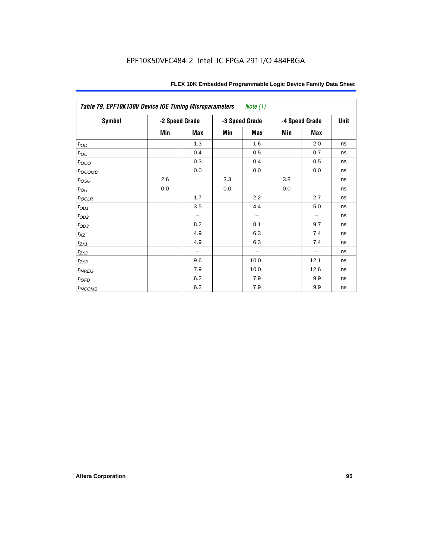| Table 79. EPF10K130V Device IOE Timing Microparameters<br><i>Note</i> $(1)$ |                |            |     |                |     |                |      |  |  |  |
|-----------------------------------------------------------------------------|----------------|------------|-----|----------------|-----|----------------|------|--|--|--|
| <b>Symbol</b>                                                               | -2 Speed Grade |            |     | -3 Speed Grade |     | -4 Speed Grade | Unit |  |  |  |
|                                                                             | Min            | <b>Max</b> | Min | <b>Max</b>     | Min | <b>Max</b>     |      |  |  |  |
| t <sub>IOD</sub>                                                            |                | 1.3        |     | 1.6            |     | 2.0            | ns   |  |  |  |
| $t_{\text{IOC}}$                                                            |                | 0.4        |     | 0.5            |     | 0.7            | ns   |  |  |  |
| $t_{IOCO}$                                                                  |                | 0.3        |     | 0.4            |     | 0.5            | ns   |  |  |  |
| $t_{IOCOMB}$                                                                |                | 0.0        |     | 0.0            |     | 0.0            | ns   |  |  |  |
| $t_{IOSU}$                                                                  | 2.6            |            | 3.3 |                | 3.8 |                | ns   |  |  |  |
| $t_{IOH}$                                                                   | 0.0            |            | 0.0 |                | 0.0 |                | ns   |  |  |  |
| $t_{IOCLR}$                                                                 |                | 1.7        |     | 2.2            |     | 2.7            | ns   |  |  |  |
| $t_{OD1}$                                                                   |                | 3.5        |     | 4.4            |     | 5.0            | ns   |  |  |  |
| $t_{OD2}$                                                                   |                | -          |     |                |     |                | ns   |  |  |  |
| $t_{OD3}$                                                                   |                | 8.2        |     | 8.1            |     | 9.7            | ns   |  |  |  |
| $t_{\mathsf{XZ}}$                                                           |                | 4.9        |     | 6.3            |     | 7.4            | ns   |  |  |  |
| $t_{ZX1}$                                                                   |                | 4.9        |     | 6.3            |     | 7.4            | ns   |  |  |  |
| $t_{ZX2}$                                                                   |                |            |     |                |     |                | ns   |  |  |  |
| $t_{ZX3}$                                                                   |                | 9.6        |     | 10.0           |     | 12.1           | ns   |  |  |  |
| $t_{INREG}$                                                                 |                | 7.9        |     | 10.0           |     | 12.6           | ns   |  |  |  |
| $t_{IOFD}$                                                                  |                | 6.2        |     | 7.9            |     | 9.9            | ns   |  |  |  |
| $t_{INCOMB}$                                                                |                | 6.2        |     | 7.9            |     | 9.9            | ns   |  |  |  |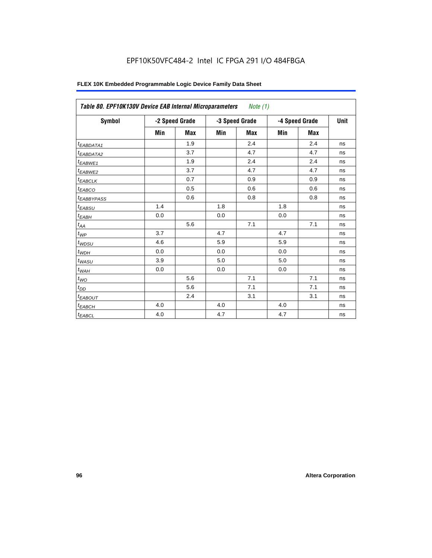| Symbol                 |     | -2 Speed Grade | -3 Speed Grade |            |     | -4 Speed Grade | <b>Unit</b> |
|------------------------|-----|----------------|----------------|------------|-----|----------------|-------------|
|                        | Min | <b>Max</b>     | Min            | <b>Max</b> | Min | <b>Max</b>     |             |
| <sup>t</sup> EABDATA1  |     | 1.9            |                | 2.4        |     | 2.4            | ns          |
| <sup>t</sup> EABDATA2  |     | 3.7            |                | 4.7        |     | 4.7            | ns          |
| <sup>t</sup> EABWE1    |     | 1.9            |                | 2.4        |     | 2.4            | ns          |
| <sup>t</sup> EABWE2    |     | 3.7            |                | 4.7        |     | 4.7            | ns          |
| t <sub>EABCLK</sub>    |     | 0.7            |                | 0.9        |     | 0.9            | ns          |
| <sup>t</sup> ЕАВСО     |     | 0.5            |                | 0.6        |     | 0.6            | ns          |
| <sup>t</sup> EABBYPASS |     | 0.6            |                | 0.8        |     | 0.8            | ns          |
| t <sub>EABSU</sub>     | 1.4 |                | 1.8            |            | 1.8 |                | ns          |
| t <sub>ЕАВН</sub>      | 0.0 |                | 0.0            |            | 0.0 |                | ns          |
| $t_{AA}$               |     | 5.6            |                | 7.1        |     | 7.1            | ns          |
| $t_{\mathit{WP}}$      | 3.7 |                | 4.7            |            | 4.7 |                | ns          |
| $t_{WDSU}$             | 4.6 |                | 5.9            |            | 5.9 |                | ns          |
| $t_{WDH}$              | 0.0 |                | 0.0            |            | 0.0 |                | ns          |
| $t_{WASU}$             | 3.9 |                | 5.0            |            | 5.0 |                | ns          |
| $t_{\sf WAH}$          | 0.0 |                | 0.0            |            | 0.0 |                | ns          |
| $t_{WO}$               |     | 5.6            |                | 7.1        |     | 7.1            | ns          |
| $t_{DD}$               |     | 5.6            |                | 7.1        |     | 7.1            | ns          |
| <sup>t</sup> EABOUT    |     | 2.4            |                | 3.1        |     | 3.1            | ns          |
| $t_{EABCH}$            | 4.0 |                | 4.0            |            | 4.0 |                | ns          |
| $t_{EABCL}$            | 4.0 |                | 4.7            |            | 4.7 |                | ns          |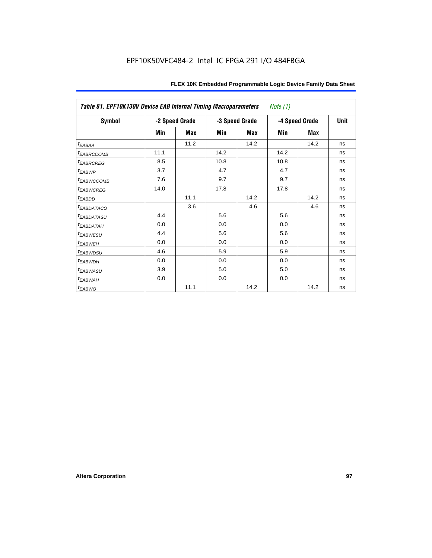| Table 81. EPF10K130V Device EAB Internal Timing Macroparameters<br>Note $(1)$ |                |      |                |      |                |      |             |  |  |  |
|-------------------------------------------------------------------------------|----------------|------|----------------|------|----------------|------|-------------|--|--|--|
| Symbol                                                                        | -2 Speed Grade |      | -3 Speed Grade |      | -4 Speed Grade |      | <b>Unit</b> |  |  |  |
|                                                                               | Min            | Max  | Min            | Max  | Min            | Max  |             |  |  |  |
| t <sub>EABAA</sub>                                                            |                | 11.2 |                | 14.2 |                | 14.2 | ns          |  |  |  |
| <sup>t</sup> EABRCCOMB                                                        | 11.1           |      | 14.2           |      | 14.2           |      | ns          |  |  |  |
| <b><i>EABRCREG</i></b>                                                        | 8.5            |      | 10.8           |      | 10.8           |      | ns          |  |  |  |
| <sup>t</sup> EABWP                                                            | 3.7            |      | 4.7            |      | 4.7            |      | ns          |  |  |  |
| <sup>t</sup> EABWCCOMB                                                        | 7.6            |      | 9.7            |      | 9.7            |      | ns          |  |  |  |
| <sup>t</sup> EABWCREG                                                         | 14.0           |      | 17.8           |      | 17.8           |      | ns          |  |  |  |
| t <sub>EABDD</sub>                                                            |                | 11.1 |                | 14.2 |                | 14.2 | ns          |  |  |  |
| <i>EABDATACO</i>                                                              |                | 3.6  |                | 4.6  |                | 4.6  | ns          |  |  |  |
| <sup>t</sup> EABDATASU                                                        | 4.4            |      | 5.6            |      | 5.6            |      | ns          |  |  |  |
| <sup>t</sup> EABDATAH                                                         | 0.0            |      | 0.0            |      | 0.0            |      | ns          |  |  |  |
| <sup>t</sup> EABWESU                                                          | 4.4            |      | 5.6            |      | 5.6            |      | ns          |  |  |  |
| <sup>t</sup> EABWEH                                                           | 0.0            |      | 0.0            |      | 0.0            |      | ns          |  |  |  |
| <sup>t</sup> EABWDSU                                                          | 4.6            |      | 5.9            |      | 5.9            |      | ns          |  |  |  |
| <sup>t</sup> EABWDH                                                           | 0.0            |      | 0.0            |      | 0.0            |      | ns          |  |  |  |
| <sup>t</sup> EABWASU                                                          | 3.9            |      | 5.0            |      | 5.0            |      | ns          |  |  |  |
| <sup>t</sup> EABWAH                                                           | 0.0            |      | 0.0            |      | 0.0            |      | ns          |  |  |  |
| <sup>t</sup> EABWO                                                            |                | 11.1 |                | 14.2 |                | 14.2 | ns          |  |  |  |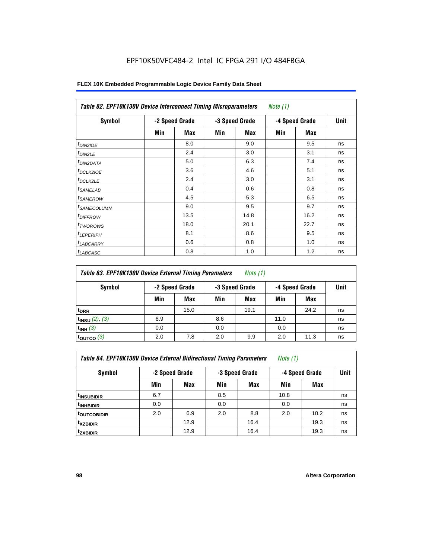| Symbol                  | -2 Speed Grade |            | -3 Speed Grade |      | -4 Speed Grade |      | Unit |
|-------------------------|----------------|------------|----------------|------|----------------|------|------|
|                         | Min            | <b>Max</b> | Min            | Max  | Min            | Max  |      |
| <sup>t</sup> DIN2IOE    |                | 8.0        |                | 9.0  |                | 9.5  | ns   |
| $t_{DIN2LE}$            |                | 2.4        |                | 3.0  |                | 3.1  | ns   |
| <sup>t</sup> DIN2DATA   |                | 5.0        |                | 6.3  |                | 7.4  | ns   |
| <sup>t</sup> DCLK2IOE   |                | 3.6        |                | 4.6  |                | 5.1  | ns   |
| $t$ DCLK2LE             |                | 2.4        |                | 3.0  |                | 3.1  | ns   |
| <sup>t</sup> SAMELAB    |                | 0.4        |                | 0.6  |                | 0.8  | ns   |
| <i>t</i> SAMEROW        |                | 4.5        |                | 5.3  |                | 6.5  | ns   |
| <sup>t</sup> SAMECOLUMN |                | 9.0        |                | 9.5  |                | 9.7  | ns   |
| <i><b>IDIFFROW</b></i>  |                | 13.5       |                | 14.8 |                | 16.2 | ns   |
| <sup>T</sup> TWOROWS    |                | 18.0       |                | 20.1 |                | 22.7 | ns   |
| <sup>t</sup> LEPERIPH   |                | 8.1        |                | 8.6  |                | 9.5  | ns   |
| <b>LABCARRY</b>         |                | 0.6        |                | 0.8  |                | 1.0  | ns   |
| <sup>t</sup> LABCASC    |                | 0.8        |                | 1.0  |                | 1.2  | ns   |

| Table 83. EPF10K130V Device External Timing Parameters | Note (1) |
|--------------------------------------------------------|----------|
|--------------------------------------------------------|----------|

| Symbol                 | -2 Speed Grade |      |     | -3 Speed Grade |      | -4 Speed Grade |    |
|------------------------|----------------|------|-----|----------------|------|----------------|----|
|                        | Min            | Max  | Min | Max            | Min  | Max            |    |
| t <sub>DRR</sub>       |                | 15.0 |     | 19.1           |      | 24.2           | ns |
| $t_{INSU}$ (2), (3)    | 6.9            |      | 8.6 |                | 11.0 |                | ns |
| $t_{INH}$ (3)          | 0.0            |      | 0.0 |                | 0.0  |                | ns |
| $t_{\text{OUTCO}}$ (3) | 2.0            | 7.8  | 2.0 | 9.9            | 2.0  | 11.3           | ns |

**t<sub>XZBIDIR</sub> | | 12.9 | | 16.4 | | 19.3 | ns tZXBIDIR** 12.9 16.4 19.3 ns

| Table 84. EPF10K130V Device External Bidirectional Timing Parameters | Note (1) |  |
|----------------------------------------------------------------------|----------|--|
|----------------------------------------------------------------------|----------|--|

**Symbol -2 Speed Grade -3 Speed Grade -4 Speed Grade Unit** Min | Max | Min | Max | Min | Max **t<sub>INSUBIDIR | 6.7 | | 8.5 | | 10.8 | |** ns</sub> **t<sub>INHBIDIR | 0.0 | 0.0 | 0.0 | 0.0** | ns</sub> **tOUTCOBIDIR** 2.0 6.9 2.0 8.8 2.0 10.2 ns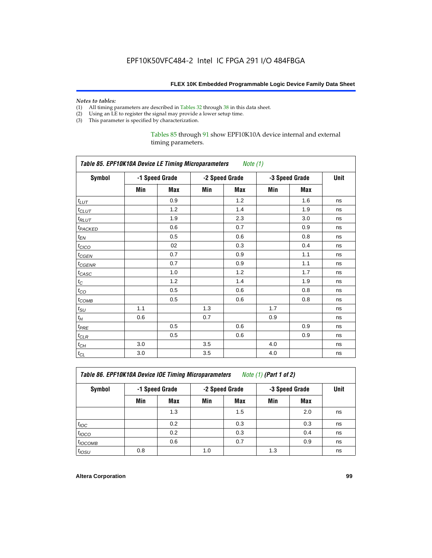# *Notes to tables:*<br>(1) All timing p

- All timing parameters are described in Tables 32 through 38 in this data sheet.
- (2) Using an LE to register the signal may provide a lower setup time.
- (3) This parameter is specified by characterization.

#### Tables 85 through 91 show EPF10K10A device internal and external timing parameters.

| Table 85. EPF10K10A Device LE Timing Microparameters<br>Note (1) |     |                |     |                |     |                |      |  |  |
|------------------------------------------------------------------|-----|----------------|-----|----------------|-----|----------------|------|--|--|
| <b>Symbol</b>                                                    |     | -1 Speed Grade |     | -2 Speed Grade |     | -3 Speed Grade | Unit |  |  |
|                                                                  | Min | <b>Max</b>     | Min | Max            | Min | <b>Max</b>     |      |  |  |
| $t_{LUT}$                                                        |     | 0.9            |     | 1.2            |     | 1.6            | ns   |  |  |
| $t_{CLUT}$                                                       |     | 1.2            |     | 1.4            |     | 1.9            | ns   |  |  |
| $t_{RLUT}$                                                       |     | 1.9            |     | 2.3            |     | 3.0            | ns   |  |  |
| <b>t</b> <sub>PACKED</sub>                                       |     | 0.6            |     | 0.7            |     | 0.9            | ns   |  |  |
| $t_{EN}$                                                         |     | 0.5            |     | 0.6            |     | 0.8            | ns   |  |  |
| $t_{CICO}$                                                       |     | 02             |     | 0.3            |     | 0.4            | ns   |  |  |
| $t_{CGEN}$                                                       |     | 0.7            |     | 0.9            |     | 1.1            | ns   |  |  |
| $t_{GENR}$                                                       |     | 0.7            |     | 0.9            |     | 1.1            | ns   |  |  |
| $t_{CASC}$                                                       |     | 1.0            |     | 1.2            |     | 1.7            | ns   |  |  |
| $t_{\rm C}$                                                      |     | 1.2            |     | 1.4            |     | 1.9            | ns   |  |  |
| $t_{\rm CO}$                                                     |     | 0.5            |     | 0.6            |     | 0.8            | ns   |  |  |
| $t_{\text{COMB}}$                                                |     | 0.5            |     | 0.6            |     | 0.8            | ns   |  |  |
| $t_{\rm SU}$                                                     | 1.1 |                | 1.3 |                | 1.7 |                | ns   |  |  |
| $t_H\,$                                                          | 0.6 |                | 0.7 |                | 0.9 |                | ns   |  |  |
| $t_{PRE}$                                                        |     | 0.5            |     | 0.6            |     | 0.9            | ns   |  |  |
| $t_{CLR}$                                                        |     | 0.5            |     | 0.6            |     | 0.9            | ns   |  |  |
| $t_{\hbox{\small CH}}$                                           | 3.0 |                | 3.5 |                | 4.0 |                | ns   |  |  |
| $t_{\rm CL}$                                                     | 3.0 |                | 3.5 |                | 4.0 |                | ns   |  |  |

*Table 86. EPF10K10A Device IOE Timing Microparameters Note (1) (Part 1 of 2)*

| Symbol           | -1 Speed Grade |     |     | -2 Speed Grade |     | -3 Speed Grade |    |  |
|------------------|----------------|-----|-----|----------------|-----|----------------|----|--|
|                  | Min            | Max | Min | Max            | Min | <b>Max</b>     |    |  |
|                  |                | 1.3 |     | 1.5            |     | 2.0            | ns |  |
| $t_{\text{IOC}}$ |                | 0.2 |     | 0.3            |     | 0.3            | ns |  |
| $t_{IOCO}$       |                | 0.2 |     | 0.3            |     | 0.4            | ns |  |
| $t_{IOCOMB}$     |                | 0.6 |     | 0.7            |     | 0.9            | ns |  |
| $t_{IOSU}$       | 0.8            |     | 1.0 |                | 1.3 |                | ns |  |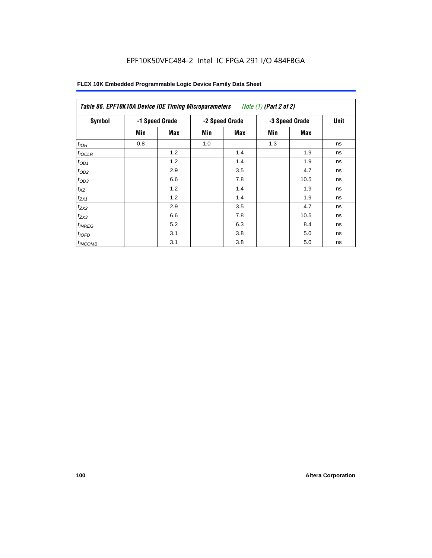| Symbol       |     | -1 Speed Grade |     | -2 Speed Grade | -3 Speed Grade | <b>Unit</b> |    |
|--------------|-----|----------------|-----|----------------|----------------|-------------|----|
|              | Min | Max            | Min | Max            | Min            | Max         |    |
| $t_{IOH}$    | 0.8 |                | 1.0 |                | 1.3            |             | ns |
| $t_{IOCLR}$  |     | 1.2            |     | 1.4            |                | 1.9         | ns |
| $t_{OD1}$    |     | 1.2            |     | 1.4            |                | 1.9         | ns |
| $t_{OD2}$    |     | 2.9            |     | 3.5            |                | 4.7         | ns |
| $t_{OD3}$    |     | 6.6            |     | 7.8            |                | 10.5        | ns |
| $t_{XZ}$     |     | 1.2            |     | 1.4            |                | 1.9         | ns |
| $t_{ZX1}$    |     | 1.2            |     | 1.4            |                | 1.9         | ns |
| $t_{ZX2}$    |     | 2.9            |     | 3.5            |                | 4.7         | ns |
| $t_{ZX3}$    |     | 6.6            |     | 7.8            |                | 10.5        | ns |
| $t_{INREG}$  |     | 5.2            |     | 6.3            |                | 8.4         | ns |
| $t_{IOFD}$   |     | 3.1            |     | 3.8            |                | 5.0         | ns |
| $t_{INCOMB}$ |     | 3.1            |     | 3.8            |                | 5.0         | ns |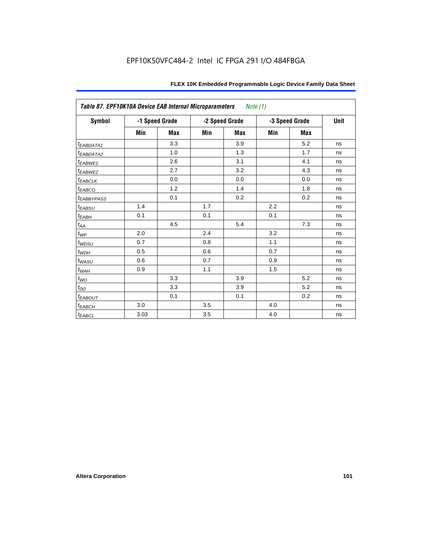| Table 87. EPF10K10A Device EAB Internal Microparameters |      |                |     | Note (1)       |     |                |      |
|---------------------------------------------------------|------|----------------|-----|----------------|-----|----------------|------|
| Symbol                                                  |      | -1 Speed Grade |     | -2 Speed Grade |     | -3 Speed Grade | Unit |
|                                                         | Min  | <b>Max</b>     | Min | <b>Max</b>     | Min | <b>Max</b>     |      |
| t <sub>EABDATA1</sub>                                   |      | 3.3            |     | 3.9            |     | 5.2            | ns   |
| t <sub>EABDATA2</sub>                                   |      | 1.0            |     | 1.3            |     | 1.7            | ns   |
| t <sub>EABWE1</sub>                                     |      | 2.6            |     | 3.1            |     | 4.1            | ns   |
| t <sub>EABWE2</sub>                                     |      | 2.7            |     | 3.2            |     | 4.3            | ns   |
| $t_{EABCLK}$                                            |      | 0.0            |     | 0.0            |     | 0.0            | ns   |
| $t_{EABCO}$                                             |      | 1.2            |     | 1.4            |     | 1.8            | ns   |
| <b><i>EABBYPASS</i></b>                                 |      | 0.1            |     | 0.2            |     | 0.2            | ns   |
| $t_{EABSU}$                                             | 1.4  |                | 1.7 |                | 2.2 |                | ns   |
| $t_{EABH}$                                              | 0.1  |                | 0.1 |                | 0.1 |                | ns   |
| $t_{\mathit{AA}}$                                       |      | 4.5            |     | 5.4            |     | 7.3            | ns   |
| $t_{\mathit{WP}}$                                       | 2.0  |                | 2.4 |                | 3.2 |                | ns   |
| $t_{WDSU}$                                              | 0.7  |                | 0.8 |                | 1.1 |                | ns   |
| $t_{WDH}$                                               | 0.5  |                | 0.6 |                | 0.7 |                | ns   |
| $t_{\textit{WASU}}$                                     | 0.6  |                | 0.7 |                | 0.9 |                | ns   |
| $t_{\underline{W AH}}$                                  | 0.9  |                | 1.1 |                | 1.5 |                | ns   |
| $t_{WO}$                                                |      | 3.3            |     | 3.9            |     | 5.2            | ns   |
| $t_{DD}$                                                |      | 3.3            |     | 3.9            |     | 5.2            | ns   |
| $t_{EABOUT}$                                            |      | 0.1            |     | 0.1            |     | 0.2            | ns   |
| $t_{EABCH}$                                             | 3.0  |                | 3.5 |                | 4.0 |                | ns   |
| $t_{EABCL}$                                             | 3.03 |                | 3.5 |                | 4.0 |                | ns   |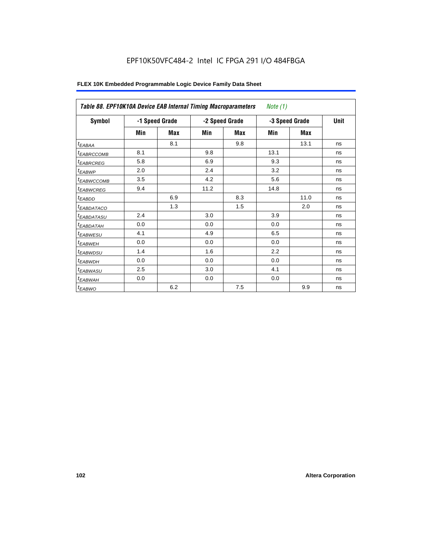| Table 88. EPF10K10A Device EAB Internal Timing Macroparameters<br>Note $(1)$ |     |                |      |                |      |                |      |  |  |  |
|------------------------------------------------------------------------------|-----|----------------|------|----------------|------|----------------|------|--|--|--|
| Symbol                                                                       |     | -1 Speed Grade |      | -2 Speed Grade |      | -3 Speed Grade | Unit |  |  |  |
|                                                                              | Min | <b>Max</b>     | Min  | Max            | Min  | Max            |      |  |  |  |
| $t_{EABA}$                                                                   |     | 8.1            |      | 9.8            |      | 13.1           | ns   |  |  |  |
| <sup>t</sup> EABRCCOMB                                                       | 8.1 |                | 9.8  |                | 13.1 |                | ns   |  |  |  |
| <sup>t</sup> EABRCREG                                                        | 5.8 |                | 6.9  |                | 9.3  |                | ns   |  |  |  |
| <sup>t</sup> EABWP                                                           | 2.0 |                | 2.4  |                | 3.2  |                | ns   |  |  |  |
| <sup>t</sup> EABWCCOMB                                                       | 3.5 |                | 4.2  |                | 5.6  |                | ns   |  |  |  |
| <sup>t</sup> EABWCREG                                                        | 9.4 |                | 11.2 |                | 14.8 |                | ns   |  |  |  |
| <sup>t</sup> EABDD                                                           |     | 6.9            |      | 8.3            |      | 11.0           | ns   |  |  |  |
| <sup>t</sup> EABDATACO                                                       |     | 1.3            |      | 1.5            |      | 2.0            | ns   |  |  |  |
| <sup>t</sup> EABDATASU                                                       | 2.4 |                | 3.0  |                | 3.9  |                | ns   |  |  |  |
| <sup>t</sup> EABDATAH                                                        | 0.0 |                | 0.0  |                | 0.0  |                | ns   |  |  |  |
| <sup>t</sup> EABWESU                                                         | 4.1 |                | 4.9  |                | 6.5  |                | ns   |  |  |  |
| <sup>t</sup> EABWEH                                                          | 0.0 |                | 0.0  |                | 0.0  |                | ns   |  |  |  |
| <sup>t</sup> EABWDSU                                                         | 1.4 |                | 1.6  |                | 2.2  |                | ns   |  |  |  |
| <sup>t</sup> EABWDH                                                          | 0.0 |                | 0.0  |                | 0.0  |                | ns   |  |  |  |
| <sup>t</sup> EABWASU                                                         | 2.5 |                | 3.0  |                | 4.1  |                | ns   |  |  |  |
| <sup>t</sup> EABWAH                                                          | 0.0 |                | 0.0  |                | 0.0  |                | ns   |  |  |  |
| <sup>t</sup> EABWO                                                           |     | 6.2            |      | 7.5            |      | 9.9            | ns   |  |  |  |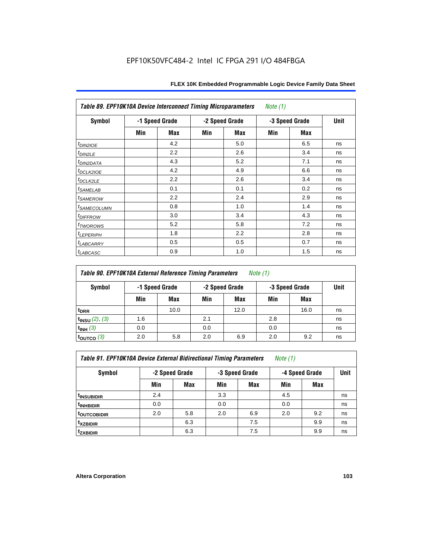| Table 89. EPF10K10A Device Interconnect Timing Microparameters<br>Note $(1)$ |     |                |                |     |     |                |      |  |  |  |
|------------------------------------------------------------------------------|-----|----------------|----------------|-----|-----|----------------|------|--|--|--|
| Symbol                                                                       |     | -1 Speed Grade | -2 Speed Grade |     |     | -3 Speed Grade | Unit |  |  |  |
|                                                                              | Min | Max            | Min            | Max | Min | Max            |      |  |  |  |
| $t_{DINZIOE}$                                                                |     | 4.2            |                | 5.0 |     | 6.5            | ns   |  |  |  |
| $t_{DIN2LE}$                                                                 |     | 2.2            |                | 2.6 |     | 3.4            | ns   |  |  |  |
| <sup>t</sup> DIN2DATA                                                        |     | 4.3            |                | 5.2 |     | 7.1            | ns   |  |  |  |
| t <sub>DCLK2IOE</sub>                                                        |     | 4.2            |                | 4.9 |     | 6.6            | ns   |  |  |  |
| $t_{DCLK2LE}$                                                                |     | 2.2            |                | 2.6 |     | 3.4            | ns   |  |  |  |
| <i>t</i> SAMELAB                                                             |     | 0.1            |                | 0.1 |     | 0.2            | ns   |  |  |  |
| <i>t</i> SAMEROW                                                             |     | 2.2            |                | 2.4 |     | 2.9            | ns   |  |  |  |
| <sup>t</sup> SAMECOLUMN                                                      |     | 0.8            |                | 1.0 |     | 1.4            | ns   |  |  |  |
| <i>t<sub>DIFFROW</sub></i>                                                   |     | 3.0            |                | 3.4 |     | 4.3            | ns   |  |  |  |
| t <sub>TWOROWS</sub>                                                         |     | 5.2            |                | 5.8 |     | 7.2            | ns   |  |  |  |
| <sup>t</sup> LEPERIPH                                                        |     | 1.8            |                | 2.2 |     | 2.8            | ns   |  |  |  |
| <sup>t</sup> LABCARRY                                                        |     | 0.5            |                | 0.5 |     | 0.7            | ns   |  |  |  |
| t <sub>LABCASC</sub>                                                         |     | 0.9            |                | 1.0 |     | 1.5            | ns   |  |  |  |

| Table 90. EPF10K10A External Reference Timing Parameters | Note (1) |
|----------------------------------------------------------|----------|
|----------------------------------------------------------|----------|

| Symbol              | -1 Speed Grade |      | -2 Speed Grade |      | -3 Speed Grade | Unit       |    |
|---------------------|----------------|------|----------------|------|----------------|------------|----|
|                     | Min            | Max  | Min            | Max  | Min            | <b>Max</b> |    |
| t <sub>DRR</sub>    |                | 10.0 |                | 12.0 |                | 16.0       | ns |
| $t_{INSU}$ (2), (3) | 1.6            |      | 2.1            |      | 2.8            |            | ns |
| $t_{INH}$ (3)       | 0.0            |      | 0.0            |      | 0.0            |            | ns |
| toutco $(3)$        | 2.0            | 5.8  | 2.0            | 6.9  | 2.0            | 9.2        | ns |

*Table 91. EPF10K10A Device External Bidirectional Timing Parameters Note (1)*

| Symbol                  | -2 Speed Grade |     | -3 Speed Grade |            |     | -4 Speed Grade |    |  |
|-------------------------|----------------|-----|----------------|------------|-----|----------------|----|--|
|                         | Min            | Max | Min            | <b>Max</b> | Min | <b>Max</b>     |    |  |
| <sup>t</sup> insubidir  | 2.4            |     | 3.3            |            | 4.5 |                | ns |  |
| <sup>T</sup> INHBIDIR   | 0.0            |     | 0.0            |            | 0.0 |                | ns |  |
| <sup>t</sup> OUTCOBIDIR | 2.0            | 5.8 | 2.0            | 6.9        | 2.0 | 9.2            | ns |  |
| <sup>t</sup> xzbidir    |                | 6.3 |                | 7.5        |     | 9.9            | ns |  |
| <sup>t</sup> zxbidir    |                | 6.3 |                | 7.5        |     | 9.9            | ns |  |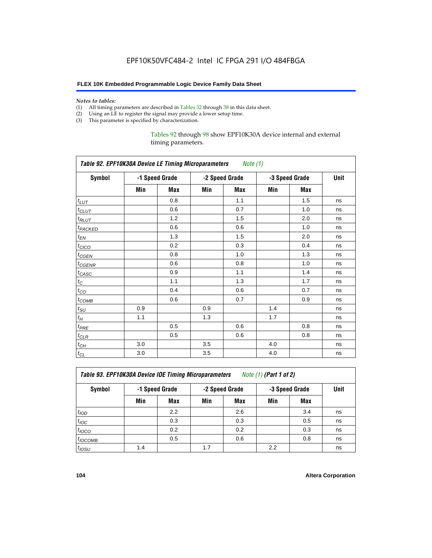#### *Notes to tables:*

- (1) All timing parameters are described in Tables 32 through 38 in this data sheet.
- (2) Using an LE to register the signal may provide a lower setup time.
- (3) This parameter is specified by characterization.

Tables 92 through 98 show EPF10K30A device internal and external timing parameters.

| Table 92. EPF10K30A Device LE Timing Microparameters Note (1) |                |     |                |     |                |      |    |  |  |  |
|---------------------------------------------------------------|----------------|-----|----------------|-----|----------------|------|----|--|--|--|
| <b>Symbol</b>                                                 | -1 Speed Grade |     | -2 Speed Grade |     | -3 Speed Grade | Unit |    |  |  |  |
|                                                               | Min            | Max | Min            | Max | Min            | Max  |    |  |  |  |
| $t_{LUT}$                                                     |                | 0.8 |                | 1.1 |                | 1.5  | ns |  |  |  |
| $t_{CLUT}$                                                    |                | 0.6 |                | 0.7 |                | 1.0  | ns |  |  |  |
| $t_{RLUT}$                                                    |                | 1.2 |                | 1.5 |                | 2.0  | ns |  |  |  |
| <b><i>t<sub>PACKED</sub></i></b>                              |                | 0.6 |                | 0.6 |                | 1.0  | ns |  |  |  |
| $t_{EN}$                                                      |                | 1.3 |                | 1.5 |                | 2.0  | ns |  |  |  |
| $t_{CICO}$                                                    |                | 0.2 |                | 0.3 |                | 0.4  | ns |  |  |  |
| $t_{\text{GEN}}$                                              |                | 0.8 |                | 1.0 |                | 1.3  | ns |  |  |  |
| t <sub>CGENR</sub>                                            |                | 0.6 |                | 0.8 |                | 1.0  | ns |  |  |  |
| $t_{CASC}$                                                    |                | 0.9 |                | 1.1 |                | 1.4  | ns |  |  |  |
| $t_C$                                                         |                | 1.1 |                | 1.3 |                | 1.7  | ns |  |  |  |
| $t_{CO}$                                                      |                | 0.4 |                | 0.6 |                | 0.7  | ns |  |  |  |
| $t_{\text{COMB}}$                                             |                | 0.6 |                | 0.7 |                | 0.9  | ns |  |  |  |
| $t_{\rm SU}$                                                  | 0.9            |     | 0.9            |     | 1.4            |      | ns |  |  |  |
| $t_H$                                                         | 1.1            |     | 1.3            |     | 1.7            |      | ns |  |  |  |
| $t_{PRE}$                                                     |                | 0.5 |                | 0.6 |                | 0.8  | ns |  |  |  |
| $t_{CLR}$                                                     |                | 0.5 |                | 0.6 |                | 0.8  | ns |  |  |  |
| $t_{CH}$                                                      | 3.0            |     | 3.5            |     | 4.0            |      | ns |  |  |  |
| $t_{CL}$                                                      | 3.0            |     | 3.5            |     | 4.0            |      | ns |  |  |  |

*Table 93. EPF10K30A Device IOE Timing Microparameters Note (1) (Part 1 of 2)*

| Symbol           | -1 Speed Grade |            | -2 Speed Grade |            | -3 Speed Grade |            | <b>Unit</b> |  |  |  |  |
|------------------|----------------|------------|----------------|------------|----------------|------------|-------------|--|--|--|--|
|                  | Min            | <b>Max</b> | Min            | <b>Max</b> | Min            | <b>Max</b> |             |  |  |  |  |
| t <sub>IOD</sub> |                | 2.2        |                | 2.6        |                | 3.4        | ns          |  |  |  |  |
| $t_{\text{IOC}}$ |                | 0.3        |                | 0.3        |                | 0.5        | ns          |  |  |  |  |
| $t_{IOCO}$       |                | 0.2        |                | 0.2        |                | 0.3        | ns          |  |  |  |  |
| $t_{IOCOMB}$     |                | 0.5        |                | 0.6        |                | 0.8        | ns          |  |  |  |  |
| $t_{IOSU}$       | 1.4            |            | 1.7            |            | 2.2            |            | ns          |  |  |  |  |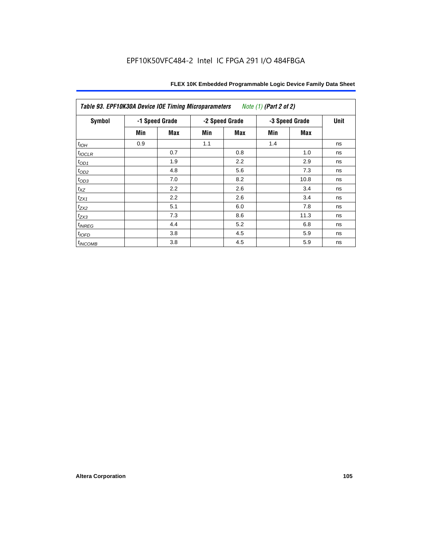| Table 93. EPF10K30A Device IOE Timing Microparameters<br>Note (1) (Part 2 of 2) |     |                |     |                |     |                |    |  |  |  |  |
|---------------------------------------------------------------------------------|-----|----------------|-----|----------------|-----|----------------|----|--|--|--|--|
| Symbol                                                                          |     | -1 Speed Grade |     | -2 Speed Grade |     | -3 Speed Grade |    |  |  |  |  |
|                                                                                 | Min | <b>Max</b>     | Min | Max            | Min | Max            |    |  |  |  |  |
| $t_{IOH}$                                                                       | 0.9 |                | 1.1 |                | 1.4 |                | ns |  |  |  |  |
| $t_{IOCLR}$                                                                     |     | 0.7            |     | 0.8            |     | 1.0            | ns |  |  |  |  |
| $t_{OD1}$                                                                       |     | 1.9            |     | 2.2            |     | 2.9            | ns |  |  |  |  |
| $t_{OD2}$                                                                       |     | 4.8            |     | 5.6            |     | 7.3            | ns |  |  |  |  |
| $t_{OD3}$                                                                       |     | 7.0            |     | 8.2            |     | 10.8           | ns |  |  |  |  |
| $t_{XZ}$                                                                        |     | 2.2            |     | 2.6            |     | 3.4            | ns |  |  |  |  |
| $t_{ZX1}$                                                                       |     | 2.2            |     | 2.6            |     | 3.4            | ns |  |  |  |  |
| $t_{ZX2}$                                                                       |     | 5.1            |     | 6.0            |     | 7.8            | ns |  |  |  |  |
| $t_{ZX3}$                                                                       |     | 7.3            |     | 8.6            |     | 11.3           | ns |  |  |  |  |
| $t_{INREG}$                                                                     |     | 4.4            |     | 5.2            |     | 6.8            | ns |  |  |  |  |
| $t_{IOFD}$                                                                      |     | 3.8            |     | 4.5            |     | 5.9            | ns |  |  |  |  |
| $t_{INCOMB}$                                                                    |     | 3.8            |     | 4.5            |     | 5.9            | ns |  |  |  |  |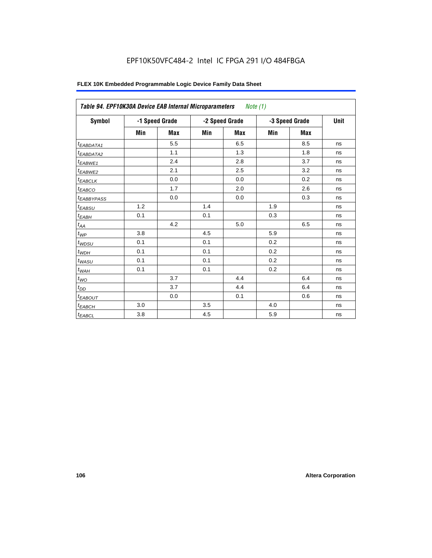| Symbol                       |     | -1 Speed Grade |     | -2 Speed Grade |     | -3 Speed Grade | Unit |
|------------------------------|-----|----------------|-----|----------------|-----|----------------|------|
|                              | Min | <b>Max</b>     | Min | <b>Max</b>     | Min | <b>Max</b>     |      |
| <sup>t</sup> EABDATA1        |     | 5.5            |     | 6.5            |     | 8.5            | ns   |
| <sup>t</sup> EABDATA2        |     | 1.1            |     | 1.3            |     | 1.8            | ns   |
| t <sub>EABWE1</sub>          |     | 2.4            |     | 2.8            |     | 3.7            | ns   |
| <sup>t</sup> EABWE2          |     | 2.1            |     | 2.5            |     | 3.2            | ns   |
| $t_{EABCLK}$                 |     | 0.0            |     | 0.0            |     | 0.2            | ns   |
| <sup>t</sup> EABCO           |     | 1.7            |     | 2.0            |     | 2.6            | ns   |
| <sup>t</sup> EABBYPASS       |     | 0.0            |     | 0.0            |     | 0.3            | ns   |
| <sup>t</sup> EABSU           | 1.2 |                | 1.4 |                | 1.9 |                | ns   |
| $t_{EABH}$                   | 0.1 |                | 0.1 |                | 0.3 |                | ns   |
| $t_{\mathcal{A}\mathcal{A}}$ |     | 4.2            |     | 5.0            |     | 6.5            | ns   |
| $t_{WP}$                     | 3.8 |                | 4.5 |                | 5.9 |                | ns   |
| $t_{W\!D\!S\!U}$             | 0.1 |                | 0.1 |                | 0.2 |                | ns   |
| $t_{WDH}$                    | 0.1 |                | 0.1 |                | 0.2 |                | ns   |
| $t_{WASU}$                   | 0.1 |                | 0.1 |                | 0.2 |                | ns   |
| $t_{WAH}$                    | 0.1 |                | 0.1 |                | 0.2 |                | ns   |
| $t_{WO}$                     |     | 3.7            |     | 4.4            |     | 6.4            | ns   |
| $t_{DD}$                     |     | 3.7            |     | 4.4            |     | 6.4            | ns   |
| <sup>t</sup> EABOUT          |     | 0.0            |     | 0.1            |     | 0.6            | ns   |
| $t_{EABCH}$                  | 3.0 |                | 3.5 |                | 4.0 |                | ns   |
| $t_{EABCL}$                  | 3.8 |                | 4.5 |                | 5.9 |                | ns   |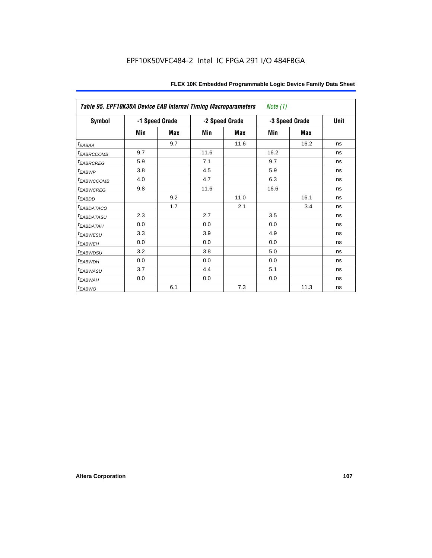| Table 95. EPF10K30A Device EAB Internal Timing Macroparameters<br>Note $(1)$ |     |                |                |            |                |             |    |  |  |  |
|------------------------------------------------------------------------------|-----|----------------|----------------|------------|----------------|-------------|----|--|--|--|
| Symbol                                                                       |     | -1 Speed Grade | -2 Speed Grade |            | -3 Speed Grade | <b>Unit</b> |    |  |  |  |
|                                                                              | Min | Max            | Min            | <b>Max</b> | Min            | <b>Max</b>  |    |  |  |  |
| $t_{EABA}$                                                                   |     | 9.7            |                | 11.6       |                | 16.2        | ns |  |  |  |
| <sup>t</sup> EABRCCOMB                                                       | 9.7 |                | 11.6           |            | 16.2           |             | ns |  |  |  |
| <sup>t</sup> EABRCREG                                                        | 5.9 |                | 7.1            |            | 9.7            |             | ns |  |  |  |
| t <sub>EABWP</sub>                                                           | 3.8 |                | 4.5            |            | 5.9            |             | ns |  |  |  |
| <sup>t</sup> ЕАВWССОМВ                                                       | 4.0 |                | 4.7            |            | 6.3            |             | ns |  |  |  |
| <sup>t</sup> EABWCREG                                                        | 9.8 |                | 11.6           |            | 16.6           |             | ns |  |  |  |
| $t_{EABDD}$                                                                  |     | 9.2            |                | 11.0       |                | 16.1        | ns |  |  |  |
| <i>EABDATACO</i>                                                             |     | 1.7            |                | 2.1        |                | 3.4         | ns |  |  |  |
| <sup>t</sup> EABDATASU                                                       | 2.3 |                | 2.7            |            | 3.5            |             | ns |  |  |  |
| <sup>t</sup> EABDATAH                                                        | 0.0 |                | 0.0            |            | 0.0            |             | ns |  |  |  |
| <sup>t</sup> EABWESU                                                         | 3.3 |                | 3.9            |            | 4.9            |             | ns |  |  |  |
| t <sub>EABWEH</sub>                                                          | 0.0 |                | 0.0            |            | 0.0            |             | ns |  |  |  |
| <sup>t</sup> EABWDSU                                                         | 3.2 |                | 3.8            |            | 5.0            |             | ns |  |  |  |
| t <sub>EABWDH</sub>                                                          | 0.0 |                | 0.0            |            | 0.0            |             | ns |  |  |  |
| <sup>t</sup> EABWASU                                                         | 3.7 |                | 4.4            |            | 5.1            |             | ns |  |  |  |
| t <sub>ЕАВWАН</sub>                                                          | 0.0 |                | 0.0            |            | 0.0            |             | ns |  |  |  |
| t <sub>EABWO</sub>                                                           |     | 6.1            |                | 7.3        |                | 11.3        | ns |  |  |  |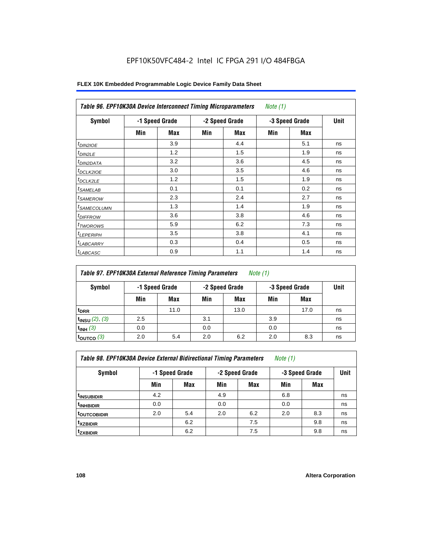# EPF10K50VFC484-2 Intel IC FPGA 291 I/O 484FBGA

| <b>Symbol</b>           |     | -1 Speed Grade |     | -2 Speed Grade | -3 Speed Grade | <b>Unit</b> |    |
|-------------------------|-----|----------------|-----|----------------|----------------|-------------|----|
|                         | Min | Max            | Min | Max            | Min            | Max         |    |
| $t_{DINZIOE}$           |     | 3.9            |     | 4.4            |                | 5.1         | ns |
| t <sub>DIN2LE</sub>     |     | 1.2            |     | 1.5            |                | 1.9         | ns |
| <sup>t</sup> DIN2DATA   |     | 3.2            |     | 3.6            |                | 4.5         | ns |
| <sup>t</sup> DCLK2IOE   |     | 3.0            |     | 3.5            |                | 4.6         | ns |
| <sup>t</sup> DCLK2LE    |     | 1.2            |     | 1.5            |                | 1.9         | ns |
| <sup>t</sup> SAMELAB    |     | 0.1            |     | 0.1            |                | 0.2         | ns |
| <sup>t</sup> SAMEROW    |     | 2.3            |     | 2.4            |                | 2.7         | ns |
| <sup>t</sup> SAMECOLUMN |     | 1.3            |     | 1.4            |                | 1.9         | ns |
| <sup>t</sup> DIFFROW    |     | 3.6            |     | 3.8            |                | 4.6         | ns |
| <sup>T</sup> TWOROWS    |     | 5.9            |     | 6.2            |                | 7.3         | ns |
| <sup>t</sup> LEPERIPH   |     | 3.5            |     | 3.8            |                | 4.1         | ns |
| <sup>I</sup> LABCARRY   |     | 0.3            |     | 0.4            |                | 0.5         | ns |
| <sup>t</sup> LABCASC    |     | 0.9            |     | 1.1            |                | 1.4         | ns |

# **FLEX 10K Embedded Programmable Logic Device Family Data Sheet**

| <b>Table 97. EPF10K30A External Reference Timing Parameters</b><br><i>Note</i> $(1)$ |                                  |      |     |      |                |            |    |  |  |  |
|--------------------------------------------------------------------------------------|----------------------------------|------|-----|------|----------------|------------|----|--|--|--|
| Symbol                                                                               | -2 Speed Grade<br>-1 Speed Grade |      |     |      | -3 Speed Grade |            |    |  |  |  |
|                                                                                      | Min                              | Max  | Min | Max  | Min            | <b>Max</b> |    |  |  |  |
| <sup>t</sup> DRR                                                                     |                                  | 11.0 |     | 13.0 |                | 17.0       | ns |  |  |  |
| $t_{INSU}$ (2), (3)                                                                  | 2.5                              |      | 3.1 |      | 3.9            |            | ns |  |  |  |
| $t_{INH}$ (3)                                                                        | 0.0                              |      | 0.0 |      | 0.0            |            | ns |  |  |  |
| $t_{\text{OUTCO}}$ (3)                                                               | 2.0                              | 5.4  | 2.0 | 6.2  | 2.0            | 8.3        | ns |  |  |  |

*Table 98. EPF10K30A Device External Bidirectional Timing Parameters Note (1)*

| Symbol                   |     | -1 Speed Grade |     | -2 Speed Grade | -3 Speed Grade | <b>Unit</b> |    |
|--------------------------|-----|----------------|-----|----------------|----------------|-------------|----|
|                          | Min | <b>Max</b>     | Min | <b>Max</b>     | Min            | <b>Max</b>  |    |
| I <sup>t</sup> INSUBIDIR | 4.2 |                | 4.9 |                | 6.8            |             | ns |
| <sup>t</sup> INHBIDIR    | 0.0 |                | 0.0 |                | 0.0            |             | ns |
| <sup>t</sup> OUTCOBIDIR  | 2.0 | 5.4            | 2.0 | 6.2            | 2.0            | 8.3         | ns |
| <sup>t</sup> xzbidir     |     | 6.2            |     | 7.5            |                | 9.8         | ns |
| <sup>t</sup> zxbidir     |     | 6.2            |     | 7.5            |                | 9.8         | ns |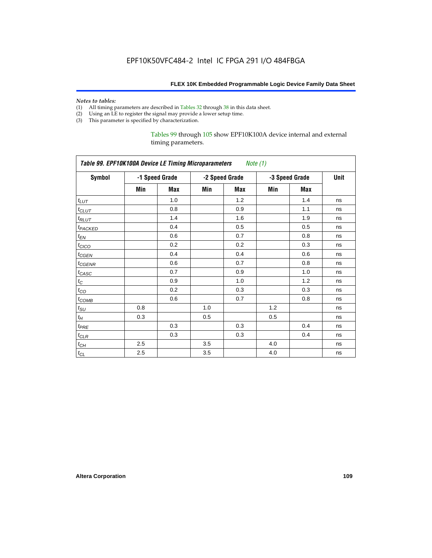#### *Notes to tables:*

- (1) All timing parameters are described in Tables 32 through 38 in this data sheet.
- (2) Using an LE to register the signal may provide a lower setup time.
- (3) This parameter is specified by characterization.

Tables 99 through 105 show EPF10K100A device internal and external timing parameters.

| Table 99. EPF10K100A Device LE Timing Microparameters Note (1) |     |                |     |                |     |                |      |
|----------------------------------------------------------------|-----|----------------|-----|----------------|-----|----------------|------|
| <b>Symbol</b>                                                  |     | -1 Speed Grade |     | -2 Speed Grade |     | -3 Speed Grade | Unit |
|                                                                | Min | Max            | Min | Max            | Min | Max            |      |
| $t_{LUT}$                                                      |     | 1.0            |     | 1.2            |     | 1.4            | ns   |
| $t_{CLUT}$                                                     |     | 0.8            |     | 0.9            |     | 1.1            | ns   |
| $t_{RLUT}$                                                     |     | 1.4            |     | 1.6            |     | 1.9            | ns   |
| t <sub>PACKED</sub>                                            |     | 0.4            |     | 0.5            |     | 0.5            | ns   |
| $t_{EN}$                                                       |     | 0.6            |     | 0.7            |     | 0.8            | ns   |
| $t_{CICO}$                                                     |     | 0.2            |     | 0.2            |     | 0.3            | ns   |
| $t_{CGEN}$                                                     |     | 0.4            |     | 0.4            |     | 0.6            | ns   |
| $t_{GENR}$                                                     |     | 0.6            |     | 0.7            |     | 0.8            | ns   |
| t <sub>CASC</sub>                                              |     | 0.7            |     | 0.9            |     | 1.0            | ns   |
| $t_{\rm C}$                                                    |     | 0.9            |     | 1.0            |     | 1.2            | ns   |
| $t_{CO}$                                                       |     | 0.2            |     | 0.3            |     | 0.3            | ns   |
| $t_{COMB}$                                                     |     | 0.6            |     | 0.7            |     | 0.8            | ns   |
| $t_{\rm SU}$                                                   | 0.8 |                | 1.0 |                | 1.2 |                | ns   |
| $t_H\,$                                                        | 0.3 |                | 0.5 |                | 0.5 |                | ns   |
| $t_{PRE}$                                                      |     | 0.3            |     | 0.3            |     | 0.4            | ns   |
| $t_{CLR}$                                                      |     | 0.3            |     | 0.3            |     | 0.4            | ns   |
| $t_{CH}$                                                       | 2.5 |                | 3.5 |                | 4.0 |                | ns   |
| $t_{CL}$                                                       | 2.5 |                | 3.5 |                | 4.0 |                | ns   |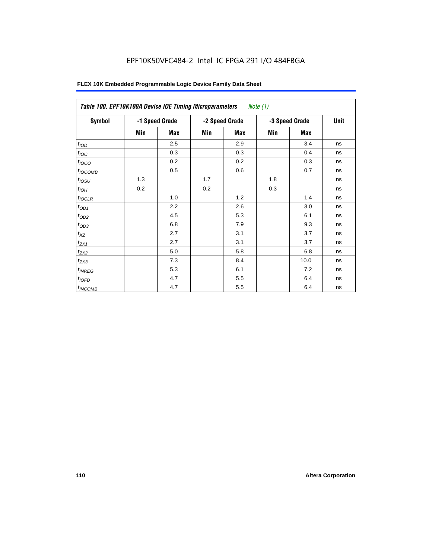# EPF10K50VFC484-2 Intel IC FPGA 291 I/O 484FBGA

| Table 100. EPF10K100A Device IOE Timing Microparameters |                |     |     |                | <i>Note</i> $(1)$ |            |    |
|---------------------------------------------------------|----------------|-----|-----|----------------|-------------------|------------|----|
| <b>Symbol</b>                                           | -1 Speed Grade |     |     | -2 Speed Grade | -3 Speed Grade    | Unit       |    |
|                                                         | Min            | Max | Min | <b>Max</b>     | Min               | <b>Max</b> |    |
| t <sub>IOD</sub>                                        |                | 2.5 |     | 2.9            |                   | 3.4        | ns |
| $t_{\text{IOC}}$                                        |                | 0.3 |     | 0.3            |                   | 0.4        | ns |
| $t_{IOCO}$                                              |                | 0.2 |     | 0.2            |                   | 0.3        | ns |
| $t_{IOCOMB}$                                            |                | 0.5 |     | 0.6            |                   | 0.7        | ns |
| $t_{IOSU}$                                              | 1.3            |     | 1.7 |                | 1.8               |            | ns |
| $t_{IOH}$                                               | 0.2            |     | 0.2 |                | 0.3               |            | ns |
| $t_{IOCLR}$                                             |                | 1.0 |     | 1.2            |                   | 1.4        | ns |
| $t_{OD1}$                                               |                | 2.2 |     | 2.6            |                   | 3.0        | ns |
| $t_{OD2}$                                               |                | 4.5 |     | 5.3            |                   | 6.1        | ns |
| $t_{OD3}$                                               |                | 6.8 |     | 7.9            |                   | 9.3        | ns |
| $t_{XZ}$                                                |                | 2.7 |     | 3.1            |                   | 3.7        | ns |
| $t_{ZX1}$                                               |                | 2.7 |     | 3.1            |                   | 3.7        | ns |
| $t_{ZX2}$                                               |                | 5.0 |     | 5.8            |                   | 6.8        | ns |
| $t_{ZX3}$                                               |                | 7.3 |     | 8.4            |                   | 10.0       | ns |
| $t_{INREG}$                                             |                | 5.3 |     | 6.1            |                   | 7.2        | ns |
| $t_{IOFD}$                                              |                | 4.7 |     | 5.5            |                   | 6.4        | ns |
| $t_{INCOMB}$                                            |                | 4.7 |     | 5.5            |                   | 6.4        | ns |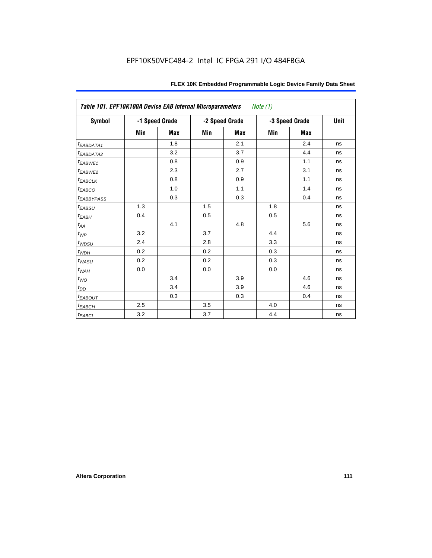| Table 101. EPF10K100A Device EAB Internal Microparameters |     |                |     |                | Note (1) |                |      |
|-----------------------------------------------------------|-----|----------------|-----|----------------|----------|----------------|------|
| Symbol                                                    |     | -1 Speed Grade |     | -2 Speed Grade |          | -3 Speed Grade | Unit |
|                                                           | Min | <b>Max</b>     | Min | <b>Max</b>     | Min      | <b>Max</b>     |      |
| t <sub>EABDATA1</sub>                                     |     | 1.8            |     | 2.1            |          | 2.4            | ns   |
| t <sub>EABDATA2</sub>                                     |     | 3.2            |     | 3.7            |          | 4.4            | ns   |
| t <sub>EABWE1</sub>                                       |     | 0.8            |     | 0.9            |          | 1.1            | ns   |
| t <sub>EABWE2</sub>                                       |     | 2.3            |     | 2.7            |          | 3.1            | ns   |
| $t_{EABCLK}$                                              |     | 0.8            |     | 0.9            |          | 1.1            | ns   |
| $t_{EABCO}$                                               |     | 1.0            |     | 1.1            |          | 1.4            | ns   |
| <b><i>EABBYPASS</i></b>                                   |     | 0.3            |     | 0.3            |          | 0.4            | ns   |
| $t_{EABSU}$                                               | 1.3 |                | 1.5 |                | 1.8      |                | ns   |
| $t_{EABH}$                                                | 0.4 |                | 0.5 |                | 0.5      |                | ns   |
| $t_{\mathit{AA}}$                                         |     | 4.1            |     | 4.8            |          | 5.6            | ns   |
| $t_{\mathit{WP}}$                                         | 3.2 |                | 3.7 |                | 4.4      |                | ns   |
| $t_{WDSU}$                                                | 2.4 |                | 2.8 |                | 3.3      |                | ns   |
| $t_{WDH}$                                                 | 0.2 |                | 0.2 |                | 0.3      |                | ns   |
| $t_{\textit{WASU}}$                                       | 0.2 |                | 0.2 |                | 0.3      |                | ns   |
| $t_{\underline{W AH}}$                                    | 0.0 |                | 0.0 |                | 0.0      |                | ns   |
| $t_{WO}$                                                  |     | 3.4            |     | 3.9            |          | 4.6            | ns   |
| $t_{DD}$                                                  |     | 3.4            |     | 3.9            |          | 4.6            | ns   |
| $t_{EABOUT}$                                              |     | 0.3            |     | 0.3            |          | 0.4            | ns   |
| $t_{EABCH}$                                               | 2.5 |                | 3.5 |                | 4.0      |                | ns   |
| $t_{EABCL}$                                               | 3.2 |                | 3.7 |                | 4.4      |                | ns   |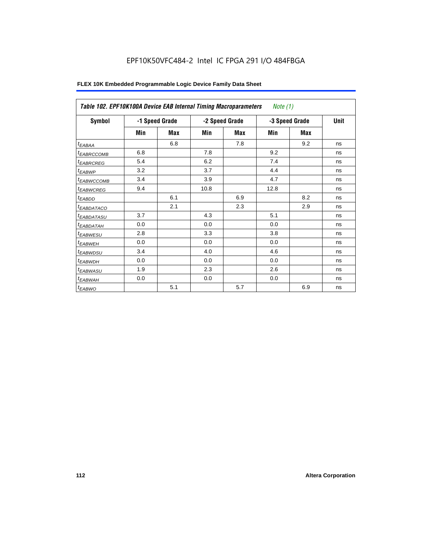| Table 102. EPF10K100A Device EAB Internal Timing Macroparameters |     |                |      |                | Note (1)       |             |    |
|------------------------------------------------------------------|-----|----------------|------|----------------|----------------|-------------|----|
| Symbol                                                           |     | -1 Speed Grade |      | -2 Speed Grade | -3 Speed Grade | <b>Unit</b> |    |
|                                                                  | Min | <b>Max</b>     | Min  | <b>Max</b>     | Min            | <b>Max</b>  |    |
| $t_{EABA}$                                                       |     | 6.8            |      | 7.8            |                | 9.2         | ns |
| <i>EABRCCOMB</i>                                                 | 6.8 |                | 7.8  |                | 9.2            |             | ns |
| <sup>t</sup> EABRCREG                                            | 5.4 |                | 6.2  |                | 7.4            |             | ns |
| $t_{EABWP}$                                                      | 3.2 |                | 3.7  |                | 4.4            |             | ns |
| <sup>t</sup> EABWCCOMB                                           | 3.4 |                | 3.9  |                | 4.7            |             | ns |
| <sup>t</sup> EABWCREG                                            | 9.4 |                | 10.8 |                | 12.8           |             | ns |
| $t_{EABDD}$                                                      |     | 6.1            |      | 6.9            |                | 8.2         | ns |
| <i>EABDATACO</i>                                                 |     | 2.1            |      | 2.3            |                | 2.9         | ns |
| <sup>t</sup> EABDATASU                                           | 3.7 |                | 4.3  |                | 5.1            |             | ns |
| <sup>t</sup> EAB <u>DATAH</u>                                    | 0.0 |                | 0.0  |                | 0.0            |             | ns |
| <sup>t</sup> EABWESU                                             | 2.8 |                | 3.3  |                | 3.8            |             | ns |
| <sup>t</sup> EABWEH                                              | 0.0 |                | 0.0  |                | 0.0            |             | ns |
| <sup>t</sup> EABWDSU                                             | 3.4 |                | 4.0  |                | 4.6            |             | ns |
| <sup>t</sup> EABWDH                                              | 0.0 |                | 0.0  |                | 0.0            |             | ns |
| $t_{EABWASU}$                                                    | 1.9 |                | 2.3  |                | 2.6            |             | ns |
| t <sub>EABWAH</sub>                                              | 0.0 |                | 0.0  |                | 0.0            |             | ns |
| $t_{EABWO}$                                                      |     | 5.1            |      | 5.7            |                | 6.9         | ns |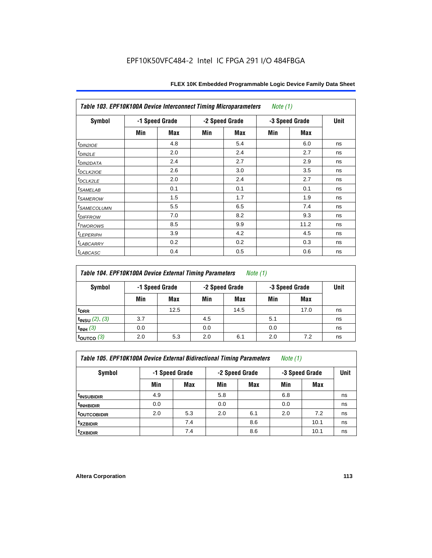| Table 103. EPF10K100A Device Interconnect Timing Microparameters<br>Note $(1)$ |                |     |     |                |                |            |    |  |  |
|--------------------------------------------------------------------------------|----------------|-----|-----|----------------|----------------|------------|----|--|--|
| Symbol                                                                         | -1 Speed Grade |     |     | -2 Speed Grade | -3 Speed Grade | Unit       |    |  |  |
|                                                                                | Min            | Max | Min | <b>Max</b>     | Min            | <b>Max</b> |    |  |  |
| $t_{DINZIOE}$                                                                  |                | 4.8 |     | 5.4            |                | 6.0        | ns |  |  |
| t <sub>DIN2LE</sub>                                                            |                | 2.0 |     | 2.4            |                | 2.7        | ns |  |  |
| <sup>t</sup> DIN2DATA                                                          |                | 2.4 |     | 2.7            |                | 2.9        | ns |  |  |
| t <sub>DCLK210E</sub>                                                          |                | 2.6 |     | 3.0            |                | 3.5        | ns |  |  |
| t <sub>DCLK2LE</sub>                                                           |                | 2.0 |     | 2.4            |                | 2.7        | ns |  |  |
| <i>t</i> SAMELAB                                                               |                | 0.1 |     | 0.1            |                | 0.1        | ns |  |  |
| <i>t</i> SAMEROW                                                               |                | 1.5 |     | 1.7            |                | 1.9        | ns |  |  |
| <sup>t</sup> SAMECOLUMN                                                        |                | 5.5 |     | 6.5            |                | 7.4        | ns |  |  |
| <i>t<sub>DIFFROW</sub></i>                                                     |                | 7.0 |     | 8.2            |                | 9.3        | ns |  |  |
| t <sub>TWOROWS</sub>                                                           |                | 8.5 |     | 9.9            |                | 11.2       | ns |  |  |
| <sup>t</sup> LEPERIPH                                                          |                | 3.9 |     | 4.2            |                | 4.5        | ns |  |  |
| <sup>t</sup> LABCARRY                                                          |                | 0.2 |     | 0.2            |                | 0.3        | ns |  |  |
| <sup>t</sup> LABCASC                                                           |                | 0.4 |     | 0.5            |                | 0.6        | ns |  |  |

| Table 104. EPF10K100A Device External Timing Parameters | Note (1) |
|---------------------------------------------------------|----------|
|---------------------------------------------------------|----------|

| Symbol                 | -1 Speed Grade |      | -2 Speed Grade |      | -3 Speed Grade |      | Unit |
|------------------------|----------------|------|----------------|------|----------------|------|------|
|                        | Min            | Max  | Min            | Max  | Min            | Max  |      |
| t <sub>DRR</sub>       |                | 12.5 |                | 14.5 |                | 17.0 | ns   |
| $t_{INSU}$ (2), (3)    | 3.7            |      | 4.5            |      | 5.1            |      | ns   |
| $t_{INH}$ (3)          | 0.0            |      | 0.0            |      | 0.0            |      | ns   |
| $t_{\text{OUTCO}}$ (3) | 2.0            | 5.3  | 2.0            | 6.1  | 2.0            | 7.2  | ns   |

| Table 105. EPF10K100A Device External Bidirectional Timing Parameters | Note (1) |  |  |
|-----------------------------------------------------------------------|----------|--|--|
|-----------------------------------------------------------------------|----------|--|--|

| Symbol                  | -1 Speed Grade |     |     | -2 Speed Grade |     | -3 Speed Grade |    |  |
|-------------------------|----------------|-----|-----|----------------|-----|----------------|----|--|
|                         | Min            | Max | Min | <b>Max</b>     | Min | <b>Max</b>     |    |  |
| <sup>t</sup> INSUBIDIR  | 4.9            |     | 5.8 |                | 6.8 |                | ns |  |
| <sup>T</sup> INHBIDIR   | 0.0            |     | 0.0 |                | 0.0 |                | ns |  |
| <sup>t</sup> OUTCOBIDIR | 2.0            | 5.3 | 2.0 | 6.1            | 2.0 | 7.2            | ns |  |
| <sup>t</sup> xzbidir    |                | 7.4 |     | 8.6            |     | 10.1           | ns |  |
| <sup>t</sup> zxbidir    |                | 7.4 |     | 8.6            |     | 10.1           | ns |  |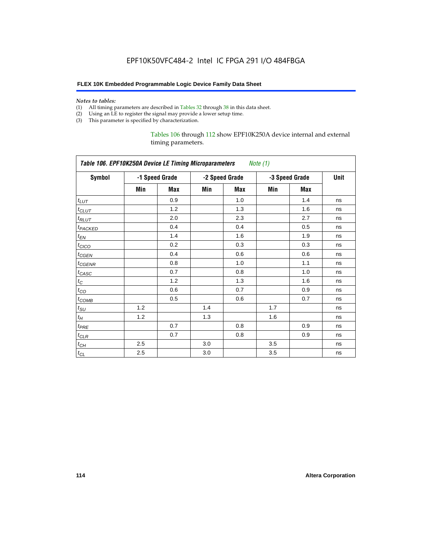#### *Notes to tables:*

- (1) All timing parameters are described in Tables 32 through 38 in this data sheet.
- (2) Using an LE to register the signal may provide a lower setup time.
- (3) This parameter is specified by characterization.

Tables 106 through 112 show EPF10K250A device internal and external timing parameters.

| Table 106. EPF10K250A Device LE Timing Microparameters<br>Note (1) |     |                |     |                |     |                |    |
|--------------------------------------------------------------------|-----|----------------|-----|----------------|-----|----------------|----|
| <b>Symbol</b>                                                      |     | -1 Speed Grade |     | -2 Speed Grade |     | -3 Speed Grade |    |
|                                                                    | Min | <b>Max</b>     | Min | <b>Max</b>     | Min | <b>Max</b>     |    |
| $t_{LUT}$                                                          |     | 0.9            |     | 1.0            |     | 1.4            | ns |
| $t_{CLUT}$                                                         |     | 1.2            |     | 1.3            |     | 1.6            | ns |
| $t_{RLUT}$                                                         |     | 2.0            |     | 2.3            |     | 2.7            | ns |
| t <sub>PACKED</sub>                                                |     | 0.4            |     | 0.4            |     | 0.5            | ns |
| $t_{EN}$                                                           |     | 1.4            |     | 1.6            |     | 1.9            | ns |
| $t_{CICO}$                                                         |     | 0.2            |     | 0.3            |     | 0.3            | ns |
| $t_{CSEN}$                                                         |     | 0.4            |     | 0.6            |     | 0.6            | ns |
| t <sub>CGENR</sub>                                                 |     | 0.8            |     | 1.0            |     | 1.1            | ns |
| $t_{CASC}$                                                         |     | 0.7            |     | 0.8            |     | 1.0            | ns |
| $t_C$                                                              |     | 1.2            |     | 1.3            |     | 1.6            | ns |
| $t_{CO}$                                                           |     | 0.6            |     | 0.7            |     | 0.9            | ns |
| $t_{\mathsf{COMB}}$                                                |     | 0.5            |     | 0.6            |     | 0.7            | ns |
| $t_{\rm SU}$                                                       | 1.2 |                | 1.4 |                | 1.7 |                | ns |
| $t_H$                                                              | 1.2 |                | 1.3 |                | 1.6 |                | ns |
| $t_{PRE}$                                                          |     | 0.7            |     | 0.8            |     | 0.9            | ns |
| $t_{CLR}$                                                          |     | 0.7            |     | 0.8            |     | 0.9            | ns |
| $t_{CH}$                                                           | 2.5 |                | 3.0 |                | 3.5 |                | ns |
| $t_{CL}$                                                           | 2.5 |                | 3.0 |                | 3.5 |                | ns |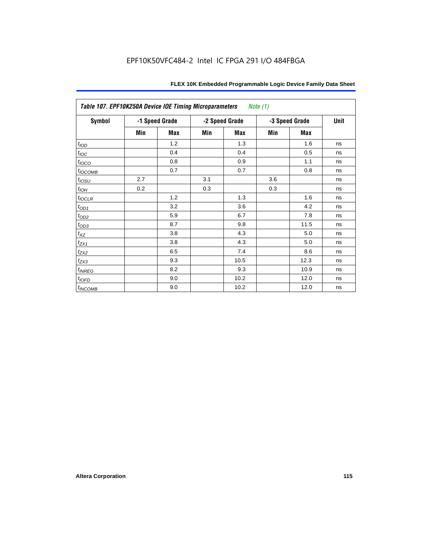| Table 107. EPF10K250A Device IOE Timing Microparameters<br><i>Note</i> $(1)$ |     |                |                |            |                |      |    |
|------------------------------------------------------------------------------|-----|----------------|----------------|------------|----------------|------|----|
| <b>Symbol</b>                                                                |     | -1 Speed Grade | -2 Speed Grade |            | -3 Speed Grade | Unit |    |
|                                                                              | Min | Max            | Min            | <b>Max</b> | Min            | Max  |    |
| t <sub>IOD</sub>                                                             |     | 1.2            |                | 1.3        |                | 1.6  | ns |
| $t_{\text{loc}}$                                                             |     | 0.4            |                | 0.4        |                | 0.5  | ns |
| $t_{IOCO}$                                                                   |     | 0.8            |                | 0.9        |                | 1.1  | ns |
| $t_{IOCOMB}$                                                                 |     | 0.7            |                | 0.7        |                | 0.8  | ns |
| $t_{IOSU}$                                                                   | 2.7 |                | 3.1            |            | 3.6            |      | ns |
| $t_{IOH}$                                                                    | 0.2 |                | 0.3            |            | 0.3            |      | ns |
| $t_{IOCLR}$                                                                  |     | 1.2            |                | 1.3        |                | 1.6  | ns |
| $t_{OD1}$                                                                    |     | 3.2            |                | 3.6        |                | 4.2  | ns |
| $t_{OD2}$                                                                    |     | 5.9            |                | 6.7        |                | 7.8  | ns |
| $t_{OD3}$                                                                    |     | 8.7            |                | 9.8        |                | 11.5 | ns |
| $t_{\mathsf{XZ}}$                                                            |     | 3.8            |                | 4.3        |                | 5.0  | ns |
| $t_{ZX1}$                                                                    |     | 3.8            |                | 4.3        |                | 5.0  | ns |
| $t_{ZX2}$                                                                    |     | 6.5            |                | 7.4        |                | 8.6  | ns |
| $t_{ZX3}$                                                                    |     | 9.3            |                | 10.5       |                | 12.3 | ns |
| $t_{INREG}$                                                                  |     | 8.2            |                | 9.3        |                | 10.9 | ns |
| $t_{IOED}$                                                                   |     | 9.0            |                | 10.2       |                | 12.0 | ns |
| $t_{INCOMB}$                                                                 |     | 9.0            |                | 10.2       |                | 12.0 | ns |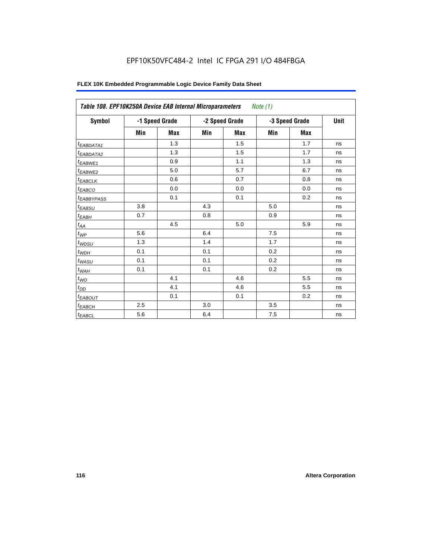# EPF10K50VFC484-2 Intel IC FPGA 291 I/O 484FBGA

| Table 108. EPF10K250A Device EAB Internal Microparameters<br>Note (1) |     |                |     |                |     |                |    |  |
|-----------------------------------------------------------------------|-----|----------------|-----|----------------|-----|----------------|----|--|
| <b>Symbol</b>                                                         |     | -1 Speed Grade |     | -2 Speed Grade |     | -3 Speed Grade |    |  |
|                                                                       | Min | <b>Max</b>     | Min | <b>Max</b>     | Min | <b>Max</b>     |    |  |
| <sup>t</sup> EABDATA1                                                 |     | 1.3            |     | 1.5            |     | 1.7            | ns |  |
| <sup>t</sup> EABDATA2                                                 |     | 1.3            |     | 1.5            |     | 1.7            | ns |  |
| <sup>t</sup> EABWE1                                                   |     | 0.9            |     | 1.1            |     | 1.3            | ns |  |
| <sup>t</sup> EABWE2                                                   |     | 5.0            |     | 5.7            |     | 6.7            | ns |  |
| <sup>t</sup> EABCLK                                                   |     | 0.6            |     | 0.7            |     | 0.8            | ns |  |
| t <sub>EABCO</sub>                                                    |     | 0.0            |     | 0.0            |     | 0.0            | ns |  |
| <sup>t</sup> EABBYPASS                                                |     | 0.1            |     | 0.1            |     | 0.2            | ns |  |
| <sup>t</sup> EABSU                                                    | 3.8 |                | 4.3 |                | 5.0 |                | ns |  |
| $t_{EABH}$                                                            | 0.7 |                | 0.8 |                | 0.9 |                | ns |  |
| $t_{AA}$                                                              |     | 4.5            |     | 5.0            |     | 5.9            | ns |  |
| $t_{\mathcal{WP}}$                                                    | 5.6 |                | 6.4 |                | 7.5 |                | ns |  |
| $t_{W\!D\!S\!U}$                                                      | 1.3 |                | 1.4 |                | 1.7 |                | ns |  |
| $t_{WDH}$                                                             | 0.1 |                | 0.1 |                | 0.2 |                | ns |  |
| $t_{WASU}$                                                            | 0.1 |                | 0.1 |                | 0.2 |                | ns |  |
| $t_{W\!AH}$                                                           | 0.1 |                | 0.1 |                | 0.2 |                | ns |  |
| $t_{WO}$                                                              |     | 4.1            |     | 4.6            |     | 5.5            | ns |  |
| $t_{DD}$                                                              |     | 4.1            |     | 4.6            |     | 5.5            | ns |  |
| <sup>t</sup> EABOUT                                                   |     | 0.1            |     | 0.1            |     | 0.2            | ns |  |
| <sup>t</sup> ЕАВСН                                                    | 2.5 |                | 3.0 |                | 3.5 |                | ns |  |
| $t_{EABCL}$                                                           | 5.6 |                | 6.4 |                | 7.5 |                | ns |  |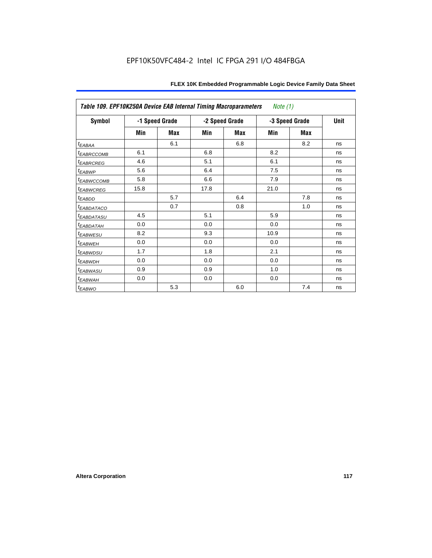| Table 109. EPF10K250A Device EAB Internal Timing Macroparameters<br><i>Note</i> $(1)$ |      |                |                |     |                |     |      |
|---------------------------------------------------------------------------------------|------|----------------|----------------|-----|----------------|-----|------|
| Symbol                                                                                |      | -1 Speed Grade | -2 Speed Grade |     | -3 Speed Grade |     | Unit |
|                                                                                       | Min  | Max            | Min            | Max | Min            | Max |      |
| $t_{EABA}$                                                                            |      | 6.1            |                | 6.8 |                | 8.2 | ns   |
| <sup>t</sup> EABRCCOMB                                                                | 6.1  |                | 6.8            |     | 8.2            |     | ns   |
| <i><b>EABRCREG</b></i>                                                                | 4.6  |                | 5.1            |     | 6.1            |     | ns   |
| t <sub>EABWP</sub>                                                                    | 5.6  |                | 6.4            |     | 7.5            |     | ns   |
| <sup>t</sup> ЕАВWССОМВ                                                                | 5.8  |                | 6.6            |     | 7.9            |     | ns   |
| <sup>t</sup> EABWCREG                                                                 | 15.8 |                | 17.8           |     | 21.0           |     | ns   |
| $t_{EABDD}$                                                                           |      | 5.7            |                | 6.4 |                | 7.8 | ns   |
| t <sub>EABDATACO</sub>                                                                |      | 0.7            |                | 0.8 |                | 1.0 | ns   |
| <sup>t</sup> EABDATASU                                                                | 4.5  |                | 5.1            |     | 5.9            |     | ns   |
| t <sub>EABDATAH</sub>                                                                 | 0.0  |                | 0.0            |     | 0.0            |     | ns   |
| <sup>t</sup> EABWESU                                                                  | 8.2  |                | 9.3            |     | 10.9           |     | ns   |
| <sup>t</sup> EABWEH                                                                   | 0.0  |                | 0.0            |     | 0.0            |     | ns   |
| <sup>t</sup> EABWDSU                                                                  | 1.7  |                | 1.8            |     | 2.1            |     | ns   |
| t <sub>EABWDH</sub>                                                                   | 0.0  |                | 0.0            |     | 0.0            |     | ns   |
| t <sub>EABWASU</sub>                                                                  | 0.9  |                | 0.9            |     | 1.0            |     | ns   |
| t <sub>EABWAH</sub>                                                                   | 0.0  |                | 0.0            |     | 0.0            |     | ns   |
| $t_{EABWO}$                                                                           |      | 5.3            |                | 6.0 |                | 7.4 | ns   |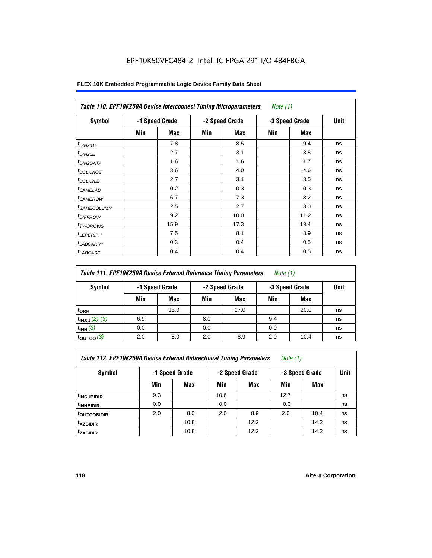# EPF10K50VFC484-2 Intel IC FPGA 291 I/O 484FBGA

| <b>Symbol</b>           |     | -1 Speed Grade |     | -2 Speed Grade |     | -3 Speed Grade | <b>Unit</b> |
|-------------------------|-----|----------------|-----|----------------|-----|----------------|-------------|
|                         | Min | Max            | Min | Max            | Min | Max            |             |
| $t_{DINZIOE}$           |     | 7.8            |     | 8.5            |     | 9.4            | ns          |
| $t_{DIN2LE}$            |     | 2.7            |     | 3.1            |     | 3.5            | ns          |
| <sup>t</sup> DIN2DATA   |     | 1.6            |     | 1.6            |     | 1.7            | ns          |
| <sup>t</sup> DCLK2IOE   |     | 3.6            |     | 4.0            |     | 4.6            | ns          |
| <sup>t</sup> DCLK2LE    |     | 2.7            |     | 3.1            |     | 3.5            | ns          |
| <sup>t</sup> SAMELAB    |     | 0.2            |     | 0.3            |     | 0.3            | ns          |
| <sup>t</sup> SAMEROW    |     | 6.7            |     | 7.3            |     | 8.2            | ns          |
| <sup>t</sup> SAMECOLUMN |     | 2.5            |     | 2.7            |     | 3.0            | ns          |
| <i><b>IDIFFROW</b></i>  |     | 9.2            |     | 10.0           |     | 11.2           | ns          |
| <sup>t</sup> TWOROWS    |     | 15.9           |     | 17.3           |     | 19.4           | ns          |
| <sup>t</sup> LEPERIPH   |     | 7.5            |     | 8.1            |     | 8.9            | ns          |
| <sup>t</sup> LABCARRY   |     | 0.3            |     | 0.4            |     | 0.5            | ns          |
| <sup>t</sup> LABCASC    |     | 0.4            |     | 0.4            |     | 0.5            | ns          |

| Table 111. EPF10K250A Device External Reference Timing Parameters<br><i>Note</i> $(1)$ |                |      |                |      |                |      |      |
|----------------------------------------------------------------------------------------|----------------|------|----------------|------|----------------|------|------|
| Symbol                                                                                 | -1 Speed Grade |      | -2 Speed Grade |      | -3 Speed Grade |      | Unit |
|                                                                                        | Min            | Max  | Min            | Max  | Min            | Max  |      |
| t <sub>DRR</sub>                                                                       |                | 15.0 |                | 17.0 |                | 20.0 | ns   |
| $t_{INSU} (2) (3)$                                                                     | 6.9            |      | 8.0            |      | 9.4            |      | ns   |
| $t_{INH}$ (3)                                                                          | 0.0            |      | 0.0            |      | 0.0            |      | ns   |
| $t_{\text{OUTCO}}(3)$                                                                  | 2.0            | 8.0  | 2.0            | 8.9  | 2.0            | 10.4 | ns   |

| Table 112. EPF10K250A Device External Bidirectional Timing Parameters |  |  | Note (1) |  |
|-----------------------------------------------------------------------|--|--|----------|--|
|-----------------------------------------------------------------------|--|--|----------|--|

| Symbol                | -1 Speed Grade |      | -2 Speed Grade |            | -3 Speed Grade | <b>Unit</b> |    |
|-----------------------|----------------|------|----------------|------------|----------------|-------------|----|
|                       | Min            | Max  | Min            | <b>Max</b> | Min            | Max         |    |
| <b>t</b> INSUBIDIR    | 9.3            |      | 10.6           |            | 12.7           |             | ns |
| t <sub>INHBIDIR</sub> | 0.0            |      | 0.0            |            | 0.0            |             | ns |
| <b>toutcobidir</b>    | 2.0            | 8.0  | 2.0            | 8.9        | 2.0            | 10.4        | ns |
| t <sub>XZBIDIR</sub>  |                | 10.8 |                | 12.2       |                | 14.2        | ns |
| tzxbidir              |                | 10.8 |                | 12.2       |                | 14.2        | ns |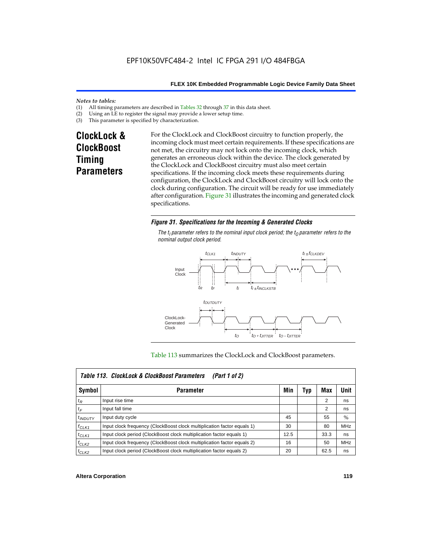#### *Notes to tables:*

- (1) All timing parameters are described in Tables  $32$  through  $37$  in this data sheet.<br>(2) Using an LE to register the signal may provide a lower setup time.
- (2) Using an LE to register the signal may provide a lower setup time.<br>(3) This parameter is specified by characterization.
- This parameter is specified by characterization.

# **ClockLock & ClockBoost Timing Parameters**

For the ClockLock and ClockBoost circuitry to function properly, the incoming clock must meet certain requirements. If these specifications are not met, the circuitry may not lock onto the incoming clock, which generates an erroneous clock within the device. The clock generated by the ClockLock and ClockBoost circuitry must also meet certain specifications. If the incoming clock meets these requirements during configuration, the ClockLock and ClockBoost circuitry will lock onto the clock during configuration. The circuit will be ready for use immediately after configuration. Figure 31 illustrates the incoming and generated clock specifications.

#### *Figure 31. Specifications for the Incoming & Generated Clocks*

The  $t_i$  parameter refers to the nominal input clock period; the  $t_0$  parameter refers to the *nominal output clock period.*



#### Table 113 summarizes the ClockLock and ClockBoost parameters.

|              | Table 113. ClockLock & ClockBoost Parameters<br>(Part 1 of 2)           |      |     |      |            |  |  |  |
|--------------|-------------------------------------------------------------------------|------|-----|------|------------|--|--|--|
| Symbol       | <b>Parameter</b>                                                        | Min  | Typ | Max  | Unit       |  |  |  |
| $t_{R}$      | Input rise time                                                         |      |     | 2    | ns         |  |  |  |
| $t_F$        | Input fall time                                                         |      |     | 2    | ns         |  |  |  |
| $t_{INDUTY}$ | Input duty cycle                                                        | 45   |     | 55   | $\%$       |  |  |  |
| $f_{CLK1}$   | Input clock frequency (ClockBoost clock multiplication factor equals 1) | 30   |     | 80   | <b>MHz</b> |  |  |  |
| $t$ CLK1     | Input clock period (ClockBoost clock multiplication factor equals 1)    | 12.5 |     | 33.3 | ns         |  |  |  |
| $f_{CLK2}$   | Input clock frequency (ClockBoost clock multiplication factor equals 2) | 16   |     | 50   | <b>MHz</b> |  |  |  |
| $t_{CLK2}$   | Input clock period (ClockBoost clock multiplication factor equals 2)    | 20   |     | 62.5 | ns         |  |  |  |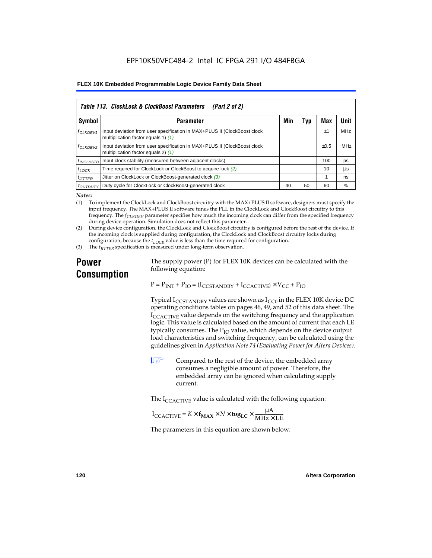| Table 113. ClockLock & ClockBoost Parameters<br>(Part 2 of 2) |                                                                                                                 |     |     |           |            |  |  |  |
|---------------------------------------------------------------|-----------------------------------------------------------------------------------------------------------------|-----|-----|-----------|------------|--|--|--|
| Symbol                                                        | <b>Parameter</b>                                                                                                | Min | Typ | Max       | Unit       |  |  |  |
| f <sub>CLKDEV1</sub>                                          | Input deviation from user specification in MAX+PLUS II (ClockBoost clock<br>multiplication factor equals 1) (1) |     |     | $+1$      | <b>MHz</b> |  |  |  |
| <sup>f</sup> CLKDEV2                                          | Input deviation from user specification in MAX+PLUS II (ClockBoost clock<br>multiplication factor equals 2) (1) |     |     | $\pm 0.5$ | MHz        |  |  |  |
| <sup>t</sup> INCLKSTB                                         | Input clock stability (measured between adjacent clocks)                                                        |     |     | 100       | ps         |  |  |  |
| $t_{LOCK}$                                                    | Time required for ClockLock or ClockBoost to acquire lock (2)                                                   |     |     | 10        | μs         |  |  |  |
| $t_{JITTER}$                                                  | Jitter on ClockLock or ClockBoost-generated clock (3)                                                           |     |     |           | ns         |  |  |  |
| <i>toutbuty</i>                                               | Duty cycle for ClockLock or ClockBoost-generated clock                                                          | 40  | 50  | 60        | %          |  |  |  |

*Notes:*

(1) To implement the ClockLock and ClockBoost circuitry with the MAX+PLUS II software, designers must specify the input frequency. The MAX+PLUS II software tunes the PLL in the ClockLock and ClockBoost circuitry to this frequency. The *fCLKDEV* parameter specifies how much the incoming clock can differ from the specified frequency during device operation. Simulation does not reflect this parameter.

(2) During device configuration, the ClockLock and ClockBoost circuitry is configured before the rest of the device. If the incoming clock is supplied during configuration, the ClockLock and ClockBoost circuitry locks during configuration, because the  $t_{LOCK}$  value is less than the time required for configuration.

(3) The *t<sub>IITTER</sub>* specification is measured under long-term observation.

# **Power Consumption**

The supply power (P) for FLEX 10K devices can be calculated with the following equation:

 $P = P_{INT} + P_{IO} = (I_{CCSTANDBY} + I_{CCACTIVE}) \times V_{CC} + P_{IO}$ 

Typical  $I_{CCSTANDBY}$  values are shown as  $I_{CC0}$  in the FLEX 10K device DC operating conditions tables on pages 46, 49, and 52 of this data sheet. The  $I_{\text{CCACTIVE}}$  value depends on the switching frequency and the application logic. This value is calculated based on the amount of current that each LE typically consumes. The  $P_{IO}$  value, which depends on the device output load characteristics and switching frequency, can be calculated using the guidelines given in *Application Note 74 (Evaluating Power for Altera Devices)*.

 $\Box$  Compared to the rest of the device, the embedded array consumes a negligible amount of power. Therefore, the embedded array can be ignored when calculating supply current.

The  $I_{\text{CCACTIVE}}$  value is calculated with the following equation:

$$
I_{\text{CCACTIVE}} = K \times f_{\text{MAX}} \times N \times \text{tog}_{\text{LC}} \times \frac{\mu A}{\text{MHz} \times \text{LE}}
$$

The parameters in this equation are shown below: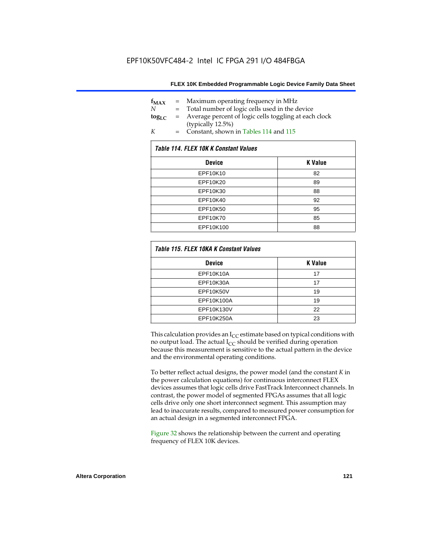| $f_{MAX}$  | $=$ | Maximum operating frequency in MHz                    |
|------------|-----|-------------------------------------------------------|
| N          |     | Total number of logic cells used in the device        |
| $log_{LC}$ | $=$ | Average percent of logic cells toggling at each clock |
|            |     | (typically 12.5%)                                     |
| K          | $=$ | Constant, shown in Tables 114 and 115                 |

| Table 114. FLEX 10K K Constant Values |                |  |  |  |  |
|---------------------------------------|----------------|--|--|--|--|
| <b>Device</b>                         | <b>K</b> Value |  |  |  |  |
| EPF10K10                              | 82             |  |  |  |  |
| EPF10K20                              | 89             |  |  |  |  |
| EPF10K30                              | 88             |  |  |  |  |
| EPF10K40                              | 92             |  |  |  |  |
| EPF10K50                              | 95             |  |  |  |  |
| EPF10K70                              | 85             |  |  |  |  |
| EPF10K100                             | 88             |  |  |  |  |

| Table 115. FLEX 10KA K Constant Values |                |
|----------------------------------------|----------------|
| <b>Device</b>                          | <b>K</b> Value |
| <b>EPF10K10A</b>                       | 17             |
| EPF10K30A                              | 17             |
| EPF10K50V                              | 19             |
| EPF10K100A                             | 19             |
| EPF10K130V                             | 22             |
| EPF10K250A                             | 23             |

This calculation provides an  $I_{CC}$  estimate based on typical conditions with no output load. The actual  $I_{CC}$  should be verified during operation because this measurement is sensitive to the actual pattern in the device and the environmental operating conditions.

To better reflect actual designs, the power model (and the constant *K* in the power calculation equations) for continuous interconnect FLEX devices assumes that logic cells drive FastTrack Interconnect channels. In contrast, the power model of segmented FPGAs assumes that all logic cells drive only one short interconnect segment. This assumption may lead to inaccurate results, compared to measured power consumption for an actual design in a segmented interconnect FPGA.

Figure 32 shows the relationship between the current and operating frequency of FLEX 10K devices.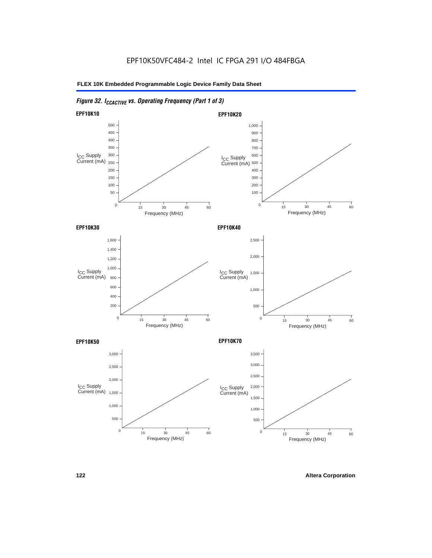# *Figure 32. ICCACTIVE vs. Operating Frequency (Part 1 of 3)*

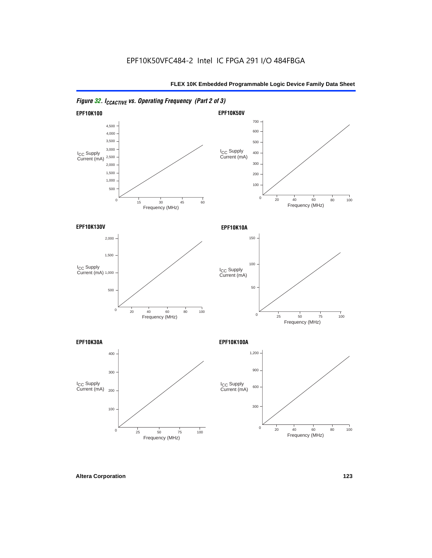



*Figure 32. ICCACTIVE vs. Operating Frequency (Part 2 of 3)*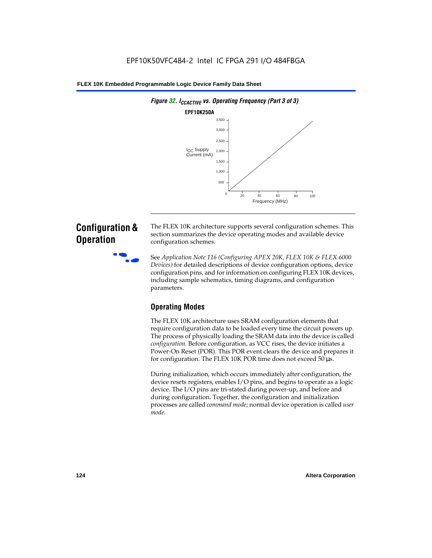

# **Configuration & Operation**

The FLEX 10K architecture supports several configuration schemes. This section summarizes the device operating modes and available device configuration schemes.

f See *Application Note 116 (Configuring APEX 20K, FLEX 10K & FLEX 6000 Devices)* for detailed descriptions of device configuration options, device configuration pins, and for information on configuring FLEX 10K devices, including sample schematics, timing diagrams, and configuration parameters.

# **Operating Modes**

The FLEX 10K architecture uses SRAM configuration elements that require configuration data to be loaded every time the circuit powers up. The process of physically loading the SRAM data into the device is called *configuration*. Before configuration, as VCC rises, the device initiates a Power-On Reset (POR). This POR event clears the device and prepares it for configuration. The FLEX 10K POR time does not exceed 50 µs.

During initialization, which occurs immediately after configuration, the device resets registers, enables I/O pins, and begins to operate as a logic device. The I/O pins are tri-stated during power-up, and before and during configuration. Together, the configuration and initialization processes are called *command mode*; normal device operation is called *user mode*.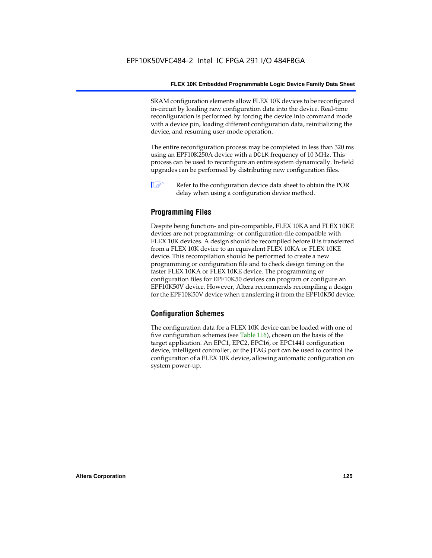SRAM configuration elements allow FLEX 10K devices to be reconfigured in-circuit by loading new configuration data into the device. Real-time reconfiguration is performed by forcing the device into command mode with a device pin, loading different configuration data, reinitializing the device, and resuming user-mode operation.

The entire reconfiguration process may be completed in less than 320 ms using an EPF10K250A device with a DCLK frequency of 10 MHz. This process can be used to reconfigure an entire system dynamically. In-field upgrades can be performed by distributing new configuration files.

 $\Box$  Refer to the configuration device data sheet to obtain the POR delay when using a configuration device method.

## **Programming Files**

Despite being function- and pin-compatible, FLEX 10KA and FLEX 10KE devices are not programming- or configuration-file compatible with FLEX 10K devices. A design should be recompiled before it is transferred from a FLEX 10K device to an equivalent FLEX 10KA or FLEX 10KE device. This recompilation should be performed to create a new programming or configuration file and to check design timing on the faster FLEX 10KA or FLEX 10KE device. The programming or configuration files for EPF10K50 devices can program or configure an EPF10K50V device. However, Altera recommends recompiling a design for the EPF10K50V device when transferring it from the EPF10K50 device.

### **Configuration Schemes**

The configuration data for a FLEX 10K device can be loaded with one of five configuration schemes (see Table 116), chosen on the basis of the target application. An EPC1, EPC2, EPC16, or EPC1441 configuration device, intelligent controller, or the JTAG port can be used to control the configuration of a FLEX 10K device, allowing automatic configuration on system power-up.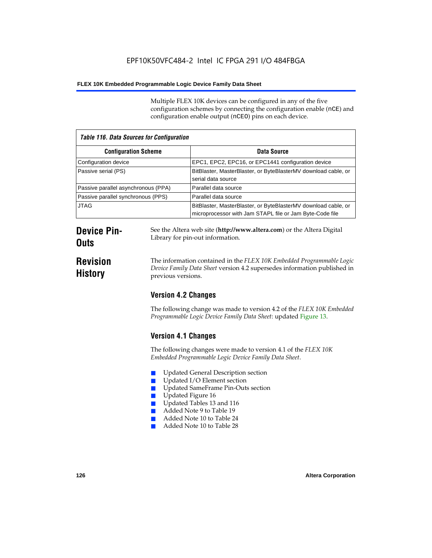Multiple FLEX 10K devices can be configured in any of the five configuration schemes by connecting the configuration enable (nCE) and configuration enable output (nCEO) pins on each device.

| <b>Table 116. Data Sources for Configuration</b> |                                                                                                                            |  |
|--------------------------------------------------|----------------------------------------------------------------------------------------------------------------------------|--|
| <b>Configuration Scheme</b>                      | Data Source                                                                                                                |  |
| Configuration device                             | EPC1, EPC2, EPC16, or EPC1441 configuration device                                                                         |  |
| Passive serial (PS)                              | BitBlaster, MasterBlaster, or ByteBlasterMV download cable, or<br>serial data source                                       |  |
| Passive parallel asynchronous (PPA)              | Parallel data source                                                                                                       |  |
| Passive parallel synchronous (PPS)               | Parallel data source                                                                                                       |  |
| <b>JTAG</b>                                      | BitBlaster, MasterBlaster, or ByteBlasterMV download cable, or<br>microprocessor with Jam STAPL file or Jam Byte-Code file |  |

# **Device Pin-Outs**

**Revision History**

The information contained in the *FLEX 10K Embedded Programmable Logic Device Family Data Sheet* version 4.2 supersedes information published in

See the Altera web site (**http://www.altera.com**) or the Altera Digital

# **Version 4.2 Changes**

previous versions.

Library for pin-out information.

The following change was made to version 4.2 of the *FLEX 10K Embedded Programmable Logic Device Family Data Sheet*: updated Figure 13.

# **Version 4.1 Changes**

The following changes were made to version 4.1 of the *FLEX 10K Embedded Programmable Logic Device Family Data Sheet*.

- Updated General Description section
- Updated I/O Element section
- Updated SameFrame Pin-Outs section
- Updated Figure 16
- Updated Tables 13 and 116
- Added Note 9 to Table 19
- Added Note 10 to Table 24
- Added Note 10 to Table 28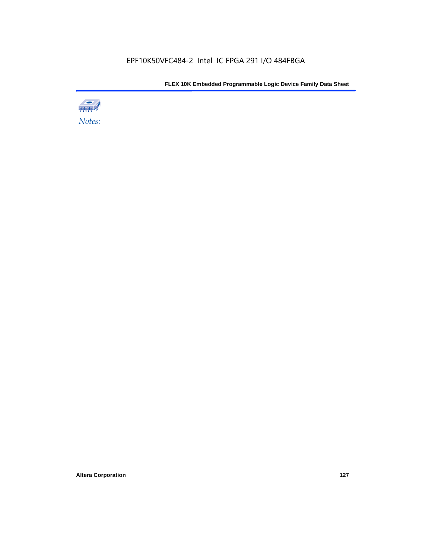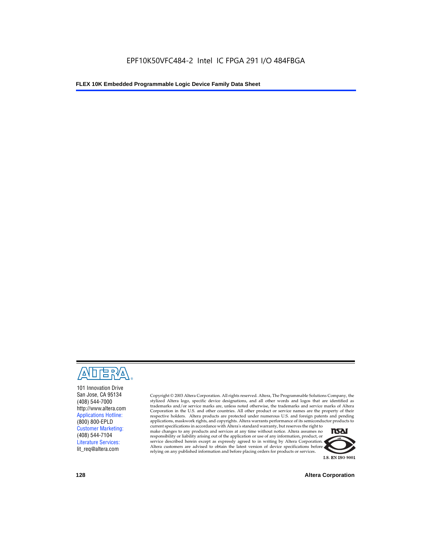

101 Innovation Drive San Jose, CA 95134 (408) 544-7000 http://www.altera.com Applications Hotline: (800) 800-EPLD Customer Marketing: (408) 544-7104 Literature Services: lit\_req@altera.com

Copyright © 2003 Altera Corporation. All rights reserved. Altera, The Programmable Solutions Company, the stylized Altera logo, specific device designations, and all other words and logos that are identified as trademarks and/or service marks are, unless noted otherwise, the trademarks and service marks of Altera Corporation in the U.S. and other countries. All other product or service names are the property of their respective holders. Altera products are protected under numerous U.S. and foreign patents and pending applications, maskwork rights, and copyrights. Altera warrants performance of its semiconductor products to

current specifications in accordance with Altera's standard warranty, but reserves the right to make changes to any products and services at any time without notice. Altera assumes no responsibility or liability arising out of the application or use of any information, product, or service described herein except as expressly agreed to in writing by Altera Corporation. Altera customers are advised to obtain the latest version of device specifications before relying on any published information and before placing orders for products or services.